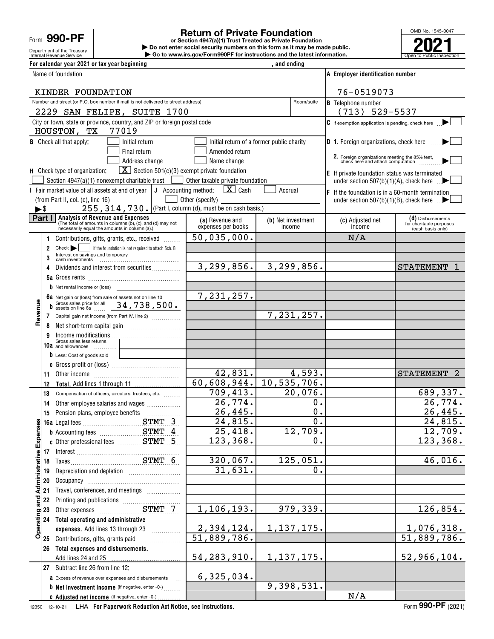Form **990-PF**

Department of the Treasury

## **Return of Private Foundation**

Internal Revenue Service **Number 19th Construction Constructions and the latest information.** The Service of Public Inspection **or Section 4947(a)(1) Trust Treated as Private Foundation | Do not enter social security numbers on this form as it may be made public. | Go to www.irs.gov/Form990PF for instructions and the latest information.**



| For calendar year 2021 or tax year beginning                                                                                                             |                                       | , and ending                              |                                                                                                                 |                                                                   |
|----------------------------------------------------------------------------------------------------------------------------------------------------------|---------------------------------------|-------------------------------------------|-----------------------------------------------------------------------------------------------------------------|-------------------------------------------------------------------|
| Name of foundation                                                                                                                                       |                                       |                                           | A Employer identification number                                                                                |                                                                   |
| KINDER FOUNDATION                                                                                                                                        |                                       |                                           | 76-0519073                                                                                                      |                                                                   |
| Number and street (or P.O. box number if mail is not delivered to street address)                                                                        |                                       | Room/suite                                | <b>B</b> Telephone number                                                                                       |                                                                   |
| 2229 SAN FELIPE, SUITE 1700                                                                                                                              |                                       |                                           | $(713) 529 - 5537$                                                                                              |                                                                   |
| City or town, state or province, country, and ZIP or foreign postal code<br>77019<br>HOUSTON, TX                                                         |                                       |                                           | C If exemption application is pending, check here                                                               |                                                                   |
| <b>G</b> Check all that apply:<br>Initial return                                                                                                         |                                       | Initial return of a former public charity | <b>D</b> 1. Foreign organizations, check here                                                                   |                                                                   |
| Final return                                                                                                                                             | Amended return                        |                                           | 2. Foreign organizations meeting the 85% test,<br>check here and attach computation                             |                                                                   |
| Address change                                                                                                                                           | Name change                           |                                           |                                                                                                                 |                                                                   |
| $\boxed{\mathbf{X}}$ Section 501(c)(3) exempt private foundation<br>H Check type of organization:<br>Section 4947(a)(1) nonexempt charitable trust       | Other taxable private foundation      |                                           | E If private foundation status was terminated                                                                   |                                                                   |
| I Fair market value of all assets at end of year $\vert \mathbf{J} \vert$ Accounting method:                                                             | $\mathbf{X}$ Cash                     | Accrual                                   | under section 507(b)(1)(A), check here $\mathbb{R}$                                                             |                                                                   |
| (from Part II, col. (c), line 16)                                                                                                                        | Other (specify)                       |                                           | $ F $ If the foundation is in a 60-month termination<br>under section $507(b)(1)(B)$ , check here $\rightarrow$ |                                                                   |
| 255, 314, 730. (Part I, column (d), must be on cash basis.)<br>►\$                                                                                       |                                       |                                           |                                                                                                                 |                                                                   |
| Part I   Analysis of Revenue and Expenses<br>(The total of amounts in columns (b), (c), and (d) may not<br>necessarily equal the amounts in column (a).) | (a) Revenue and<br>expenses per books | (b) Net investment<br>income              | (c) Adjusted net<br>income                                                                                      | (d) Disbursements<br>for charitable purposes<br>(cash basis only) |
| Contributions, gifts, grants, etc., received                                                                                                             | $\overline{50}$ , 035, 000.           |                                           | N/A                                                                                                             |                                                                   |
| Check   if the foundation is not required to attach Sch. B<br>2                                                                                          |                                       |                                           |                                                                                                                 |                                                                   |
| Interest on savings and temporary<br>3                                                                                                                   |                                       |                                           |                                                                                                                 |                                                                   |
| Dividends and interest from securities<br>4                                                                                                              | 3, 299, 856.                          | $\overline{3,299},856.$                   |                                                                                                                 | <b>STATEMENT</b>                                                  |
|                                                                                                                                                          |                                       |                                           |                                                                                                                 |                                                                   |
| <b>b</b> Net rental income or (loss)                                                                                                                     | 7,231,257.                            |                                           |                                                                                                                 |                                                                   |
| 6a Net gain or (loss) from sale of assets not on line 10<br>Gross sales price for all 34, 738, 500.<br>b                                                 |                                       |                                           |                                                                                                                 |                                                                   |
| Revenue<br>7 Capital gain net income (from Part IV, line 2)                                                                                              |                                       | 7, 231, 257.                              |                                                                                                                 |                                                                   |
| 8                                                                                                                                                        |                                       |                                           |                                                                                                                 |                                                                   |
| 9                                                                                                                                                        |                                       |                                           |                                                                                                                 |                                                                   |
| Gross sales less returns<br>10a and allowances                                                                                                           |                                       |                                           |                                                                                                                 |                                                                   |
| b Less: Cost of goods sold                                                                                                                               |                                       |                                           |                                                                                                                 |                                                                   |
|                                                                                                                                                          | 42,831.                               | 4,593.                                    |                                                                                                                 | STATEMENT 2                                                       |
| 11<br>12                                                                                                                                                 | 60,608,944.                           | 10, 535, 706.                             |                                                                                                                 |                                                                   |
| 13<br>Compensation of officers, directors, trustees, etc.                                                                                                | 709,413.                              | 20,076.                                   |                                                                                                                 | 689,337.                                                          |
| Other employee salaries and wages<br>14                                                                                                                  | 26,774.                               | 0.                                        |                                                                                                                 | $\overline{26,774.}$                                              |
| 15                                                                                                                                                       | 26,445.                               | $\overline{0}$ .                          |                                                                                                                 | 26,445.                                                           |
|                                                                                                                                                          | 24,815.                               | $\overline{0}$ .                          |                                                                                                                 | $\overline{24,815}$ .                                             |
| <b>b</b> Accounting fees <b>STMT</b> 4                                                                                                                   | 25,418.                               | 12,709.                                   |                                                                                                                 | 12,709.                                                           |
|                                                                                                                                                          | 123,368.                              | 0.                                        |                                                                                                                 | 123,368.                                                          |
|                                                                                                                                                          | 320,067.                              | 125,051.                                  |                                                                                                                 | 46,016.                                                           |
| 19                                                                                                                                                       | 31,631.                               | 0.                                        |                                                                                                                 |                                                                   |
| 20                                                                                                                                                       |                                       |                                           |                                                                                                                 |                                                                   |
| Operating and Administrative Expense<br>Travel, conferences, and meetings<br>21                                                                          |                                       |                                           |                                                                                                                 |                                                                   |
| 22                                                                                                                                                       |                                       |                                           |                                                                                                                 |                                                                   |
| 23                                                                                                                                                       | 1,106,193.                            | 979,339.                                  |                                                                                                                 | 126,854.                                                          |
| Total operating and administrative<br>24                                                                                                                 |                                       |                                           |                                                                                                                 |                                                                   |
| expenses. Add lines 13 through 23                                                                                                                        | <u>2,394,124.</u>                     | 1, 137, 175.                              |                                                                                                                 | 1,076,318.                                                        |
| Contributions, gifts, grants paid<br>25                                                                                                                  | $\overline{51,889,786}$ .             |                                           |                                                                                                                 | 51,889,786.                                                       |
| Total expenses and disbursements.<br>26<br>Add lines 24 and 25                                                                                           | 54, 283, 910.                         | 1, 137, 175.                              |                                                                                                                 | 52,966,104.                                                       |
| 27 Subtract line 26 from line 12:                                                                                                                        |                                       |                                           |                                                                                                                 |                                                                   |
| <b>a</b> Excess of revenue over expenses and disbursements                                                                                               | 6,325,034.                            |                                           |                                                                                                                 |                                                                   |
| <b>b</b> Net investment income (if negative, enter -0-)                                                                                                  |                                       | 9,398,531.                                |                                                                                                                 |                                                                   |
| c Adjusted net income (if negative, enter -0-).                                                                                                          |                                       |                                           | N/A                                                                                                             |                                                                   |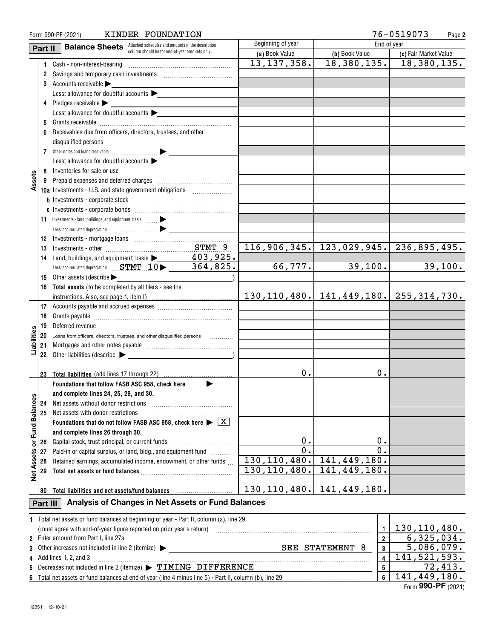| 76-0519073<br>KINDER FOUNDATION<br>Form 990-PF (2021) |          |                                                                                                                            |                   |                                 | Page 2                                           |
|-------------------------------------------------------|----------|----------------------------------------------------------------------------------------------------------------------------|-------------------|---------------------------------|--------------------------------------------------|
|                                                       | Part II  | <b>Balance Sheets</b> Attached schedules and amounts in the description                                                    | Beginning of year | End of year                     |                                                  |
|                                                       |          | column should be for end-of-year amounts only.                                                                             | (a) Book Value    | (b) Book Value                  | (c) Fair Market Value                            |
|                                                       |          | 1 Cash - non-interest-bearing                                                                                              | 13, 137, 358.     | $\overline{18, 380, 135.}$      | 18,380,135.                                      |
|                                                       |          | 2 Savings and temporary cash investments [111][11] Savings and temporary cash investments                                  |                   |                                 |                                                  |
|                                                       |          | 3 Accounts receivable                                                                                                      |                   |                                 |                                                  |
|                                                       |          | Less: allowance for doubtful accounts                                                                                      |                   |                                 |                                                  |
|                                                       |          | 4 Pledges receivable $\blacktriangleright$                                                                                 |                   |                                 |                                                  |
|                                                       |          | Less: allowance for doubtful accounts $\blacktriangleright$                                                                |                   |                                 |                                                  |
|                                                       |          |                                                                                                                            |                   |                                 |                                                  |
|                                                       | 6.       | Receivables due from officers, directors, trustees, and other                                                              |                   |                                 |                                                  |
|                                                       |          |                                                                                                                            |                   |                                 |                                                  |
|                                                       |          |                                                                                                                            |                   |                                 |                                                  |
|                                                       |          | Less: allowance for doubtful accounts                                                                                      |                   |                                 |                                                  |
|                                                       |          |                                                                                                                            |                   |                                 |                                                  |
| Assets                                                |          |                                                                                                                            |                   |                                 |                                                  |
|                                                       |          | 10a Investments - U.S. and state government obligations                                                                    |                   |                                 |                                                  |
|                                                       |          |                                                                                                                            |                   |                                 |                                                  |
|                                                       |          |                                                                                                                            |                   |                                 |                                                  |
|                                                       |          | 11 Investments - land, buildings, and equipment: basis  > _______________                                                  |                   |                                 |                                                  |
|                                                       |          |                                                                                                                            |                   |                                 |                                                  |
|                                                       |          |                                                                                                                            |                   |                                 |                                                  |
|                                                       | 13       |                                                                                                                            |                   |                                 | $116, 906, 345.$ 123, 029, 945. 236, 895, 495.   |
|                                                       | 14       | Land, buildings, and equipment: basis $\blacktriangleright$ 403, 925.<br>Less: accumulated depreciation STMT 10 > 364,825. |                   |                                 |                                                  |
|                                                       |          |                                                                                                                            | 66,777.           | 39,100.                         | 39,100.                                          |
|                                                       |          | 15 Other assets (describe                                                                                                  |                   |                                 |                                                  |
|                                                       |          | 16 Total assets (to be completed by all filers - see the                                                                   |                   |                                 | 130, 110, 480.   141, 449, 180.   255, 314, 730. |
|                                                       |          |                                                                                                                            |                   |                                 |                                                  |
|                                                       | 18       |                                                                                                                            |                   |                                 |                                                  |
|                                                       |          |                                                                                                                            |                   |                                 |                                                  |
|                                                       |          | 20 Loans from officers, directors, trustees, and other disqualified persons                                                |                   |                                 |                                                  |
| Liabilities                                           |          | .                                                                                                                          |                   |                                 |                                                  |
|                                                       |          | 22 Other liabilities (describe $\blacktriangleright$                                                                       |                   |                                 |                                                  |
|                                                       |          |                                                                                                                            |                   |                                 |                                                  |
|                                                       |          | 23 Total liabilities (add lines 17 through 22)                                                                             | О.                | Ο.                              |                                                  |
|                                                       |          | Foundations that follow FASB ASC 958, check here _____ >                                                                   |                   |                                 |                                                  |
|                                                       |          | and complete lines 24, 25, 29, and 30.                                                                                     |                   |                                 |                                                  |
|                                                       | 24       | Net assets without donor restrictions                                                                                      |                   |                                 |                                                  |
|                                                       | 25       |                                                                                                                            |                   |                                 |                                                  |
| or Fund Balances                                      |          | Foundations that do not follow FASB ASC 958, check here $\blacktriangleright \boxed{\text{X}}$                             |                   |                                 |                                                  |
|                                                       |          | and complete lines 26 through 30.                                                                                          |                   |                                 |                                                  |
|                                                       | 26       | Capital stock, trust principal, or current funds                                                                           | 0.                | 0.                              |                                                  |
|                                                       | 27       | Paid-in or capital surplus, or land, bldg., and equipment fund                                                             | $\overline{0}$ .  | $\overline{0}$ .                |                                                  |
| Assets                                                | 28       | Retained earnings, accumulated income, endowment, or other funds                                                           | 130, 110, 480.    | 141, 449, 180.                  |                                                  |
| $\frac{\ddot{\bullet}}{2}$                            | 29       |                                                                                                                            | 130, 110, 480.    | 141,449,180.                    |                                                  |
|                                                       |          |                                                                                                                            |                   |                                 |                                                  |
|                                                       | 30       | Total liabilities and net assets/fund balances                                                                             |                   | 130, 110, 480.   141, 449, 180. |                                                  |
|                                                       | Part III | Analysis of Changes in Net Assets or Fund Balances                                                                         |                   |                                 |                                                  |
|                                                       |          |                                                                                                                            |                   |                                 |                                                  |
|                                                       |          | 1 Total net assets or fund balances at beginning of year - Part II, column (a), line 29                                    |                   |                                 |                                                  |
|                                                       |          | (must agree with end-of-year figure reported on prior year's return)<br>2 Enter amount from Part I, line 27a               |                   | $\mathbf{1}$<br>$\overline{2}$  | 130, 110, 480.<br>6, 325, 034.                   |
| 3                                                     |          | SEE STATEMENT 8<br>Other increases not included in line 2 (itemize) > _____________________________                        |                   | 3                               | 5,086,079.                                       |
| 4                                                     |          | Add lines 1, 2, and 3                                                                                                      |                   | 4                               | 141, 521, 593.                                   |
| 5                                                     |          | Decreases not included in line 2 (itemize) > TIMING DIFFERENCE                                                             |                   | 5                               | 72,413.                                          |
|                                                       |          |                                                                                                                            |                   | 6                               | 141,449,180.                                     |

| 5 Decreases not included in line 2 (itemize) > TIMING DIFFERENCE |  |  |
|------------------------------------------------------------------|--|--|
|                                                                  |  |  |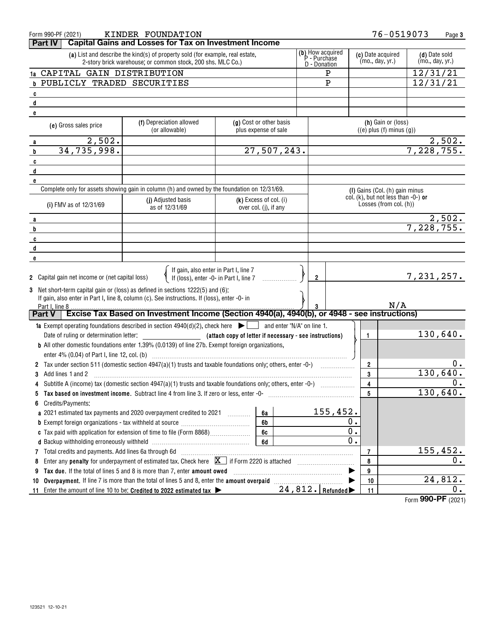| Form 990-PF (2021)                                                                                                                 | KINDER FOUNDATION                                                                                                                            |                                                         |                                                  | 76-0519073                                                    |                                  | Page 3                                          |
|------------------------------------------------------------------------------------------------------------------------------------|----------------------------------------------------------------------------------------------------------------------------------------------|---------------------------------------------------------|--------------------------------------------------|---------------------------------------------------------------|----------------------------------|-------------------------------------------------|
| Part IV                                                                                                                            | <b>Capital Gains and Losses for Tax on Investment Income</b>                                                                                 |                                                         |                                                  |                                                               |                                  |                                                 |
|                                                                                                                                    | (a) List and describe the kind(s) of property sold (for example, real estate,<br>2-story brick warehouse; or common stock, 200 shs. MLC Co.) |                                                         | (b) How acquired<br>P - Purchase<br>D - Donation | (c) Date acquired<br>(mo., day, yr.)                          | (d) Date sold<br>(mo., day, yr.) |                                                 |
| 1a CAPITAL GAIN DISTRIBUTION                                                                                                       |                                                                                                                                              |                                                         | P                                                |                                                               | 12/31/21                         |                                                 |
| <b>b PUBLICLY TRADED SECURITIES</b>                                                                                                |                                                                                                                                              |                                                         | $\mathbf{P}$                                     |                                                               | 12/31/21                         |                                                 |
| c                                                                                                                                  |                                                                                                                                              |                                                         |                                                  |                                                               |                                  |                                                 |
| d                                                                                                                                  |                                                                                                                                              |                                                         |                                                  |                                                               |                                  |                                                 |
| e                                                                                                                                  |                                                                                                                                              |                                                         |                                                  |                                                               |                                  |                                                 |
| (e) Gross sales price                                                                                                              | (f) Depreciation allowed<br>(or allowable)                                                                                                   | (g) Cost or other basis<br>plus expense of sale         |                                                  | (h) Gain or (loss)<br>$((e)$ plus $(f)$ minus $(g))$          |                                  |                                                 |
| 2,502.<br>a                                                                                                                        |                                                                                                                                              |                                                         |                                                  |                                                               |                                  |                                                 |
| 34,735,998.<br>b                                                                                                                   |                                                                                                                                              | 27,507,243.                                             |                                                  |                                                               | $\frac{2,502}{7,228,755}$        |                                                 |
| C                                                                                                                                  |                                                                                                                                              |                                                         |                                                  |                                                               |                                  |                                                 |
| d                                                                                                                                  |                                                                                                                                              |                                                         |                                                  |                                                               |                                  |                                                 |
| e                                                                                                                                  |                                                                                                                                              |                                                         |                                                  |                                                               |                                  |                                                 |
|                                                                                                                                    | Complete only for assets showing gain in column (h) and owned by the foundation on 12/31/69.                                                 |                                                         |                                                  | (I) Gains (Col. (h) gain minus                                |                                  |                                                 |
| (i) FMV as of 12/31/69                                                                                                             | (j) Adjusted basis<br>as of 12/31/69                                                                                                         | $(k)$ Excess of col. (i)<br>over col. (j), if any       |                                                  | col. (k), but not less than -0-) or<br>Losses (from col. (h)) |                                  |                                                 |
| a                                                                                                                                  |                                                                                                                                              |                                                         |                                                  |                                                               |                                  |                                                 |
| b                                                                                                                                  |                                                                                                                                              |                                                         |                                                  |                                                               | $\frac{2,502}{7,228,755}$        |                                                 |
| c                                                                                                                                  |                                                                                                                                              |                                                         |                                                  |                                                               |                                  |                                                 |
| d                                                                                                                                  |                                                                                                                                              |                                                         |                                                  |                                                               |                                  |                                                 |
| e                                                                                                                                  |                                                                                                                                              |                                                         |                                                  |                                                               |                                  |                                                 |
| 2 Capital gain net income or (net capital loss)<br>3 Net short-term capital gain or (loss) as defined in sections 1222(5) and (6): | If gain, also enter in Part I, line 7<br>If (loss), enter -0- in Part I, line 7                                                              | .                                                       | $\overline{2}$                                   |                                                               | 7,231,257.                       |                                                 |
|                                                                                                                                    | If gain, also enter in Part I, line 8, column (c). See instructions. If (loss), enter -0- in                                                 |                                                         |                                                  | N/A                                                           |                                  |                                                 |
| Part I, line 8<br>∣ Part V                                                                                                         | Excise Tax Based on Investment Income (Section 4940(a), 4940(b), or 4948 - see instructions)                                                 |                                                         |                                                  |                                                               |                                  |                                                 |
|                                                                                                                                    |                                                                                                                                              |                                                         |                                                  |                                                               |                                  |                                                 |
|                                                                                                                                    | <b>1a</b> Exempt operating foundations described in section $4940(d)(2)$ , check here $\blacktriangleright$ and enter "N/A" on line 1.       |                                                         |                                                  |                                                               |                                  | 130,640.                                        |
| Date of ruling or determination letter:                                                                                            |                                                                                                                                              | (attach copy of letter if necessary - see instructions) |                                                  | 1                                                             |                                  |                                                 |
|                                                                                                                                    | <b>b</b> All other domestic foundations enter 1.39% (0.0139) of line 27b. Exempt foreign organizations,                                      |                                                         |                                                  |                                                               |                                  |                                                 |
|                                                                                                                                    |                                                                                                                                              |                                                         |                                                  |                                                               |                                  |                                                 |
|                                                                                                                                    |                                                                                                                                              |                                                         |                                                  | 2                                                             |                                  | 0.                                              |
| Add lines 1 and 2<br>3                                                                                                             |                                                                                                                                              |                                                         |                                                  | 3                                                             |                                  | 130,640.                                        |
|                                                                                                                                    | Subtitle A (income) tax (domestic section 4947(a)(1) trusts and taxable foundations only; others, enter -0-)                                 |                                                         |                                                  | 4                                                             |                                  | 0.                                              |
|                                                                                                                                    | Tax based on investment income. Subtract line 4 from line 3. If zero or less, enter -0-                                                      |                                                         |                                                  | $\overline{5}$                                                |                                  | 130,640.                                        |
| Credits/Payments:<br>6                                                                                                             |                                                                                                                                              |                                                         |                                                  |                                                               |                                  |                                                 |
|                                                                                                                                    | a 2021 estimated tax payments and 2020 overpayment credited to 2021 [11, 2010]                                                               | 6a                                                      | 155,452.                                         |                                                               |                                  |                                                 |
|                                                                                                                                    |                                                                                                                                              | 6b                                                      |                                                  | Ο.                                                            |                                  |                                                 |
|                                                                                                                                    |                                                                                                                                              | 6c                                                      |                                                  | 0.                                                            |                                  |                                                 |
|                                                                                                                                    |                                                                                                                                              | 6d                                                      |                                                  | 0.                                                            |                                  |                                                 |
| 7                                                                                                                                  | Total credits and payments. Add lines 6a through 6d manufactured contains and payments. Add lines 6a through 6d                              |                                                         |                                                  | 7                                                             |                                  | 155,452.                                        |
| 8                                                                                                                                  | Enter any <b>penalty</b> for underpayment of estimated tax. Check here $X$ if Form 2220 is attached                                          |                                                         |                                                  | 8                                                             |                                  | 0.                                              |
| 9                                                                                                                                  | Tax due. If the total of lines 5 and 8 is more than 7, enter amount owed                                                                     |                                                         |                                                  | 9                                                             |                                  |                                                 |
| 10                                                                                                                                 | Overpayment. If line 7 is more than the total of lines 5 and 8, enter the amount overpaid manufactured.                                      |                                                         |                                                  | 10                                                            |                                  | 24,812.                                         |
| 11                                                                                                                                 | Enter the amount of line 10 to be: Credited to 2022 estimated tax $\blacktriangleright$                                                      |                                                         | 24,812. Refunded                                 | 11                                                            |                                  | о.<br>$000 \n\mathsf{DE}$ $(000 \n\mathsf{DE})$ |

Form (2021) **990-PF**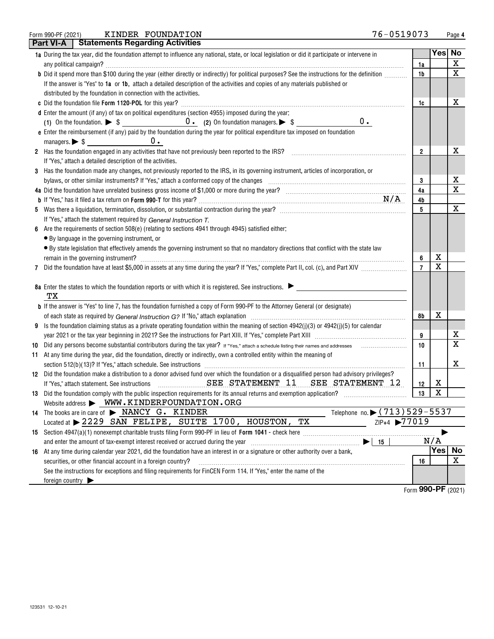| Form 990-PF (2021) | FOUNDATION<br><b>KINDER</b> | 0519073<br>76- | Page |
|--------------------|-----------------------------|----------------|------|
|                    |                             |                |      |

|    | Part VI-A       | <b>Statements Regarding Activities</b>                                                                                                          |                |        |                    |
|----|-----------------|-------------------------------------------------------------------------------------------------------------------------------------------------|----------------|--------|--------------------|
|    |                 | 1a During the tax year, did the foundation attempt to influence any national, state, or local legislation or did it participate or intervene in |                |        | Yes No             |
|    |                 |                                                                                                                                                 | 1a             |        | X                  |
|    |                 | b Did it spend more than \$100 during the year (either directly or indirectly) for political purposes? See the instructions for the definition  | 1b             |        | $\mathbf X$        |
|    |                 | If the answer is "Yes" to 1a or 1b, attach a detailed description of the activities and copies of any materials published or                    |                |        |                    |
|    |                 | distributed by the foundation in connection with the activities.                                                                                |                |        |                    |
|    |                 |                                                                                                                                                 | 1c             |        | х                  |
|    |                 | d Enter the amount (if any) of tax on political expenditures (section 4955) imposed during the year:                                            |                |        |                    |
|    |                 | $0$ .                                                                                                                                           |                |        |                    |
|    |                 | e Enter the reimbursement (if any) paid by the foundation during the year for political expenditure tax imposed on foundation                   |                |        |                    |
|    |                 | managers. $\triangleright$ \$ $\_\_\_\_\_\_\_\_\_\_\_\_\_$<br>$0$ .                                                                             |                |        |                    |
|    |                 | 2 Has the foundation engaged in any activities that have not previously been reported to the IRS?                                               | $\overline{2}$ |        | x                  |
|    |                 | If "Yes," attach a detailed description of the activities.                                                                                      |                |        |                    |
| 3  |                 | Has the foundation made any changes, not previously reported to the IRS, in its governing instrument, articles of incorporation, or             |                |        |                    |
|    |                 | bylaws, or other similar instruments? If "Yes," attach a conformed copy of the changes                                                          | 3              |        | х                  |
|    |                 |                                                                                                                                                 | 4a             |        | X                  |
|    |                 |                                                                                                                                                 | 4b             |        |                    |
|    |                 |                                                                                                                                                 | 5              |        | Х                  |
|    |                 | If "Yes," attach the statement required by General Instruction T.                                                                               |                |        |                    |
| 6  |                 | Are the requirements of section 508(e) (relating to sections 4941 through 4945) satisfied either:                                               |                |        |                    |
|    |                 | • By language in the governing instrument, or                                                                                                   |                |        |                    |
|    |                 | • By state legislation that effectively amends the governing instrument so that no mandatory directions that conflict with the state law        |                |        |                    |
|    |                 |                                                                                                                                                 | 6              | х      |                    |
| 7  |                 |                                                                                                                                                 |                | X      |                    |
|    |                 |                                                                                                                                                 |                |        |                    |
|    |                 | 8a Enter the states to which the foundation reports or with which it is registered. See instructions.                                           |                |        |                    |
|    | TХ              |                                                                                                                                                 |                |        |                    |
|    |                 | <b>b</b> If the answer is "Yes" to line 7, has the foundation furnished a copy of Form 990-PF to the Attorney General (or designate)            |                |        |                    |
|    |                 |                                                                                                                                                 | 8b             | х      |                    |
| 9  |                 | Is the foundation claiming status as a private operating foundation within the meaning of section $4942(j)(3)$ or $4942(j)(5)$ for calendar     |                |        |                    |
|    |                 |                                                                                                                                                 | 9              |        | х                  |
| 10 |                 |                                                                                                                                                 | 10             |        | X                  |
|    |                 | 11 At any time during the year, did the foundation, directly or indirectly, own a controlled entity within the meaning of                       |                |        |                    |
|    |                 |                                                                                                                                                 | 11             |        | x                  |
|    |                 | 12 Did the foundation make a distribution to a donor advised fund over which the foundation or a disqualified person had advisory privileges?   |                |        |                    |
|    |                 | SEE STATEMENT 11 SEE STATEMENT 12<br>If "Yes," attach statement. See instructions                                                               | 12             | х<br>X |                    |
|    |                 |                                                                                                                                                 | 13             |        |                    |
|    |                 | Website address > WWW.KINDERFOUNDATION.ORG<br>Telephone no. • (713) 529-5537<br>14 The books are in care of > NANCY G. KINDER                   |                |        |                    |
|    |                 | Located at > 2229 SAN FELIPE, SUITE 1700, HOUSTON, TX<br>ZIP+4 >77019                                                                           |                |        |                    |
|    |                 |                                                                                                                                                 |                |        |                    |
|    |                 | and enter the amount of tax-exempt interest received or accrued during the year<br>15                                                           |                | N/A    |                    |
|    |                 | 16 At any time during calendar year 2021, did the foundation have an interest in or a signature or other authority over a bank,                 |                | Yes    | No                 |
|    |                 | securities, or other financial account in a foreign country?                                                                                    | 16             |        | X                  |
|    |                 | See the instructions for exceptions and filing requirements for FinCEN Form 114. If "Yes," enter the name of the                                |                |        |                    |
|    | foreign country |                                                                                                                                                 |                |        |                    |
|    |                 |                                                                                                                                                 |                |        | Form 990-PF (2021) |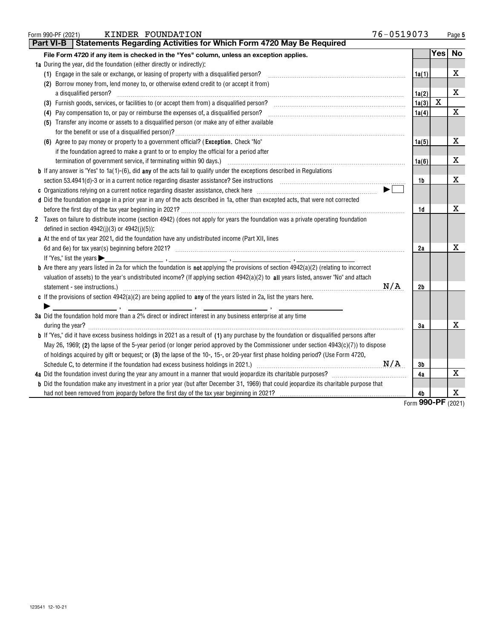| KINDER FOUNDATION<br>Form 990-PF (2021)                                                                                                                                                                                                                                                | 76-0519073 |       |                   | Page 5    |
|----------------------------------------------------------------------------------------------------------------------------------------------------------------------------------------------------------------------------------------------------------------------------------------|------------|-------|-------------------|-----------|
| Statements Regarding Activities for Which Form 4720 May Be Required<br>Part VI-B                                                                                                                                                                                                       |            |       |                   |           |
| File Form 4720 if any item is checked in the "Yes" column, unless an exception applies.                                                                                                                                                                                                |            |       | Yes               | <b>No</b> |
| 1a During the year, did the foundation (either directly or indirectly):                                                                                                                                                                                                                |            |       |                   |           |
| (1) Engage in the sale or exchange, or leasing of property with a disqualified person?                                                                                                                                                                                                 |            | 1a(1) |                   | Х         |
| (2) Borrow money from, lend money to, or otherwise extend credit to (or accept it from)                                                                                                                                                                                                |            |       |                   |           |
| a disqualified person?                                                                                                                                                                                                                                                                 |            | 1a(2) |                   | x         |
|                                                                                                                                                                                                                                                                                        |            | 1a(3) | X                 |           |
| (4) Pay compensation to, or pay or reimburse the expenses of, a disqualified person? [11] may compensation to, or pay or reimburse the expenses of, a disqualified person? [11] may compensation to, or pay or reimburse                                                               |            | 1a(4) |                   | X         |
| (5) Transfer any income or assets to a disqualified person (or make any of either available                                                                                                                                                                                            |            |       |                   |           |
| (6) Agree to pay money or property to a government official? (Exception. Check "No"                                                                                                                                                                                                    |            | 1a(5) |                   | X         |
| if the foundation agreed to make a grant to or to employ the official for a period after                                                                                                                                                                                               |            |       |                   |           |
|                                                                                                                                                                                                                                                                                        |            | 1a(6) |                   | X         |
| <b>b</b> If any answer is "Yes" to 1a(1)-(6), did any of the acts fail to qualify under the exceptions described in Regulations                                                                                                                                                        |            |       |                   |           |
| section 53.4941(d)-3 or in a current notice regarding disaster assistance? See instructions [100] and the section 53.4941(d)-3 or in a current notice regarding disaster assistance? See instructions [100] and the section 53                                                         |            | 1b    |                   | X         |
|                                                                                                                                                                                                                                                                                        |            |       |                   |           |
| d Did the foundation engage in a prior year in any of the acts described in 1a, other than excepted acts, that were not corrected                                                                                                                                                      |            |       |                   |           |
|                                                                                                                                                                                                                                                                                        |            | 1d    |                   | х         |
| 2 Taxes on failure to distribute income (section 4942) (does not apply for years the foundation was a private operating foundation<br>defined in section $4942(j)(3)$ or $4942(j)(5)$ :                                                                                                |            |       |                   |           |
| a At the end of tax year 2021, did the foundation have any undistributed income (Part XII, lines                                                                                                                                                                                       |            |       |                   |           |
|                                                                                                                                                                                                                                                                                        |            | 2a    |                   | х         |
|                                                                                                                                                                                                                                                                                        |            |       |                   |           |
| <b>b</b> Are there any years listed in 2a for which the foundation is not applying the provisions of section 4942(a)(2) (relating to incorrect<br>valuation of assets) to the year's undistributed income? (If applying section 4942(a)(2) to all years listed, answer "No" and attach |            |       |                   |           |
| statement - see instructions.) 2000 million and the international contract of the international contract of the international contract of the international contract of the international contract of the international contra                                                         | N/A        | 2b    |                   |           |
| c If the provisions of section $4942(a)(2)$ are being applied to any of the years listed in 2a, list the years here.                                                                                                                                                                   |            |       |                   |           |
| 3a Did the foundation hold more than a 2% direct or indirect interest in any business enterprise at any time                                                                                                                                                                           |            |       |                   |           |
| during the year? <b>William Commission Commission Commission</b> Commission Commission Commission Commission                                                                                                                                                                           |            | 3a    |                   | x         |
| <b>b</b> If "Yes," did it have excess business holdings in 2021 as a result of (1) any purchase by the foundation or disqualified persons after                                                                                                                                        |            |       |                   |           |
| May 26, 1969; (2) the lapse of the 5-year period (or longer period approved by the Commissioner under section $4943(c)(7)$ ) to dispose                                                                                                                                                |            |       |                   |           |
| of holdings acquired by gift or bequest; or (3) the lapse of the 10-, 15-, or 20-year first phase holding period? (Use Form 4720,                                                                                                                                                      |            |       |                   |           |
|                                                                                                                                                                                                                                                                                        |            | 3b    |                   |           |
|                                                                                                                                                                                                                                                                                        |            | 4a    |                   | X         |
| <b>b</b> Did the foundation make any investment in a prior year (but after December 31, 1969) that could jeopardize its charitable purpose that                                                                                                                                        |            |       |                   |           |
|                                                                                                                                                                                                                                                                                        |            | 4b    | $000$ DE $(0001)$ | х         |

Form (2021) **990-PF**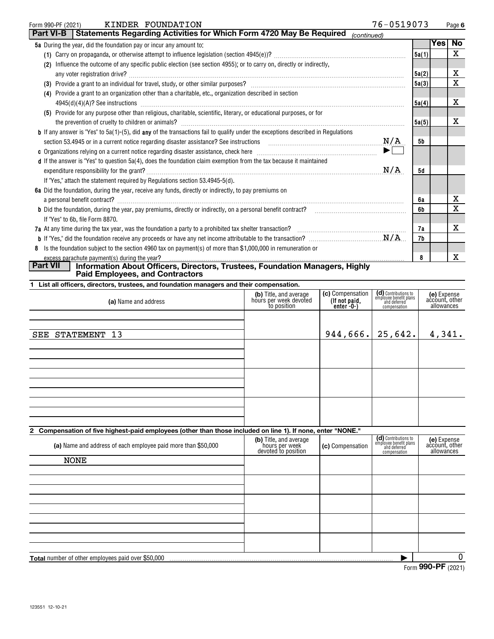| Form 990-PF (2021) |                                                                           | KINDER FOUNDATION                                                                                                                                                                                                                | 76-0519073  |       |            | Page 6      |
|--------------------|---------------------------------------------------------------------------|----------------------------------------------------------------------------------------------------------------------------------------------------------------------------------------------------------------------------------|-------------|-------|------------|-------------|
| <b>Part VI-B</b>   |                                                                           | Statements Regarding Activities for Which Form 4720 May Be Required                                                                                                                                                              | (continued) |       |            |             |
|                    | <b>5a</b> During the year, did the foundation pay or incur any amount to: |                                                                                                                                                                                                                                  |             |       | <b>Yes</b> | <b>No</b>   |
|                    |                                                                           |                                                                                                                                                                                                                                  |             | 5a(1) |            | X           |
| (2)                |                                                                           | Influence the outcome of any specific public election (see section 4955); or to carry on, directly or indirectly,                                                                                                                |             |       |            |             |
|                    | any voter registration drive?                                             |                                                                                                                                                                                                                                  |             | 5a(2) |            | х           |
|                    |                                                                           |                                                                                                                                                                                                                                  |             | 5a(3) |            | X           |
|                    |                                                                           | (4) Provide a grant to an organization other than a charitable, etc., organization described in section                                                                                                                          |             |       |            |             |
|                    |                                                                           |                                                                                                                                                                                                                                  |             | 5a(4) |            | X           |
|                    |                                                                           | (5) Provide for any purpose other than religious, charitable, scientific, literary, or educational purposes, or for                                                                                                              |             |       |            |             |
|                    | the prevention of cruelty to children or animals?                         |                                                                                                                                                                                                                                  |             | 5a(5) |            | x           |
|                    |                                                                           | <b>b</b> If any answer is "Yes" to 5a(1)-(5), did any of the transactions fail to qualify under the exceptions described in Regulations                                                                                          |             |       |            |             |
|                    |                                                                           | section 53.4945 or in a current notice regarding disaster assistance? See instructions                                                                                                                                           | N/A         | 5b    |            |             |
|                    |                                                                           |                                                                                                                                                                                                                                  | ▶∣          |       |            |             |
|                    |                                                                           | d If the answer is "Yes" to question 5a(4), does the foundation claim exemption from the tax because it maintained                                                                                                               |             |       |            |             |
|                    |                                                                           |                                                                                                                                                                                                                                  | N/A         | 5d    |            |             |
|                    |                                                                           | If "Yes," attach the statement required by Regulations section 53.4945-5(d).                                                                                                                                                     |             |       |            |             |
|                    |                                                                           | 6a Did the foundation, during the year, receive any funds, directly or indirectly, to pay premiums on                                                                                                                            |             |       |            |             |
|                    |                                                                           |                                                                                                                                                                                                                                  |             | 6a    |            | X           |
|                    |                                                                           |                                                                                                                                                                                                                                  |             | 6b    |            | $\mathbf X$ |
|                    | If "Yes" to 6b, file Form 8870.                                           |                                                                                                                                                                                                                                  |             |       |            |             |
|                    |                                                                           | 7a At any time during the tax year, was the foundation a party to a prohibited tax shelter transaction?<br>The management of the community contains the community of the term of the term of the term of the term of the term of |             | 7а    |            | x           |
|                    |                                                                           |                                                                                                                                                                                                                                  |             | 7b    |            |             |
| 8                  |                                                                           | Is the foundation subject to the section 4960 tax on payment(s) of more than \$1,000,000 in remuneration or                                                                                                                      |             |       |            |             |
|                    | excess parachute payment(s) during the year?                              |                                                                                                                                                                                                                                  |             | 8     |            | x           |
| <b>Part VII</b>    |                                                                           | Information About Officers, Directors, Trustees, Foundation Managers, Highly                                                                                                                                                     |             |       |            |             |

**Paid Employees, and Contractors**

| (a) Name and address                                                                                        | (b) Title, and average<br>hours per week devoted<br>to position | (c) Compensation<br>(If not paid,<br>$enter - 0-1$ | (d) Contributions to<br>employee benefit plans<br>and deferred<br>compensation | (e) Expense<br>account, other<br>allowances |
|-------------------------------------------------------------------------------------------------------------|-----------------------------------------------------------------|----------------------------------------------------|--------------------------------------------------------------------------------|---------------------------------------------|
| SEE STATEMENT 13                                                                                            |                                                                 | $944, 666$ . 25,642.                               |                                                                                | 4,341.                                      |
|                                                                                                             |                                                                 |                                                    |                                                                                |                                             |
|                                                                                                             |                                                                 |                                                    |                                                                                |                                             |
|                                                                                                             |                                                                 |                                                    |                                                                                |                                             |
|                                                                                                             |                                                                 |                                                    |                                                                                |                                             |
| 2 Compensation of five highest-paid employees (other than those included on line 1). If none, enter "NONE." |                                                                 |                                                    | $\mathbf{A}$ and $\mathbf{A}$ and $\mathbf{A}$ and $\mathbf{A}$                |                                             |

| (a) Name and address of each employee paid more than \$50,000 | <b>(b)</b> Title, and average<br>hours per week<br>devoted to position | (c) Compensation | (CI) Contributions to<br>employee benefit plans<br>and deferred<br>compensation | (e) Expense<br>account, other<br>allowances |
|---------------------------------------------------------------|------------------------------------------------------------------------|------------------|---------------------------------------------------------------------------------|---------------------------------------------|
| <b>NONE</b>                                                   |                                                                        |                  |                                                                                 |                                             |
|                                                               |                                                                        |                  |                                                                                 |                                             |
|                                                               |                                                                        |                  |                                                                                 |                                             |
|                                                               |                                                                        |                  |                                                                                 |                                             |
|                                                               |                                                                        |                  |                                                                                 |                                             |
|                                                               |                                                                        |                  |                                                                                 |                                             |
|                                                               |                                                                        |                  |                                                                                 |                                             |
| <b>Total</b> number of other employees paid over \$50,000     |                                                                        |                  |                                                                                 |                                             |
|                                                               |                                                                        |                  | $\sim$                                                                          | $000 \n\mathsf{DE}$ $(000 \n\mathsf{DE})$   |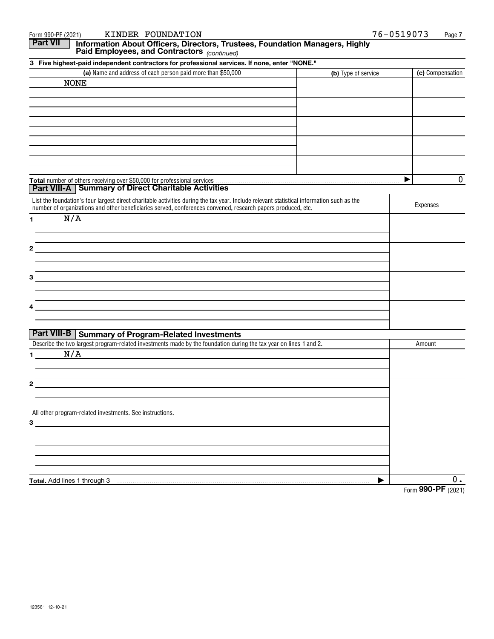| KINDER FOUNDATION<br>Form 990-PF (2021)                                                                                                                                                                                                                   | 76-0519073          | Page 7             |
|-----------------------------------------------------------------------------------------------------------------------------------------------------------------------------------------------------------------------------------------------------------|---------------------|--------------------|
| <b>Part VII</b><br>Information About Officers, Directors, Trustees, Foundation Managers, Highly<br>Paid Employees, and Contractors (continued)                                                                                                            |                     |                    |
| 3 Five highest-paid independent contractors for professional services. If none, enter "NONE."                                                                                                                                                             |                     |                    |
| (a) Name and address of each person paid more than \$50,000                                                                                                                                                                                               | (b) Type of service | (c) Compensation   |
| <b>NONE</b>                                                                                                                                                                                                                                               |                     |                    |
|                                                                                                                                                                                                                                                           |                     |                    |
|                                                                                                                                                                                                                                                           |                     |                    |
|                                                                                                                                                                                                                                                           |                     |                    |
|                                                                                                                                                                                                                                                           |                     |                    |
|                                                                                                                                                                                                                                                           |                     |                    |
|                                                                                                                                                                                                                                                           |                     |                    |
|                                                                                                                                                                                                                                                           |                     |                    |
|                                                                                                                                                                                                                                                           |                     |                    |
|                                                                                                                                                                                                                                                           |                     |                    |
| <b>Part VIII-A   Summary of Direct Charitable Activities</b>                                                                                                                                                                                              | ▶                   | 0                  |
|                                                                                                                                                                                                                                                           |                     |                    |
| List the foundation's four largest direct charitable activities during the tax year. Include relevant statistical information such as the<br>number of organizations and other beneficiaries served, conferences convened, research papers produced, etc. |                     | Expenses           |
| N/A<br>1.                                                                                                                                                                                                                                                 |                     |                    |
|                                                                                                                                                                                                                                                           |                     |                    |
|                                                                                                                                                                                                                                                           |                     |                    |
| 2                                                                                                                                                                                                                                                         |                     |                    |
|                                                                                                                                                                                                                                                           |                     |                    |
|                                                                                                                                                                                                                                                           |                     |                    |
| З                                                                                                                                                                                                                                                         |                     |                    |
|                                                                                                                                                                                                                                                           |                     |                    |
|                                                                                                                                                                                                                                                           |                     |                    |
|                                                                                                                                                                                                                                                           |                     |                    |
|                                                                                                                                                                                                                                                           |                     |                    |
| <b>Part VIII-B   Summary of Program-Related Investments</b>                                                                                                                                                                                               |                     |                    |
| Describe the two largest program-related investments made by the foundation during the tax year on lines 1 and 2.                                                                                                                                         |                     | Amount             |
| N/A<br>1.                                                                                                                                                                                                                                                 |                     |                    |
|                                                                                                                                                                                                                                                           |                     |                    |
|                                                                                                                                                                                                                                                           |                     |                    |
| 2                                                                                                                                                                                                                                                         |                     |                    |
|                                                                                                                                                                                                                                                           |                     |                    |
|                                                                                                                                                                                                                                                           |                     |                    |
| All other program-related investments. See instructions.                                                                                                                                                                                                  |                     |                    |
| $3 \qquad \qquad$                                                                                                                                                                                                                                         |                     |                    |
|                                                                                                                                                                                                                                                           |                     |                    |
|                                                                                                                                                                                                                                                           |                     |                    |
|                                                                                                                                                                                                                                                           |                     |                    |
|                                                                                                                                                                                                                                                           |                     |                    |
| Total. Add lines 1 through 3                                                                                                                                                                                                                              | ▶                   | $0$ .              |
|                                                                                                                                                                                                                                                           |                     | Form 990-PF (2021) |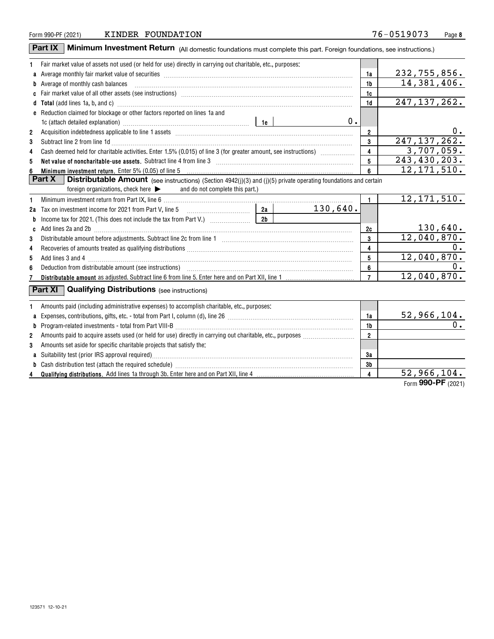| Form 990-PF (2021) | FOUNDATION<br>KINDER | 76-0519073 | Page |
|--------------------|----------------------|------------|------|
|--------------------|----------------------|------------|------|

**Part IX** | Minimum Investment Return (All domestic foundations must complete this part. Foreign foundations, see instructions.)

| 1  | Fair market value of assets not used (or held for use) directly in carrying out charitable, etc., purposes:                                                                                                                                                                                                                                                                                                                                                 |                         |                             |
|----|-------------------------------------------------------------------------------------------------------------------------------------------------------------------------------------------------------------------------------------------------------------------------------------------------------------------------------------------------------------------------------------------------------------------------------------------------------------|-------------------------|-----------------------------|
|    | a Average monthly fair market value of securities [111] match match match and a securities with the securities match match match match match match match match match match match match match match match match match match mat                                                                                                                                                                                                                              | 1a                      | 232,755,856.                |
|    | <b>b</b> Average of monthly cash balances                                                                                                                                                                                                                                                                                                                                                                                                                   | 1 <sub>b</sub>          | 14,381,406.                 |
|    |                                                                                                                                                                                                                                                                                                                                                                                                                                                             | 1c                      |                             |
|    | d Total (add lines 1a, b, and c) manufactured and control of the control of the control of the control of the control of the control of the control of the control of the control of the control of the control of the control                                                                                                                                                                                                                              | 1d                      | 247, 137, 262.              |
|    | e Reduction claimed for blockage or other factors reported on lines 1a and                                                                                                                                                                                                                                                                                                                                                                                  |                         |                             |
|    | $0$ .                                                                                                                                                                                                                                                                                                                                                                                                                                                       |                         |                             |
| 2  |                                                                                                                                                                                                                                                                                                                                                                                                                                                             | $\overline{2}$          | 0.                          |
| 3  | Subtract line 2 from line 1d <b>Machinese and Contract Line 2</b> from line 1d <b>machinese and contract line 2</b> from line 1d                                                                                                                                                                                                                                                                                                                            | 3                       | 247, 137, 262.              |
| 4  | Cash deemed held for charitable activities. Enter 1.5% (0.015) of line 3 (for greater amount, see instructions)                                                                                                                                                                                                                                                                                                                                             | 4                       | 3,707,059.                  |
| 5  | Net value of noncharitable-use assets. Subtract line 4 from line 3 [11] manufacture contract the contract of noncharitable-use assets. Subtract line 4 from line 3                                                                                                                                                                                                                                                                                          | 5                       | 243,430,203.                |
|    | Minimum investment return. Enter 5% (0.05) of line 5                                                                                                                                                                                                                                                                                                                                                                                                        | 6                       | $\overline{12}$ , 171, 510. |
|    | Part X<br><b>Distributable Amount</b> (see instructions) (Section 4942(j)(3) and (j)(5) private operating foundations and certain                                                                                                                                                                                                                                                                                                                           |                         |                             |
|    | and do not complete this part.)<br>foreign organizations, check here $\blacktriangleright$                                                                                                                                                                                                                                                                                                                                                                  |                         |                             |
| 1  |                                                                                                                                                                                                                                                                                                                                                                                                                                                             | $\mathbf{1}$            | $\overline{12}$ , 171, 510. |
| 2a | Tax on investment income for 2021 from Part V, line 5 $\frac{2a}{2a}$<br>130,640.                                                                                                                                                                                                                                                                                                                                                                           |                         |                             |
| b  | Income tax for 2021. (This does not include the tax from Part V.) $\frac{2b}{1}$                                                                                                                                                                                                                                                                                                                                                                            |                         |                             |
| C  | Add lines 2a and 2b [11] matter contract the contract of the contract of the contract of the contract of the contract of the contract of the contract of the contract of the contract of the contract of the contract of the c                                                                                                                                                                                                                              | 2c                      | 130,640.                    |
| 3  |                                                                                                                                                                                                                                                                                                                                                                                                                                                             | 3                       | 12,040,870.                 |
| 4  |                                                                                                                                                                                                                                                                                                                                                                                                                                                             | 4                       | 0.                          |
| 5  |                                                                                                                                                                                                                                                                                                                                                                                                                                                             | 5                       | 12,040,870.                 |
| 6  |                                                                                                                                                                                                                                                                                                                                                                                                                                                             | 6                       | 0.                          |
|    |                                                                                                                                                                                                                                                                                                                                                                                                                                                             | $\overline{7}$          | 12,040,870.                 |
|    | Part $XI$<br><b>Qualifying Distributions</b> (see instructions)                                                                                                                                                                                                                                                                                                                                                                                             |                         |                             |
| 1  | Amounts paid (including administrative expenses) to accomplish charitable, etc., purposes:                                                                                                                                                                                                                                                                                                                                                                  |                         |                             |
| a  |                                                                                                                                                                                                                                                                                                                                                                                                                                                             | 1a                      | $\frac{52,966,104.}{5}$     |
| b  | ${\color{red}Program-related\textbf{ }investments\textbf{ - total from Part VIII-B}\textbf{ }}\textbf{.}\textbf{}\textbf{.}.\textbf{}\textbf{.}.\textbf{}\textbf{.}.\textbf{}\textbf{.}.\textbf{}\textbf{.}.\textbf{}\textbf{.}.\textbf{}\textbf{.}.\textbf{}\textbf{.}.\textbf{}\textbf{.}.\textbf{}\textbf{.}.\textbf{}\textbf{.}.\textbf{}\textbf{.}.\textbf{}\textbf{.}.\textbf{}\textbf{.}.\textbf{}\textbf{.}.\textbf{}\textbf{.}.\textbf{}\textbf{.$ | 1b                      |                             |
| 2  |                                                                                                                                                                                                                                                                                                                                                                                                                                                             | $\overline{2}$          |                             |
| 3  | Amounts set aside for specific charitable projects that satisfy the:                                                                                                                                                                                                                                                                                                                                                                                        |                         |                             |
|    |                                                                                                                                                                                                                                                                                                                                                                                                                                                             | 3a                      |                             |
| b  |                                                                                                                                                                                                                                                                                                                                                                                                                                                             | 3 <sub>b</sub>          |                             |
| 4  |                                                                                                                                                                                                                                                                                                                                                                                                                                                             | $\overline{\mathbf{4}}$ | 52,966,104.                 |
|    |                                                                                                                                                                                                                                                                                                                                                                                                                                                             |                         | Form 990-PF (2021)          |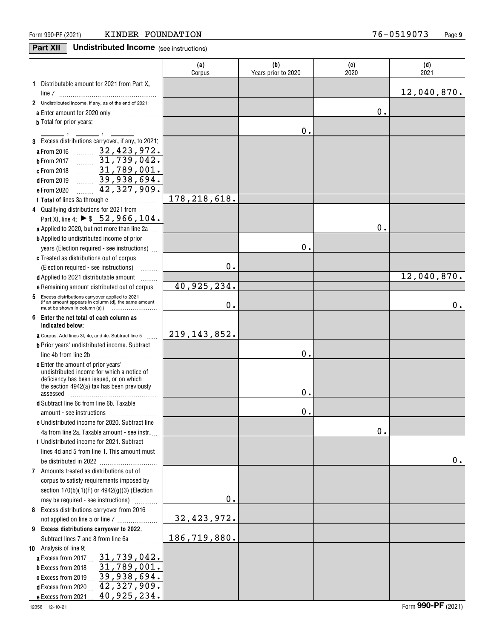# **Part XII** Undistributed Income (see instructions)

|                                                                                                                  | (a)<br>Corpus  | (b)<br>Years prior to 2020 | (c)<br>2020 | (d)<br>2021 |
|------------------------------------------------------------------------------------------------------------------|----------------|----------------------------|-------------|-------------|
| 1 Distributable amount for 2021 from Part X,                                                                     |                |                            |             |             |
|                                                                                                                  |                |                            |             | 12,040,870. |
| 2 Undistributed income, if any, as of the end of 2021:                                                           |                |                            |             |             |
|                                                                                                                  |                |                            | 0.          |             |
| <b>b</b> Total for prior years:                                                                                  |                |                            |             |             |
| 3 Excess distributions carryover, if any, to 2021:                                                               |                | 0.                         |             |             |
| a From 2016                                                                                                      |                |                            |             |             |
| $\frac{32,423,972}{31,739,042}$<br><b>b</b> From 2017                                                            |                |                            |             |             |
| 31,789,001.<br>c From 2018                                                                                       |                |                            |             |             |
| .<br>39,938,694.<br><b>d</b> From 2019                                                                           |                |                            |             |             |
| .<br>42,327,909.<br>e From 2020                                                                                  |                |                            |             |             |
|                                                                                                                  | 178, 218, 618. |                            |             |             |
| 4 Qualifying distributions for 2021 from                                                                         |                |                            |             |             |
| Part XI, line 4: ▶ \$52, 966, 104.                                                                               |                |                            |             |             |
| <b>a</b> Applied to 2020, but not more than line 2a $\ldots$                                                     |                |                            | 0.          |             |
| <b>b</b> Applied to undistributed income of prior                                                                |                |                            |             |             |
| years (Election required - see instructions)                                                                     |                | 0.                         |             |             |
| c Treated as distributions out of corpus                                                                         |                |                            |             |             |
| (Election required - see instructions)                                                                           | 0.             |                            |             |             |
| d Applied to 2021 distributable amount                                                                           |                |                            |             | 12,040,870. |
| .<br>e Remaining amount distributed out of corpus                                                                | 40,925,234.    |                            |             |             |
| 5<br>Excess distributions carryover applied to 2021                                                              |                |                            |             |             |
| (If an amount appears in column (d), the same amount<br>must be shown in column (a).) $\ldots$ $\ldots$ $\ldots$ | 0.             |                            |             | $0$ .       |
| 6<br>Enter the net total of each column as<br>indicated below;                                                   |                |                            |             |             |
| <b>a</b> Corpus. Add lines 3f, 4c, and 4e. Subtract line 5                                                       | 219, 143, 852. |                            |             |             |
| <b>b</b> Prior years' undistributed income. Subtract                                                             |                |                            |             |             |
| line 4b from line 2b                                                                                             |                | 0.                         |             |             |
| <b>c</b> Enter the amount of prior years'                                                                        |                |                            |             |             |
| undistributed income for which a notice of<br>deficiency has been issued, or on which                            |                |                            |             |             |
| the section 4942(a) tax has been previously                                                                      |                |                            |             |             |
| assessed                                                                                                         |                | 0.                         |             |             |
| d Subtract line 6c from line 6b. Taxable                                                                         |                |                            |             |             |
|                                                                                                                  |                | $0$ .                      |             |             |
| e Undistributed income for 2020. Subtract line                                                                   |                |                            |             |             |
| 4a from line 2a. Taxable amount - see instr.                                                                     |                |                            | 0.          |             |
| f Undistributed income for 2021. Subtract                                                                        |                |                            |             |             |
| lines 4d and 5 from line 1. This amount must                                                                     |                |                            |             |             |
| be distributed in 2022                                                                                           |                |                            |             | 0.          |
| 7 Amounts treated as distributions out of                                                                        |                |                            |             |             |
| corpus to satisfy requirements imposed by                                                                        |                |                            |             |             |
| section $170(b)(1)(F)$ or $4942(g)(3)$ (Election                                                                 | 0.             |                            |             |             |
| may be required - see instructions)                                                                              |                |                            |             |             |
| 8 Excess distributions carryover from 2016                                                                       | 32, 423, 972.  |                            |             |             |
| 9 Excess distributions carryover to 2022.                                                                        |                |                            |             |             |
| Subtract lines 7 and 8 from line 6a                                                                              | 186,719,880.   |                            |             |             |
| 10 Analysis of line 9:                                                                                           |                |                            |             |             |
| a Excess from 2017  31,739,042.                                                                                  |                |                            |             |             |
| b Excess from 2018  31, 789, 001.                                                                                |                |                            |             |             |
| c Excess from 2019  39, 938, 694.                                                                                |                |                            |             |             |
| d Excess from 2020 $\,\_$   42, 327, 909.                                                                        |                |                            |             |             |
| 40,925,234.<br>e Excess from 2021                                                                                |                |                            |             |             |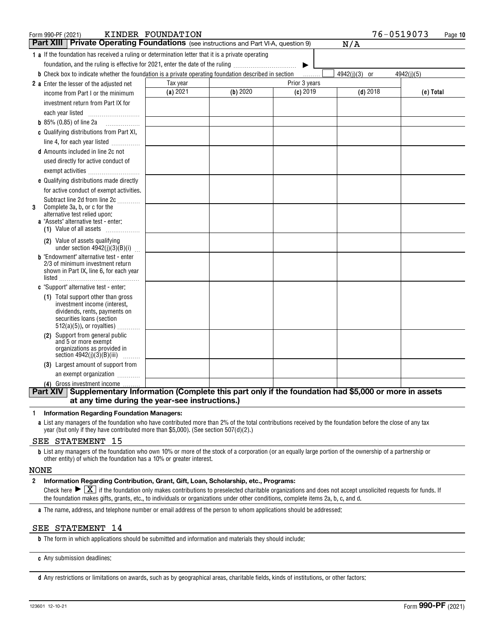| KINDER FOUNDATION<br>Form 990-PF (2021)<br><b>Part XIII Private Operating Foundations</b> (see instructions and Part VI-A, question 9)     |          |          |               | 76-0519073<br>N/A | Page 10    |
|--------------------------------------------------------------------------------------------------------------------------------------------|----------|----------|---------------|-------------------|------------|
| <b>1 a</b> If the foundation has received a ruling or determination letter that it is a private operating                                  |          |          |               |                   |            |
| foundation, and the ruling is effective for 2021, enter the date of the ruling                                                             |          |          | ▶             |                   |            |
| <b>b</b> Check box to indicate whether the foundation is a private operating foundation described in section                               |          |          | .             | $4942(i)(3)$ or   | 4942(i)(5) |
| 2 a Enter the lesser of the adjusted net                                                                                                   | Tax year |          | Prior 3 years |                   |            |
| income from Part I or the minimum                                                                                                          | (a) 2021 | (b) 2020 | $(c)$ 2019    | $(d)$ 2018        | (e) Total  |
| investment return from Part IX for                                                                                                         |          |          |               |                   |            |
| each year listed                                                                                                                           |          |          |               |                   |            |
| <b>b</b> 85% (0.85) of line 2a $\ldots$                                                                                                    |          |          |               |                   |            |
| c Qualifying distributions from Part XI,                                                                                                   |          |          |               |                   |            |
| line 4, for each year listed                                                                                                               |          |          |               |                   |            |
| <b>d</b> Amounts included in line 2c not                                                                                                   |          |          |               |                   |            |
| used directly for active conduct of                                                                                                        |          |          |               |                   |            |
| exempt activities                                                                                                                          |          |          |               |                   |            |
| e Qualifying distributions made directly                                                                                                   |          |          |               |                   |            |
| for active conduct of exempt activities.                                                                                                   |          |          |               |                   |            |
| Subtract line 2d from line 2c                                                                                                              |          |          |               |                   |            |
| Complete 3a, b, or c for the<br>3<br>alternative test relied upon:                                                                         |          |          |               |                   |            |
| a "Assets" alternative test - enter:                                                                                                       |          |          |               |                   |            |
| (1) Value of all assets                                                                                                                    |          |          |               |                   |            |
| (2) Value of assets qualifying<br>under section $4942(j)(3)(B)(i)$                                                                         |          |          |               |                   |            |
| <b>b</b> "Endowment" alternative test - enter                                                                                              |          |          |               |                   |            |
| 2/3 of minimum investment return<br>shown in Part IX, line 6, for each year                                                                |          |          |               |                   |            |
|                                                                                                                                            |          |          |               |                   |            |
| c "Support" alternative test - enter:                                                                                                      |          |          |               |                   |            |
| (1) Total support other than gross                                                                                                         |          |          |               |                   |            |
| investment income (interest,<br>dividends, rents, payments on                                                                              |          |          |               |                   |            |
| securities loans (section                                                                                                                  |          |          |               |                   |            |
| $512(a)(5)$ , or royalties)                                                                                                                |          |          |               |                   |            |
| (2) Support from general public                                                                                                            |          |          |               |                   |            |
| and 5 or more exempt<br>organizations as provided in                                                                                       |          |          |               |                   |            |
| section $4942(j)(3)(B)(iii)$<br>.                                                                                                          |          |          |               |                   |            |
| (3) Largest amount of support from                                                                                                         |          |          |               |                   |            |
| an exempt organization                                                                                                                     |          |          |               |                   |            |
| (4) Gross investment income<br>Part XIV Supplementary Information (Complete this part only if the foundation had \$5,000 or more in assets |          |          |               |                   |            |

#### **1Information Regarding Foundation Managers:**

**a**List any managers of the foundation who have contributed more than 2% of the total contributions received by the foundation before the close of any tax year (but only if they have contributed more than \$5,000). (See section 507(d)(2).)

#### SEE STATEMENT 15

**b**List any managers of the foundation who own 10% or more of the stock of a corporation (or an equally large portion of the ownership of a partnership or other entity) of which the foundation has a 10% or greater interest.

#### NONE

#### **2Information Regarding Contribution, Grant, Gift, Loan, Scholarship, etc., Programs:**

Check here  $\blacktriangleright \boxed{\text{X}}$  if the foundation only makes contributions to preselected charitable organizations and does not accept unsolicited requests for funds. If<br>the foundation makes gifts, grants, etc., to individuals the foundation makes gifts, grants, etc., to individuals or organizations under other conditions, complete items 2a, b, c, and d.

**a**The name, address, and telephone number or email address of the person to whom applications should be addressed:

### SEE STATEMENT 14

**b**The form in which applications should be submitted and information and materials they should include:

**c**Any submission deadlines:

**d** Any restrictions or limitations on awards, such as by geographical areas, charitable fields, kinds of institutions, or other factors: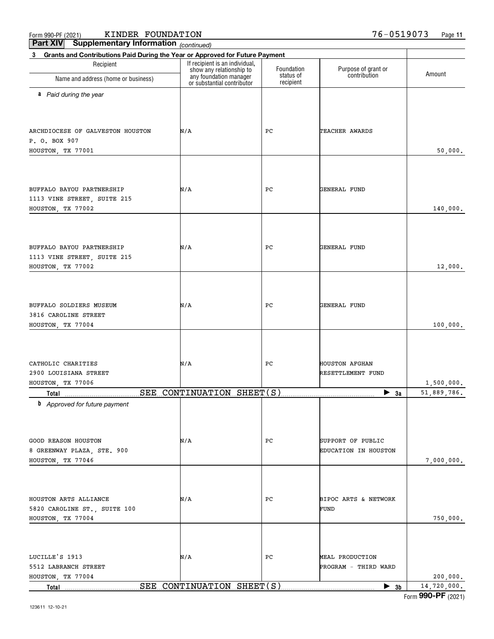**Total**

Form (2021) **990-PF**

 $\bullet$  3b | 14,720,000.

| Recipient                                       | If recipient is an individual,<br>show any relationship to | Foundation             | Purpose of grant or                        |             |
|-------------------------------------------------|------------------------------------------------------------|------------------------|--------------------------------------------|-------------|
| Name and address (home or business)             | any foundation manager<br>or substantial contributor       | status of<br>recipient | contribution                               | Amount      |
| a Paid during the year                          |                                                            |                        |                                            |             |
|                                                 |                                                            |                        |                                            |             |
|                                                 |                                                            |                        |                                            |             |
| ARCHDIOCESE OF GALVESTON HOUSTON                | N/A                                                        | PС                     | TEACHER AWARDS                             |             |
| P. O. BOX 907<br>HOUSTON, TX 77001              |                                                            |                        |                                            | 50,000.     |
|                                                 |                                                            |                        |                                            |             |
|                                                 |                                                            |                        |                                            |             |
| BUFFALO BAYOU PARTNERSHIP                       | N/A                                                        | PС                     | <b>GENERAL FUND</b>                        |             |
| 1113 VINE STREET, SUITE 215                     |                                                            |                        |                                            |             |
| HOUSTON, TX 77002                               |                                                            |                        |                                            | 140,000.    |
|                                                 |                                                            |                        |                                            |             |
|                                                 |                                                            |                        |                                            |             |
| BUFFALO BAYOU PARTNERSHIP                       | N/A                                                        | PС                     | <b>GENERAL FUND</b>                        |             |
| 1113 VINE STREET, SUITE 215                     |                                                            |                        |                                            |             |
| HOUSTON, TX 77002                               |                                                            |                        |                                            | 12,000.     |
|                                                 |                                                            |                        |                                            |             |
|                                                 |                                                            |                        |                                            |             |
| BUFFALO SOLDIERS MUSEUM                         | N/A                                                        | PС                     | <b>GENERAL FUND</b>                        |             |
| 3816 CAROLINE STREET<br>HOUSTON, TX 77004       |                                                            |                        |                                            | 100,000.    |
|                                                 |                                                            |                        |                                            |             |
|                                                 |                                                            |                        |                                            |             |
|                                                 |                                                            |                        |                                            |             |
| CATHOLIC CHARITIES<br>2900 LOUISIANA STREET     | N/A                                                        | PС                     | <b>HOUSTON AFGHAN</b><br>RESETTLEMENT FUND |             |
| HOUSTON, TX 77006                               |                                                            |                        |                                            | 1,500,000.  |
| Total                                           | SEE CONTINUATION SHEET(S)                                  |                        | $\blacktriangleright$ 3a                   | 51,889,786. |
| <b>b</b> Approved for future payment            |                                                            |                        |                                            |             |
|                                                 |                                                            |                        |                                            |             |
|                                                 |                                                            |                        |                                            |             |
| <b>GOOD REASON HOUSTON</b>                      | N/A                                                        | PС                     | SUPPORT OF PUBLIC                          |             |
| 8 GREENWAY PLAZA, STE. 900<br>HOUSTON, TX 77046 |                                                            |                        | EDUCATION IN HOUSTON                       | 7,000,000.  |
|                                                 |                                                            |                        |                                            |             |
|                                                 |                                                            |                        |                                            |             |
| HOUSTON ARTS ALLIANCE                           | N/A                                                        | PС                     | BIPOC ARTS & NETWORK                       |             |
| 5820 CAROLINE ST., SUITE 100                    |                                                            |                        | FUND                                       |             |
| HOUSTON, TX 77004                               |                                                            |                        |                                            | 750,000.    |
|                                                 |                                                            |                        |                                            |             |
|                                                 |                                                            |                        |                                            |             |
| LUCILLE'S 1913                                  | N/A                                                        | PС                     | MEAL PRODUCTION                            |             |
| 5512 LABRANCH STREET                            |                                                            |                        | PROGRAM - THIRD WARD                       |             |
| HOUSTON, TX 77004                               |                                                            |                        |                                            | 200,000.    |

**3b** SEE CONTINUATION SHEET(S)

**Part XIV Supplementary Information**

**3 Grants and Contributions Paid During the Year or Approved for Future Payment**

*(continued)*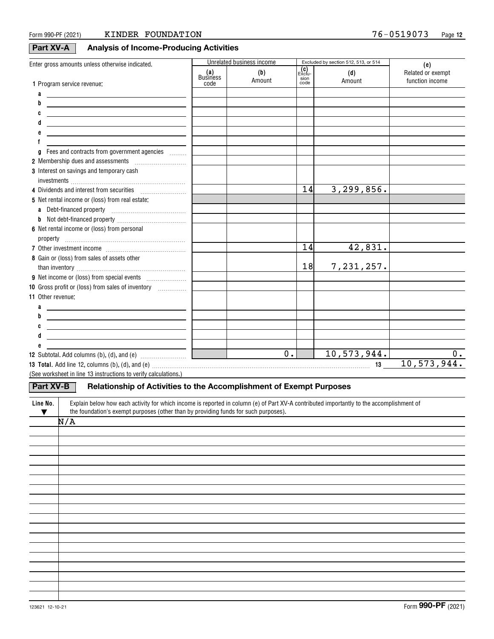# **Part XV-A Analysis of Income-Producing Activities**

| Enter gross amounts unless otherwise indicated.                                                                                                                                                                                |                 | Unrelated business income |                       | Excluded by section 512, 513, or 514 | (e)                                  |
|--------------------------------------------------------------------------------------------------------------------------------------------------------------------------------------------------------------------------------|-----------------|---------------------------|-----------------------|--------------------------------------|--------------------------------------|
|                                                                                                                                                                                                                                | (a)<br>Business | (b)<br>Amount             | (C)<br>Exclu-<br>sion | (d)<br>Amount                        | Related or exempt<br>function income |
| 1 Program service revenue:                                                                                                                                                                                                     | code            |                           | code                  |                                      |                                      |
| a                                                                                                                                                                                                                              |                 |                           |                       |                                      |                                      |
| b<br><u> 1980 - Johann Barbara, martxa alemaniar amerikan baratzaren 1980an (h. 1980).</u>                                                                                                                                     |                 |                           |                       |                                      |                                      |
| <u> 1989 - Johann John Stone, markin fizik eta idazlearia (h. 1982).</u>                                                                                                                                                       |                 |                           |                       |                                      |                                      |
| <u> 1989 - Johann Barn, mars ann an t-Amhain an t-Amhain an t-Amhain an t-Amhain an t-Amhain an t-Amhain an t-Amh</u>                                                                                                          |                 |                           |                       |                                      |                                      |
| <u> 1989 - Johann Barbara, martxa alemaniar arg</u>                                                                                                                                                                            |                 |                           |                       |                                      |                                      |
|                                                                                                                                                                                                                                |                 |                           |                       |                                      |                                      |
| Fees and contracts from government agencies<br>a                                                                                                                                                                               |                 |                           |                       |                                      |                                      |
|                                                                                                                                                                                                                                |                 |                           |                       |                                      |                                      |
| 3 Interest on savings and temporary cash                                                                                                                                                                                       |                 |                           |                       |                                      |                                      |
|                                                                                                                                                                                                                                |                 |                           | 14                    | 3, 299, 856.                         |                                      |
| 5 Net rental income or (loss) from real estate:                                                                                                                                                                                |                 |                           |                       |                                      |                                      |
|                                                                                                                                                                                                                                |                 |                           |                       |                                      |                                      |
| a Debt-financed property                                                                                                                                                                                                       |                 |                           |                       |                                      |                                      |
| b                                                                                                                                                                                                                              |                 |                           |                       |                                      |                                      |
| 6 Net rental income or (loss) from personal                                                                                                                                                                                    |                 |                           |                       |                                      |                                      |
|                                                                                                                                                                                                                                |                 |                           | 14                    | 42,831.                              |                                      |
| 8 Gain or (loss) from sales of assets other                                                                                                                                                                                    |                 |                           |                       |                                      |                                      |
|                                                                                                                                                                                                                                |                 |                           | 18                    | 7,231,257.                           |                                      |
|                                                                                                                                                                                                                                |                 |                           |                       |                                      |                                      |
| 10 Gross profit or (loss) from sales of inventory                                                                                                                                                                              |                 |                           |                       |                                      |                                      |
| 11 Other revenue:                                                                                                                                                                                                              |                 |                           |                       |                                      |                                      |
| a<br><u> 1989 - Johann Barn, amerikansk politiker (</u>                                                                                                                                                                        |                 |                           |                       |                                      |                                      |
| b<br><u> 1989 - Johann Barn, mars eta bainar eta bat erroman erroman erroman erroman erroman erroman erroman erroman e</u>                                                                                                     |                 |                           |                       |                                      |                                      |
| <u> 1980 - Johann Barn, mars ann an t-Amhain Aonaich an t-Aonaich an t-Aonaich ann an t-Aonaich ann an t-Aonaich</u>                                                                                                           |                 |                           |                       |                                      |                                      |
| <u> 1989 - Johann Barbara, martxa alemaniar a</u>                                                                                                                                                                              |                 |                           |                       |                                      |                                      |
|                                                                                                                                                                                                                                |                 |                           |                       |                                      |                                      |
|                                                                                                                                                                                                                                |                 | $\overline{0}$ .          |                       | 10,573,944.                          | $0$ .                                |
| 13 Total. Add line 12, columns (b), (d), and (e) material contracts and contained a series and the series of the series of the series of the series of the series of the series of the series of the series of the series of t |                 |                           |                       |                                      | 10, 573, 944.                        |
| (See worksheet in line 13 instructions to verify calculations.)                                                                                                                                                                |                 |                           |                       |                                      |                                      |
| <b>Part XV-B</b><br>Relationship of Activities to the Accomplishment of Exempt Purposes                                                                                                                                        |                 |                           |                       |                                      |                                      |
| Explain below how each activity for which income is reported in column (e) of Part XV-A contributed importantly to the accomplishment of<br>Line No.                                                                           |                 |                           |                       |                                      |                                      |
| the foundation's exempt purposes (other than by providing funds for such purposes).<br>v                                                                                                                                       |                 |                           |                       |                                      |                                      |
| N/A                                                                                                                                                                                                                            |                 |                           |                       |                                      |                                      |
|                                                                                                                                                                                                                                |                 |                           |                       |                                      |                                      |
|                                                                                                                                                                                                                                |                 |                           |                       |                                      |                                      |
|                                                                                                                                                                                                                                |                 |                           |                       |                                      |                                      |
|                                                                                                                                                                                                                                |                 |                           |                       |                                      |                                      |
|                                                                                                                                                                                                                                |                 |                           |                       |                                      |                                      |
|                                                                                                                                                                                                                                |                 |                           |                       |                                      |                                      |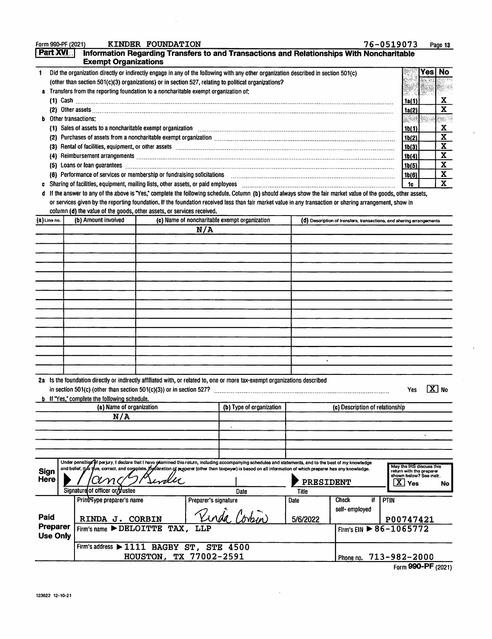| KINDER FOUNDATION<br>Form 990-PF (2021)                                                                                                      | 76-0519073 | Page 13       |
|----------------------------------------------------------------------------------------------------------------------------------------------|------------|---------------|
| <b>Part XVIII</b><br>Information Regarding Transfers to and Transactions and Relationships With Noncharitable<br><b>Exempt Organizations</b> |            |               |
| Did the organization directly or indirectly engage in any of the following with any other organization described in section 501(c)           |            | <b>Yes No</b> |
| (other than section 501(c)(3) organizations) or in section 527, relating to political organizations?                                         |            |               |
| Transfers from the reporting foundation to a noncharitable exempt organization of:                                                           |            |               |

|     | Cash                                                                                                                                                                                                                           |  |  |
|-----|--------------------------------------------------------------------------------------------------------------------------------------------------------------------------------------------------------------------------------|--|--|
| (2) |                                                                                                                                                                                                                                |  |  |
|     | <b>b</b> Other transactions:                                                                                                                                                                                                   |  |  |
|     | (1) Sales of assets to a noncharitable exempt organization contained and contained according sales of assets to a noncharitable exempt organization                                                                            |  |  |
| (2) | Purchases of assets from a noncharitable exempt organization [11] manufacture manufacture contraction and noncontraction of the second state of the second state of the second state of the second state of the second state o |  |  |
| (3) | Rental of facilities, equipment, or other assets encontractional contractions and contract and contract and contract and contract and contract and contract and contract and contract and contract and contract and contract a |  |  |
|     | Reimbursement arrangements [111] March 1999 (120) March 1999 (120) March 1999 (120) March 1999 (120) March 199                                                                                                                 |  |  |
| (5) | Loans or loan guarantees                                                                                                                                                                                                       |  |  |
| (6) | Performance of services or membership or fundraising solicitations                                                                                                                                                             |  |  |
|     |                                                                                                                                                                                                                                |  |  |

c Sharing of facilities, equipment, mailing lists, other assets, or paid employees with an accommutation of the content of the leader of the leader of  $\mathbf x$ 

If the answer to any of the above is 'Yes," complete the following schedule. Column (b) should always show the fair market value of the goods, other assets, d or services given by the reporting foundation. If the foundation received less than fair market value in any transaction or sharing arrangement, show in column (d) the value of the goods, other assets, or services received.

| (b) Amount involved<br>(c) Name of noncharitable exempt organization<br>(8) Line no. |                        |                                                                                                                                                                                                                                                                                                                                                                   |  | (0) Description of transfers, transactions, and sharing arrangements |                          |               |                                        |                                                                                                              |  |  |
|--------------------------------------------------------------------------------------|------------------------|-------------------------------------------------------------------------------------------------------------------------------------------------------------------------------------------------------------------------------------------------------------------------------------------------------------------------------------------------------------------|--|----------------------------------------------------------------------|--------------------------|---------------|----------------------------------------|--------------------------------------------------------------------------------------------------------------|--|--|
|                                                                                      |                        |                                                                                                                                                                                                                                                                                                                                                                   |  | N/A                                                                  |                          |               |                                        |                                                                                                              |  |  |
|                                                                                      |                        |                                                                                                                                                                                                                                                                                                                                                                   |  |                                                                      |                          |               |                                        |                                                                                                              |  |  |
|                                                                                      |                        |                                                                                                                                                                                                                                                                                                                                                                   |  |                                                                      |                          |               |                                        |                                                                                                              |  |  |
|                                                                                      |                        |                                                                                                                                                                                                                                                                                                                                                                   |  |                                                                      |                          |               |                                        |                                                                                                              |  |  |
|                                                                                      |                        |                                                                                                                                                                                                                                                                                                                                                                   |  |                                                                      |                          |               |                                        |                                                                                                              |  |  |
|                                                                                      |                        |                                                                                                                                                                                                                                                                                                                                                                   |  |                                                                      |                          |               |                                        |                                                                                                              |  |  |
|                                                                                      |                        |                                                                                                                                                                                                                                                                                                                                                                   |  |                                                                      |                          |               |                                        |                                                                                                              |  |  |
|                                                                                      |                        |                                                                                                                                                                                                                                                                                                                                                                   |  |                                                                      |                          |               |                                        |                                                                                                              |  |  |
|                                                                                      |                        |                                                                                                                                                                                                                                                                                                                                                                   |  |                                                                      |                          |               |                                        |                                                                                                              |  |  |
|                                                                                      |                        |                                                                                                                                                                                                                                                                                                                                                                   |  |                                                                      |                          |               |                                        |                                                                                                              |  |  |
|                                                                                      |                        |                                                                                                                                                                                                                                                                                                                                                                   |  |                                                                      |                          |               |                                        |                                                                                                              |  |  |
|                                                                                      |                        |                                                                                                                                                                                                                                                                                                                                                                   |  |                                                                      |                          |               |                                        |                                                                                                              |  |  |
|                                                                                      |                        |                                                                                                                                                                                                                                                                                                                                                                   |  |                                                                      |                          |               |                                        |                                                                                                              |  |  |
|                                                                                      |                        |                                                                                                                                                                                                                                                                                                                                                                   |  |                                                                      |                          |               |                                        |                                                                                                              |  |  |
|                                                                                      |                        |                                                                                                                                                                                                                                                                                                                                                                   |  |                                                                      |                          |               |                                        |                                                                                                              |  |  |
|                                                                                      |                        |                                                                                                                                                                                                                                                                                                                                                                   |  |                                                                      |                          |               |                                        |                                                                                                              |  |  |
|                                                                                      |                        | 2a Is the foundation directly or indirectly affiliated with, or related to, one or more tax-exempt organizations described<br><b>b</b> If "Yes," complete the following schedule.                                                                                                                                                                                 |  |                                                                      |                          |               |                                        | $\boxed{\mathbf{X}}$ No<br>Yes                                                                               |  |  |
|                                                                                      |                        | (a) Name of organization                                                                                                                                                                                                                                                                                                                                          |  |                                                                      | (b) Type of organization |               | (c) Description of relationship        |                                                                                                              |  |  |
|                                                                                      |                        | N/A                                                                                                                                                                                                                                                                                                                                                               |  |                                                                      |                          |               |                                        |                                                                                                              |  |  |
|                                                                                      |                        |                                                                                                                                                                                                                                                                                                                                                                   |  |                                                                      |                          |               |                                        |                                                                                                              |  |  |
|                                                                                      |                        |                                                                                                                                                                                                                                                                                                                                                                   |  |                                                                      |                          |               |                                        |                                                                                                              |  |  |
|                                                                                      |                        |                                                                                                                                                                                                                                                                                                                                                                   |  |                                                                      |                          |               |                                        |                                                                                                              |  |  |
|                                                                                      |                        |                                                                                                                                                                                                                                                                                                                                                                   |  |                                                                      |                          |               |                                        |                                                                                                              |  |  |
| Sign<br>Here                                                                         |                        | Under penalties of perjury, I declare that I have gramined this return, including accompanying schedules and statements, and to the best of my knowledge<br>and belief, it for yue, correct, and complete. Declaration of resparer (other than taxpayer) is based on all information of which preparer has any knowledge.<br>am<br>Signature of officer or tustee |  |                                                                      |                          | PRESIDENT     |                                        | May the IRS discuss this<br>return with the preparer<br>shown below? See instr.<br>$\mathbf{x}$<br>Yes<br>No |  |  |
|                                                                                      |                        | Print/Type preparer's name                                                                                                                                                                                                                                                                                                                                        |  | Preparer's signature                                                 | Date                     | Title<br>Date | Check<br>if                            | PTIN                                                                                                         |  |  |
| Paid                                                                                 |                        | RINDA J. CORBIN                                                                                                                                                                                                                                                                                                                                                   |  |                                                                      | <u>Vinda</u> Co          | 5/6/2022      | self-employed                          | P00747421                                                                                                    |  |  |
| Preparer<br><b>Use Only</b>                                                          |                        | $Firm's name$ $\triangleright$ DELOITTE TAX,                                                                                                                                                                                                                                                                                                                      |  | LLP                                                                  |                          |               | Firm's EIN $\triangleright$ 86-1065772 |                                                                                                              |  |  |
|                                                                                      |                        | Firm's address > 1111 BAGBY ST, STE 4500                                                                                                                                                                                                                                                                                                                          |  |                                                                      |                          |               |                                        |                                                                                                              |  |  |
|                                                                                      | HOUSTON, TX 77002-2591 |                                                                                                                                                                                                                                                                                                                                                                   |  |                                                                      |                          |               |                                        | Phone no. 713-982-2000                                                                                       |  |  |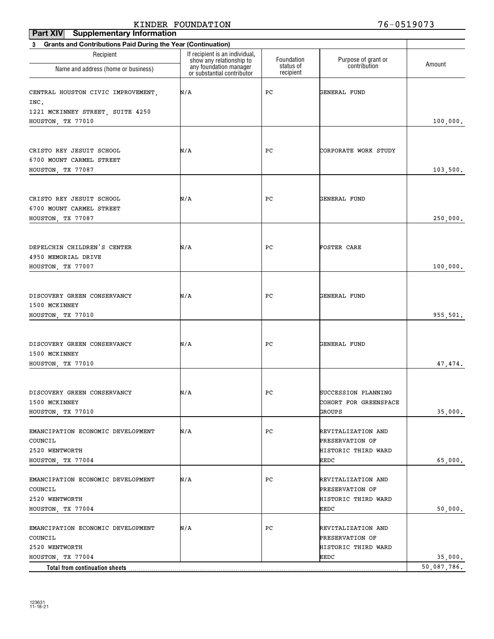#### **Part XIV Supplementary Information** KINDER FOUNDATION 76-0519073

| <b>Grants and Contributions Paid During the Year (Continuation)</b><br>3 |                                                                                      |                         |                                        |             |  |
|--------------------------------------------------------------------------|--------------------------------------------------------------------------------------|-------------------------|----------------------------------------|-------------|--|
| Recipient                                                                | If recipient is an individual,<br>show any relationship to<br>any foundation manager | Foundation<br>status of | Purpose of grant or<br>contribution    | Amount      |  |
| Name and address (home or business)                                      | or substantial contributor                                                           | recipient               |                                        |             |  |
| CENTRAL HOUSTON CIVIC IMPROVEMENT,<br>INC.                               | N/A                                                                                  | PС                      | GENERAL FUND                           |             |  |
| 1221 MCKINNEY STREET, SUITE 4250                                         |                                                                                      |                         |                                        |             |  |
| HOUSTON, TX 77010                                                        |                                                                                      |                         |                                        | 100,000.    |  |
|                                                                          |                                                                                      |                         |                                        |             |  |
|                                                                          |                                                                                      |                         |                                        |             |  |
| CRISTO REY JESUIT SCHOOL<br>6700 MOUNT CARMEL STREET                     | N/A                                                                                  | PС                      | CORPORATE WORK STUDY                   |             |  |
| HOUSTON, TX 77087                                                        |                                                                                      |                         |                                        | 103,500.    |  |
|                                                                          |                                                                                      |                         |                                        |             |  |
|                                                                          |                                                                                      |                         |                                        |             |  |
| CRISTO REY JESUIT SCHOOL                                                 | N/A                                                                                  | PС                      | GENERAL FUND                           |             |  |
| 6700 MOUNT CARMEL STREET                                                 |                                                                                      |                         |                                        |             |  |
| HOUSTON, TX 77087                                                        |                                                                                      |                         |                                        | 250,000.    |  |
|                                                                          |                                                                                      |                         |                                        |             |  |
| DEPELCHIN CHILDREN'S CENTER                                              | N/A                                                                                  | PС                      | FOSTER CARE                            |             |  |
| 4950 MEMORIAL DRIVE                                                      |                                                                                      |                         |                                        |             |  |
| HOUSTON, TX 77007                                                        |                                                                                      |                         |                                        | 100,000.    |  |
|                                                                          |                                                                                      |                         |                                        |             |  |
|                                                                          |                                                                                      |                         |                                        |             |  |
| DISCOVERY GREEN CONSERVANCY                                              | N/A                                                                                  | PС                      | GENERAL FUND                           |             |  |
| 1500 MCKINNEY                                                            |                                                                                      |                         |                                        |             |  |
| HOUSTON, TX 77010                                                        |                                                                                      |                         |                                        | 955,501.    |  |
|                                                                          |                                                                                      |                         |                                        |             |  |
| DISCOVERY GREEN CONSERVANCY                                              | N/A                                                                                  | PС                      | GENERAL FUND                           |             |  |
| 1500 MCKINNEY                                                            |                                                                                      |                         |                                        |             |  |
| HOUSTON, TX 77010                                                        |                                                                                      |                         |                                        | 47,474.     |  |
|                                                                          |                                                                                      |                         |                                        |             |  |
| DISCOVERY GREEN CONSERVANCY                                              | N/A                                                                                  | PС                      | SUCCESSION PLANNING                    |             |  |
| 1500 MCKINNEY                                                            |                                                                                      |                         | COHORT FOR GREENSPACE                  |             |  |
| HOUSTON, TX 77010                                                        |                                                                                      |                         | GROUPS                                 | 35,000.     |  |
|                                                                          |                                                                                      |                         |                                        |             |  |
| EMANCIPATION ECONOMIC DEVELOPMENT                                        | N/A                                                                                  | PС                      | REVITALIZATION AND                     |             |  |
| COUNCIL                                                                  |                                                                                      |                         | PRESERVATION OF                        |             |  |
| 2520 WENTWORTH                                                           |                                                                                      |                         | HISTORIC THIRD WARD                    |             |  |
| HOUSTON, TX 77004                                                        |                                                                                      |                         | EEDC                                   | 65,000.     |  |
| EMANCIPATION ECONOMIC DEVELOPMENT                                        | N/A                                                                                  | PС                      | REVITALIZATION AND                     |             |  |
| COUNCIL                                                                  |                                                                                      |                         | PRESERVATION OF                        |             |  |
| 2520 WENTWORTH                                                           |                                                                                      |                         | HISTORIC THIRD WARD                    |             |  |
| HOUSTON, TX 77004                                                        |                                                                                      |                         | EEDC                                   | 50,000.     |  |
|                                                                          |                                                                                      |                         |                                        |             |  |
| EMANCIPATION ECONOMIC DEVELOPMENT                                        | N/A                                                                                  | PС                      | REVITALIZATION AND                     |             |  |
| COUNCIL<br>2520 WENTWORTH                                                |                                                                                      |                         | PRESERVATION OF<br>HISTORIC THIRD WARD |             |  |
| HOUSTON, TX 77004                                                        |                                                                                      |                         | EEDC                                   | 35,000.     |  |
| Total from continuation sheets                                           |                                                                                      |                         |                                        | 50,087,786. |  |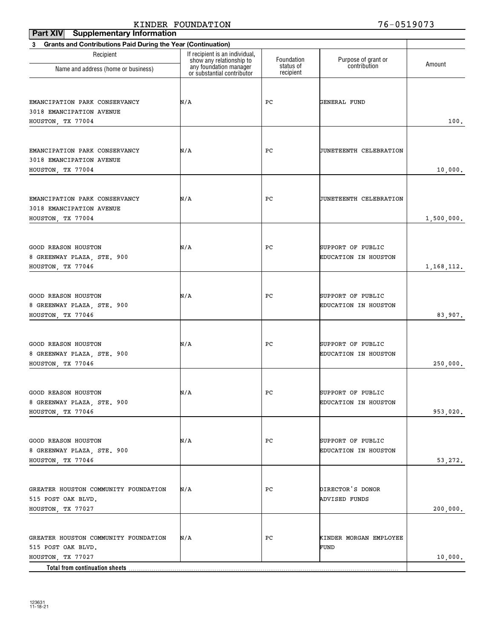| <b>Grants and Contributions Paid During the Year (Continuation)</b> |                         |                                           |                                     |
|---------------------------------------------------------------------|-------------------------|-------------------------------------------|-------------------------------------|
| If recipient is an individual,<br>show any relationship to          | Foundation<br>status of |                                           | Amount                              |
| or substantial contributor                                          | recipient               |                                           |                                     |
| N/A                                                                 | PС                      | GENERAL FUND                              | 100.                                |
| N/A                                                                 | PС                      | JUNETEENTH CELEBRATION                    | 10,000.                             |
| N/A                                                                 | PС                      | JUNETEENTH CELEBRATION                    | 1,500,000.                          |
| N/A                                                                 | PС                      | SUPPORT OF PUBLIC<br>EDUCATION IN HOUSTON | 1, 168, 112.                        |
| N/A                                                                 | PС                      | SUPPORT OF PUBLIC<br>EDUCATION IN HOUSTON | 83,907.                             |
| N/A                                                                 | PС                      | SUPPORT OF PUBLIC<br>EDUCATION IN HOUSTON | 250,000.                            |
| N/A                                                                 | PC                      | SUPPORT OF PUBLIC<br>EDUCATION IN HOUSTON | 953,020.                            |
| N/A                                                                 | PC                      | SUPPORT OF PUBLIC<br>EDUCATION IN HOUSTON | 53,272.                             |
| N/A                                                                 | PC                      | DIRECTOR'S DONOR<br><b>ADVISED FUNDS</b>  | 200,000.                            |
| N/A                                                                 | РC                      | KINDER MORGAN EMPLOYEE<br>FUND            | 10,000.                             |
|                                                                     | any foundation manager  |                                           | Purpose of grant or<br>contribution |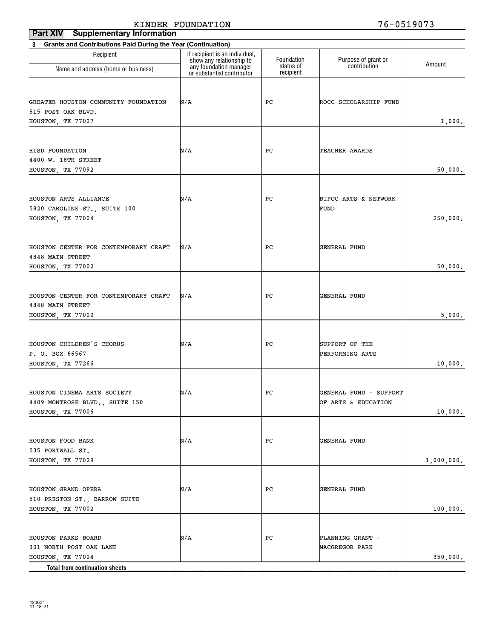#### **Part XIV** Supplementary Information KINDER FOUNDATION 76-0519073

| 3 Grants and Contributions Paid During the Year (Continuation) |                                                                                      |                         |                                     |            |
|----------------------------------------------------------------|--------------------------------------------------------------------------------------|-------------------------|-------------------------------------|------------|
| Recipient                                                      | If recipient is an individual,<br>show any relationship to<br>any foundation manager | Foundation<br>status of | Purpose of grant or<br>contribution | Amount     |
| Name and address (home or business)                            | or substantial contributor                                                           | recipient               |                                     |            |
|                                                                |                                                                                      |                         |                                     |            |
| GREATER HOUSTON COMMUNITY FOUNDATION<br>515 POST OAK BLVD.     | N/A                                                                                  | PС                      | ROCC SCHOLARSHIP FUND               |            |
| HOUSTON, TX 77027                                              |                                                                                      |                         |                                     | 1,000.     |
|                                                                |                                                                                      |                         |                                     |            |
| HISD FOUNDATION                                                | N/A                                                                                  | РC                      | TEACHER AWARDS                      |            |
| 4400 W. 18TH STREET                                            |                                                                                      |                         |                                     |            |
| HOUSTON, TX 77092                                              |                                                                                      |                         |                                     | 50,000.    |
|                                                                |                                                                                      |                         |                                     |            |
| HOUSTON ARTS ALLIANCE                                          | N/A                                                                                  | РC                      | BIPOC ARTS & NETWORK                |            |
| 5820 CAROLINE ST., SUITE 100                                   |                                                                                      |                         | FUND                                |            |
| HOUSTON, TX 77004                                              |                                                                                      |                         |                                     | 250,000.   |
|                                                                |                                                                                      |                         |                                     |            |
|                                                                |                                                                                      |                         |                                     |            |
| HOUSTON CENTER FOR CONTEMPORARY CRAFT<br>4848 MAIN STREET      | N/A                                                                                  | РC                      | GENERAL FUND                        |            |
| HOUSTON, TX 77002                                              |                                                                                      |                         |                                     | 50,000.    |
|                                                                |                                                                                      |                         |                                     |            |
|                                                                |                                                                                      |                         |                                     |            |
| HOUSTON CENTER FOR CONTEMPORARY CRAFT<br>4848 MAIN STREET      | N/A                                                                                  | РC                      | GENERAL FUND                        |            |
| HOUSTON, TX 77002                                              |                                                                                      |                         |                                     | 5,000.     |
|                                                                |                                                                                      |                         |                                     |            |
| HOUSTON CHILDREN'S CHORUS                                      | N/A                                                                                  | РC                      | SUPPORT OF THE                      |            |
| P. O. BOX 66567                                                |                                                                                      |                         | PERFORMING ARTS                     |            |
| HOUSTON, TX 77266                                              |                                                                                      |                         |                                     | 10,000.    |
|                                                                |                                                                                      |                         |                                     |            |
| HOUSTON CINEMA ARTS SOCIETY                                    | N/A                                                                                  | РC                      | GENERAL FUND - SUPPORT              |            |
| 4409 MONTROSE BLVD., SUITE 150                                 |                                                                                      |                         | OF ARTS & EDUCATION                 |            |
| HOUSTON, TX 77006                                              |                                                                                      |                         |                                     | 10,000.    |
|                                                                |                                                                                      |                         |                                     |            |
| HOUSTON FOOD BANK                                              | N/A                                                                                  | PС                      | GENERAL FUND                        |            |
| 535 PORTWALL ST.                                               |                                                                                      |                         |                                     |            |
| HOUSTON, TX 77029                                              |                                                                                      |                         |                                     | 1,000,000. |
|                                                                |                                                                                      |                         |                                     |            |
| HOUSTON GRAND OPERA                                            | N/A                                                                                  | PС                      | GENERAL FUND                        |            |
| 510 PRESTON ST., BARROW SUITE                                  |                                                                                      |                         |                                     |            |
| HOUSTON, TX 77002                                              |                                                                                      |                         |                                     | 100,000.   |
|                                                                |                                                                                      |                         |                                     |            |
| HOUSTON PARKS BOARD                                            | N/A                                                                                  | PC                      | PLANNING GRANT -                    |            |
| 301 NORTH POST OAK LANE                                        |                                                                                      |                         | MACGREGOR PARK                      |            |
| HOUSTON, TX 77024                                              |                                                                                      |                         |                                     | 350,000.   |
| Total from continuation sheets.                                |                                                                                      |                         |                                     |            |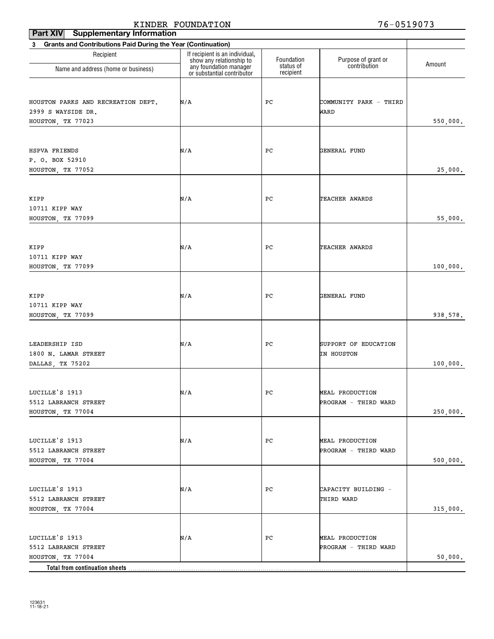| Grants and Contributions Paid During the Year (Continuation)<br>3<br>If recipient is an individual,<br>Recipient<br>Foundation<br>Purpose of grant or<br>contribution<br>show any relationship to<br>Amount<br>status of<br>any foundation manager<br>Name and address (home or business)<br>recipient<br>or substantial contributor<br>HOUSTON PARKS AND RECREATION DEPT.<br>N/A<br>PС<br>COMMUNITY PARK - THIRD<br>2999 S WAYSIDE DR.<br>WARD<br>550,000.<br>HOUSTON, TX 77023<br>HSPVA FRIENDS<br>N/A<br>PС<br>GENERAL FUND<br>P. O. BOX 52910<br>25,000.<br>HOUSTON, TX 77052<br>KIPP<br>N/A<br>PС<br>TEACHER AWARDS<br>10711 KIPP WAY<br>55,000.<br>HOUSTON, TX 77099<br>KIPP<br>N/A<br>PС<br>TEACHER AWARDS<br>10711 KIPP WAY<br>HOUSTON, TX 77099<br>100,000.<br>KIPP<br>N/A<br>PС<br>GENERAL FUND<br>10711 KIPP WAY<br>LEADERSHIP ISD<br>N/A<br>PС<br>SUPPORT OF EDUCATION<br>1800 N. LAMAR STREET<br>IN HOUSTON<br>DALLAS, TX 75202<br>PC<br>N/A<br>MEAL PRODUCTION<br>5512 LABRANCH STREET<br>PROGRAM - THIRD WARD<br>HOUSTON, TX 77004<br>N/A<br>PC<br>MEAL PRODUCTION<br>5512 LABRANCH STREET<br>PROGRAM - THIRD WARD<br>HOUSTON, TX 77004<br>N/A<br>PC<br>CAPACITY BUILDING -<br>5512 LABRANCH STREET<br>THIRD WARD<br>HOUSTON, TX 77004<br>N/A<br>PC<br>MEAL PRODUCTION | Part XIV<br><b>Supplementary Information</b> |  |  |                      |           |
|---------------------------------------------------------------------------------------------------------------------------------------------------------------------------------------------------------------------------------------------------------------------------------------------------------------------------------------------------------------------------------------------------------------------------------------------------------------------------------------------------------------------------------------------------------------------------------------------------------------------------------------------------------------------------------------------------------------------------------------------------------------------------------------------------------------------------------------------------------------------------------------------------------------------------------------------------------------------------------------------------------------------------------------------------------------------------------------------------------------------------------------------------------------------------------------------------------------------------------------------------------------------------------------|----------------------------------------------|--|--|----------------------|-----------|
|                                                                                                                                                                                                                                                                                                                                                                                                                                                                                                                                                                                                                                                                                                                                                                                                                                                                                                                                                                                                                                                                                                                                                                                                                                                                                       |                                              |  |  |                      |           |
|                                                                                                                                                                                                                                                                                                                                                                                                                                                                                                                                                                                                                                                                                                                                                                                                                                                                                                                                                                                                                                                                                                                                                                                                                                                                                       |                                              |  |  |                      |           |
|                                                                                                                                                                                                                                                                                                                                                                                                                                                                                                                                                                                                                                                                                                                                                                                                                                                                                                                                                                                                                                                                                                                                                                                                                                                                                       |                                              |  |  |                      |           |
|                                                                                                                                                                                                                                                                                                                                                                                                                                                                                                                                                                                                                                                                                                                                                                                                                                                                                                                                                                                                                                                                                                                                                                                                                                                                                       |                                              |  |  |                      |           |
|                                                                                                                                                                                                                                                                                                                                                                                                                                                                                                                                                                                                                                                                                                                                                                                                                                                                                                                                                                                                                                                                                                                                                                                                                                                                                       |                                              |  |  |                      |           |
|                                                                                                                                                                                                                                                                                                                                                                                                                                                                                                                                                                                                                                                                                                                                                                                                                                                                                                                                                                                                                                                                                                                                                                                                                                                                                       |                                              |  |  |                      |           |
|                                                                                                                                                                                                                                                                                                                                                                                                                                                                                                                                                                                                                                                                                                                                                                                                                                                                                                                                                                                                                                                                                                                                                                                                                                                                                       |                                              |  |  |                      |           |
|                                                                                                                                                                                                                                                                                                                                                                                                                                                                                                                                                                                                                                                                                                                                                                                                                                                                                                                                                                                                                                                                                                                                                                                                                                                                                       |                                              |  |  |                      |           |
|                                                                                                                                                                                                                                                                                                                                                                                                                                                                                                                                                                                                                                                                                                                                                                                                                                                                                                                                                                                                                                                                                                                                                                                                                                                                                       |                                              |  |  |                      |           |
| HOUSTON, TX 77099<br>LUCILLE'S 1913<br>LUCILLE'S 1913<br>LUCILLE'S 1913                                                                                                                                                                                                                                                                                                                                                                                                                                                                                                                                                                                                                                                                                                                                                                                                                                                                                                                                                                                                                                                                                                                                                                                                               |                                              |  |  |                      |           |
|                                                                                                                                                                                                                                                                                                                                                                                                                                                                                                                                                                                                                                                                                                                                                                                                                                                                                                                                                                                                                                                                                                                                                                                                                                                                                       |                                              |  |  |                      |           |
|                                                                                                                                                                                                                                                                                                                                                                                                                                                                                                                                                                                                                                                                                                                                                                                                                                                                                                                                                                                                                                                                                                                                                                                                                                                                                       |                                              |  |  |                      |           |
|                                                                                                                                                                                                                                                                                                                                                                                                                                                                                                                                                                                                                                                                                                                                                                                                                                                                                                                                                                                                                                                                                                                                                                                                                                                                                       |                                              |  |  |                      |           |
|                                                                                                                                                                                                                                                                                                                                                                                                                                                                                                                                                                                                                                                                                                                                                                                                                                                                                                                                                                                                                                                                                                                                                                                                                                                                                       |                                              |  |  |                      |           |
|                                                                                                                                                                                                                                                                                                                                                                                                                                                                                                                                                                                                                                                                                                                                                                                                                                                                                                                                                                                                                                                                                                                                                                                                                                                                                       |                                              |  |  |                      |           |
|                                                                                                                                                                                                                                                                                                                                                                                                                                                                                                                                                                                                                                                                                                                                                                                                                                                                                                                                                                                                                                                                                                                                                                                                                                                                                       |                                              |  |  |                      |           |
|                                                                                                                                                                                                                                                                                                                                                                                                                                                                                                                                                                                                                                                                                                                                                                                                                                                                                                                                                                                                                                                                                                                                                                                                                                                                                       |                                              |  |  |                      |           |
|                                                                                                                                                                                                                                                                                                                                                                                                                                                                                                                                                                                                                                                                                                                                                                                                                                                                                                                                                                                                                                                                                                                                                                                                                                                                                       |                                              |  |  |                      |           |
| LUCILLE'S 1913                                                                                                                                                                                                                                                                                                                                                                                                                                                                                                                                                                                                                                                                                                                                                                                                                                                                                                                                                                                                                                                                                                                                                                                                                                                                        |                                              |  |  |                      |           |
|                                                                                                                                                                                                                                                                                                                                                                                                                                                                                                                                                                                                                                                                                                                                                                                                                                                                                                                                                                                                                                                                                                                                                                                                                                                                                       |                                              |  |  |                      |           |
|                                                                                                                                                                                                                                                                                                                                                                                                                                                                                                                                                                                                                                                                                                                                                                                                                                                                                                                                                                                                                                                                                                                                                                                                                                                                                       |                                              |  |  |                      |           |
|                                                                                                                                                                                                                                                                                                                                                                                                                                                                                                                                                                                                                                                                                                                                                                                                                                                                                                                                                                                                                                                                                                                                                                                                                                                                                       |                                              |  |  |                      | 938, 578. |
|                                                                                                                                                                                                                                                                                                                                                                                                                                                                                                                                                                                                                                                                                                                                                                                                                                                                                                                                                                                                                                                                                                                                                                                                                                                                                       |                                              |  |  |                      |           |
|                                                                                                                                                                                                                                                                                                                                                                                                                                                                                                                                                                                                                                                                                                                                                                                                                                                                                                                                                                                                                                                                                                                                                                                                                                                                                       |                                              |  |  |                      |           |
|                                                                                                                                                                                                                                                                                                                                                                                                                                                                                                                                                                                                                                                                                                                                                                                                                                                                                                                                                                                                                                                                                                                                                                                                                                                                                       |                                              |  |  |                      |           |
|                                                                                                                                                                                                                                                                                                                                                                                                                                                                                                                                                                                                                                                                                                                                                                                                                                                                                                                                                                                                                                                                                                                                                                                                                                                                                       |                                              |  |  |                      | 100,000.  |
|                                                                                                                                                                                                                                                                                                                                                                                                                                                                                                                                                                                                                                                                                                                                                                                                                                                                                                                                                                                                                                                                                                                                                                                                                                                                                       |                                              |  |  |                      |           |
|                                                                                                                                                                                                                                                                                                                                                                                                                                                                                                                                                                                                                                                                                                                                                                                                                                                                                                                                                                                                                                                                                                                                                                                                                                                                                       |                                              |  |  |                      |           |
|                                                                                                                                                                                                                                                                                                                                                                                                                                                                                                                                                                                                                                                                                                                                                                                                                                                                                                                                                                                                                                                                                                                                                                                                                                                                                       |                                              |  |  |                      |           |
|                                                                                                                                                                                                                                                                                                                                                                                                                                                                                                                                                                                                                                                                                                                                                                                                                                                                                                                                                                                                                                                                                                                                                                                                                                                                                       |                                              |  |  |                      | 250,000.  |
|                                                                                                                                                                                                                                                                                                                                                                                                                                                                                                                                                                                                                                                                                                                                                                                                                                                                                                                                                                                                                                                                                                                                                                                                                                                                                       |                                              |  |  |                      |           |
|                                                                                                                                                                                                                                                                                                                                                                                                                                                                                                                                                                                                                                                                                                                                                                                                                                                                                                                                                                                                                                                                                                                                                                                                                                                                                       |                                              |  |  |                      |           |
|                                                                                                                                                                                                                                                                                                                                                                                                                                                                                                                                                                                                                                                                                                                                                                                                                                                                                                                                                                                                                                                                                                                                                                                                                                                                                       |                                              |  |  |                      |           |
|                                                                                                                                                                                                                                                                                                                                                                                                                                                                                                                                                                                                                                                                                                                                                                                                                                                                                                                                                                                                                                                                                                                                                                                                                                                                                       |                                              |  |  |                      | 500,000.  |
|                                                                                                                                                                                                                                                                                                                                                                                                                                                                                                                                                                                                                                                                                                                                                                                                                                                                                                                                                                                                                                                                                                                                                                                                                                                                                       |                                              |  |  |                      |           |
|                                                                                                                                                                                                                                                                                                                                                                                                                                                                                                                                                                                                                                                                                                                                                                                                                                                                                                                                                                                                                                                                                                                                                                                                                                                                                       |                                              |  |  |                      |           |
|                                                                                                                                                                                                                                                                                                                                                                                                                                                                                                                                                                                                                                                                                                                                                                                                                                                                                                                                                                                                                                                                                                                                                                                                                                                                                       |                                              |  |  |                      |           |
|                                                                                                                                                                                                                                                                                                                                                                                                                                                                                                                                                                                                                                                                                                                                                                                                                                                                                                                                                                                                                                                                                                                                                                                                                                                                                       |                                              |  |  |                      | 315,000.  |
|                                                                                                                                                                                                                                                                                                                                                                                                                                                                                                                                                                                                                                                                                                                                                                                                                                                                                                                                                                                                                                                                                                                                                                                                                                                                                       |                                              |  |  |                      |           |
|                                                                                                                                                                                                                                                                                                                                                                                                                                                                                                                                                                                                                                                                                                                                                                                                                                                                                                                                                                                                                                                                                                                                                                                                                                                                                       |                                              |  |  |                      |           |
|                                                                                                                                                                                                                                                                                                                                                                                                                                                                                                                                                                                                                                                                                                                                                                                                                                                                                                                                                                                                                                                                                                                                                                                                                                                                                       | 5512 LABRANCH STREET                         |  |  | PROGRAM - THIRD WARD |           |
| HOUSTON, TX 77004<br><b>Total from continuation sheets</b>                                                                                                                                                                                                                                                                                                                                                                                                                                                                                                                                                                                                                                                                                                                                                                                                                                                                                                                                                                                                                                                                                                                                                                                                                            |                                              |  |  |                      | 50,000.   |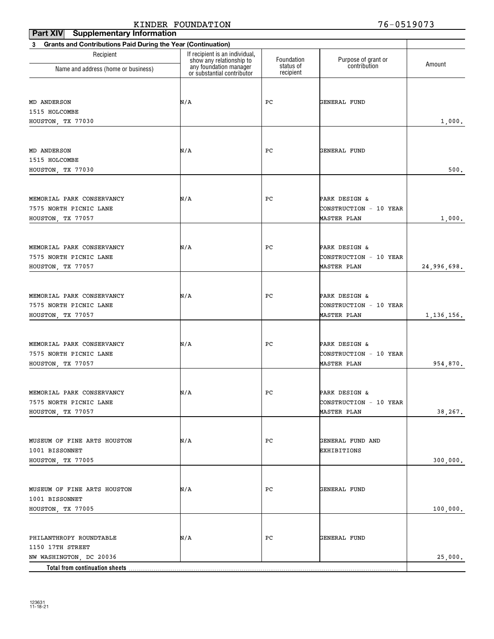| <b>Supplementary Information</b><br>Part XIV                      |                                                            |                        |                        |              |
|-------------------------------------------------------------------|------------------------------------------------------------|------------------------|------------------------|--------------|
| Grants and Contributions Paid During the Year (Continuation)<br>3 |                                                            |                        |                        |              |
| Recipient                                                         | If recipient is an individual,<br>show any relationship to | Foundation             | Purpose of grant or    | Amount       |
| Name and address (home or business)                               | any foundation manager<br>or substantial contributor       | status of<br>recipient | contribution           |              |
|                                                                   |                                                            |                        |                        |              |
| MD ANDERSON                                                       | N/A                                                        | PС                     | GENERAL FUND           |              |
| 1515 HOLCOMBE                                                     |                                                            |                        |                        |              |
| HOUSTON, TX 77030                                                 |                                                            |                        |                        | 1,000.       |
|                                                                   |                                                            |                        |                        |              |
| MD ANDERSON                                                       | N/A                                                        | PС                     | GENERAL FUND           |              |
| 1515 HOLCOMBE                                                     |                                                            |                        |                        |              |
| HOUSTON, TX 77030                                                 |                                                            |                        |                        | 500.         |
|                                                                   |                                                            |                        |                        |              |
| MEMORIAL PARK CONSERVANCY                                         | N/A                                                        | PС                     | PARK DESIGN &          |              |
| 7575 NORTH PICNIC LANE                                            |                                                            |                        | CONSTRUCTION - 10 YEAR |              |
| HOUSTON, TX 77057                                                 |                                                            |                        | <b>MASTER PLAN</b>     | 1,000.       |
|                                                                   |                                                            |                        |                        |              |
| MEMORIAL PARK CONSERVANCY                                         | N/A                                                        | PС                     | PARK DESIGN &          |              |
| 7575 NORTH PICNIC LANE                                            |                                                            |                        | CONSTRUCTION - 10 YEAR |              |
| HOUSTON, TX 77057                                                 |                                                            |                        | <b>MASTER PLAN</b>     | 24,996,698.  |
|                                                                   |                                                            |                        |                        |              |
| MEMORIAL PARK CONSERVANCY                                         | N/A                                                        | PС                     | PARK DESIGN &          |              |
| 7575 NORTH PICNIC LANE                                            |                                                            |                        | CONSTRUCTION - 10 YEAR |              |
| HOUSTON, TX 77057                                                 |                                                            |                        | <b>MASTER PLAN</b>     | 1, 136, 156. |
|                                                                   |                                                            |                        |                        |              |
| MEMORIAL PARK CONSERVANCY                                         | N/A                                                        | PС                     | PARK DESIGN &          |              |
| 7575 NORTH PICNIC LANE                                            |                                                            |                        | CONSTRUCTION - 10 YEAR |              |
| HOUSTON, TX 77057                                                 |                                                            |                        | <b>MASTER PLAN</b>     | 954,870.     |
|                                                                   |                                                            |                        |                        |              |
| MEMORIAL PARK CONSERVANCY                                         | N/A                                                        | $_{\rm PC}$            | PARK DESIGN &          |              |
| 7575 NORTH PICNIC LANE                                            |                                                            |                        | CONSTRUCTION - 10 YEAR |              |
| HOUSTON, TX 77057                                                 |                                                            |                        | <b>MASTER PLAN</b>     | 38,267.      |
|                                                                   |                                                            |                        |                        |              |
| MUSEUM OF FINE ARTS HOUSTON                                       | N/A                                                        | PC                     | GENERAL FUND AND       |              |
| 1001 BISSONNET                                                    |                                                            |                        | EXHIBITIONS            |              |
| HOUSTON, TX 77005                                                 |                                                            |                        |                        | 300,000.     |
|                                                                   |                                                            |                        |                        |              |
| MUSEUM OF FINE ARTS HOUSTON                                       | N/A                                                        | PC                     | GENERAL FUND           |              |
| 1001 BISSONNET                                                    |                                                            |                        |                        |              |
| HOUSTON, TX 77005                                                 |                                                            |                        |                        | 100,000.     |
|                                                                   |                                                            |                        |                        |              |
| PHILANTHROPY ROUNDTABLE                                           | N/A                                                        | PC                     | GENERAL FUND           |              |
| 1150 17TH STREET                                                  |                                                            |                        |                        |              |
| NW WASHINGTON, DC 20036<br>Total from continuation sheets         |                                                            |                        |                        | 25,000.      |
|                                                                   |                                                            |                        |                        |              |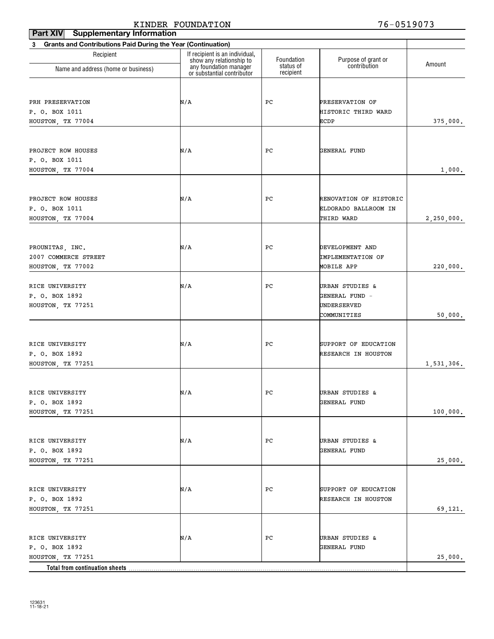| <b>Supplementary Information</b><br><b>Part XIV</b>                                |                                                            |                        |                                     |            |
|------------------------------------------------------------------------------------|------------------------------------------------------------|------------------------|-------------------------------------|------------|
| <b>Grants and Contributions Paid During the Year (Continuation)</b><br>$3^{\circ}$ |                                                            |                        |                                     |            |
| Recipient                                                                          | If recipient is an individual,<br>show any relationship to | Foundation             | Purpose of grant or<br>contribution | Amount     |
| Name and address (home or business)                                                | any foundation manager<br>or substantial contributor       | status of<br>recipient |                                     |            |
|                                                                                    |                                                            |                        |                                     |            |
| PRH PRESERVATION                                                                   | N/A                                                        | PС                     | PRESERVATION OF                     |            |
| P. O. BOX 1011                                                                     |                                                            |                        | HISTORIC THIRD WARD                 |            |
| HOUSTON, TX 77004                                                                  |                                                            |                        | <b>ECDP</b>                         | 375,000.   |
| PROJECT ROW HOUSES                                                                 | N/A                                                        | PС                     | GENERAL FUND                        |            |
| P. O. BOX 1011                                                                     |                                                            |                        |                                     |            |
| HOUSTON, TX 77004                                                                  |                                                            |                        |                                     | 1,000.     |
|                                                                                    |                                                            |                        |                                     |            |
| PROJECT ROW HOUSES                                                                 | N/A                                                        | PС                     | RENOVATION OF HISTORIC              |            |
| P. O. BOX 1011                                                                     |                                                            |                        | ELDORADO BALLROOM IN                |            |
| HOUSTON, TX 77004                                                                  |                                                            |                        | THIRD WARD                          | 2,250,000. |
| PROUNITAS, INC.                                                                    | N/A                                                        | PС                     | DEVELOPMENT AND                     |            |
| 2007 COMMERCE STREET                                                               |                                                            |                        | <b>IMPLEMENTATION OF</b>            |            |
| HOUSTON, TX 77002                                                                  |                                                            |                        | MOBILE APP                          | 220,000.   |
|                                                                                    |                                                            |                        |                                     |            |
| RICE UNIVERSITY<br>P. O. BOX 1892                                                  | N/A                                                        | PС                     | URBAN STUDIES &<br>GENERAL FUND -   |            |
| HOUSTON, TX 77251                                                                  |                                                            |                        | UNDERSERVED                         |            |
|                                                                                    |                                                            |                        | COMMUNITIES                         | 50,000.    |
|                                                                                    |                                                            |                        |                                     |            |
| RICE UNIVERSITY                                                                    | N/A                                                        | PС                     | SUPPORT OF EDUCATION                |            |
| P. O. BOX 1892                                                                     |                                                            |                        | RESEARCH IN HOUSTON                 |            |
| HOUSTON, TX 77251                                                                  |                                                            |                        |                                     | 1,531,306. |
| RICE UNIVERSITY                                                                    | N/A                                                        | $_{\rm PC}$            | URBAN STUDIES &                     |            |
| P. O. BOX 1892                                                                     |                                                            |                        | GENERAL FUND                        |            |
| HOUSTON, TX 77251                                                                  |                                                            |                        |                                     | 100,000.   |
|                                                                                    |                                                            |                        |                                     |            |
| RICE UNIVERSITY                                                                    | N/A                                                        | РC                     | URBAN STUDIES &                     |            |
| P. O. BOX 1892                                                                     |                                                            |                        | GENERAL FUND                        |            |
| HOUSTON, TX 77251                                                                  |                                                            |                        |                                     | 25,000.    |
| RICE UNIVERSITY                                                                    | N/A                                                        | РC                     | SUPPORT OF EDUCATION                |            |
| P. O. BOX 1892                                                                     |                                                            |                        | RESEARCH IN HOUSTON                 |            |
| HOUSTON, TX 77251                                                                  |                                                            |                        |                                     | 69,121.    |
|                                                                                    |                                                            |                        |                                     |            |
| RICE UNIVERSITY                                                                    | N/A                                                        | РC                     | URBAN STUDIES &                     |            |
| P. O. BOX 1892                                                                     |                                                            |                        | GENERAL FUND                        |            |
| HOUSTON, TX 77251<br>Total from continuation sheets                                |                                                            |                        |                                     | 25,000.    |
|                                                                                    |                                                            |                        |                                     |            |

123631 11-18-21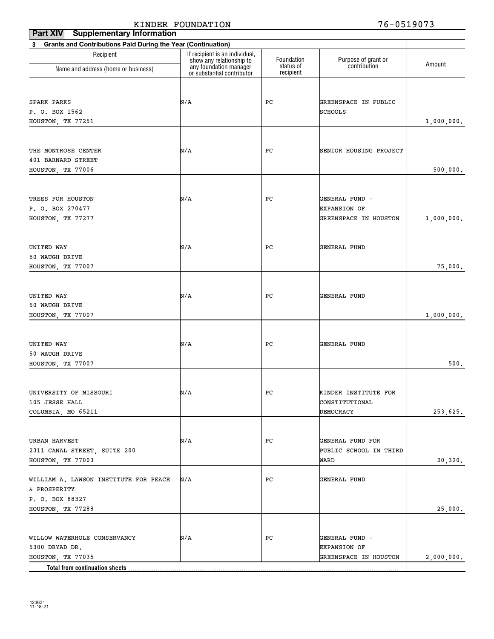#### **Part XIV** Supplementary Information KINDER FOUNDATION 76-0519073

| .<br><b>Grants and Contributions Paid During the Year (Continuation)</b><br>3 |                                                    |                         |                                     |            |
|-------------------------------------------------------------------------------|----------------------------------------------------|-------------------------|-------------------------------------|------------|
| Recipient                                                                     | If recipient is an individual,                     |                         |                                     |            |
| Name and address (home or business)                                           | show any relationship to<br>any foundation manager | Foundation<br>status of | Purpose of grant or<br>contribution | Amount     |
|                                                                               | or substantial contributor                         | recipient               |                                     |            |
|                                                                               |                                                    |                         |                                     |            |
| SPARK PARKS                                                                   | N/A                                                | РC                      | GREENSPACE IN PUBLIC                |            |
| P. O. BOX 1562                                                                |                                                    |                         | SCHOOLS                             |            |
| HOUSTON, TX 77251                                                             |                                                    |                         |                                     | 1,000,000. |
|                                                                               |                                                    |                         |                                     |            |
| THE MONTROSE CENTER                                                           | N/A                                                | РC                      | SENIOR HOUSING PROJECT              |            |
| 401 BARNARD STREET                                                            |                                                    |                         |                                     |            |
| HOUSTON, TX 77006                                                             |                                                    |                         |                                     | 500,000.   |
|                                                                               |                                                    |                         |                                     |            |
| TREES FOR HOUSTON                                                             | N/A                                                | РC                      | GENERAL FUND -                      |            |
| P. O. BOX 270477                                                              |                                                    |                         | <b>EXPANSION OF</b>                 |            |
| HOUSTON, TX 77277                                                             |                                                    |                         | GREENSPACE IN HOUSTON               | 1,000,000. |
|                                                                               |                                                    |                         |                                     |            |
| UNITED WAY                                                                    | N/A                                                | РC                      | GENERAL FUND                        |            |
| 50 WAUGH DRIVE                                                                |                                                    |                         |                                     |            |
| HOUSTON, TX 77007                                                             |                                                    |                         |                                     | 75,000.    |
|                                                                               |                                                    |                         |                                     |            |
|                                                                               |                                                    |                         |                                     |            |
| UNITED WAY<br>50 WAUGH DRIVE                                                  | N/A                                                | РC                      | GENERAL FUND                        |            |
| HOUSTON, TX 77007                                                             |                                                    |                         |                                     | 1,000,000. |
|                                                                               |                                                    |                         |                                     |            |
|                                                                               |                                                    |                         |                                     |            |
| UNITED WAY<br>50 WAUGH DRIVE                                                  | N/A                                                | РC                      | GENERAL FUND                        |            |
| HOUSTON, TX 77007                                                             |                                                    |                         |                                     | $500.$     |
|                                                                               |                                                    |                         |                                     |            |
|                                                                               |                                                    |                         |                                     |            |
| UNIVERSITY OF MISSOURI                                                        | N/A                                                | РC                      | KINDER INSTITUTE FOR                |            |
| 105 JESSE HALL<br>COLUMBIA, MO 65211                                          |                                                    |                         | CONSTITUTIONAL<br>DEMOCRACY         | 253,625.   |
|                                                                               |                                                    |                         |                                     |            |
|                                                                               |                                                    |                         |                                     |            |
| URBAN HARVEST                                                                 | N/A                                                | РC                      | GENERAL FUND FOR                    |            |
| 2311 CANAL STREET, SUITE 200                                                  |                                                    |                         | PUBLIC SCHOOL IN THIRD              |            |
| HOUSTON, TX 77003                                                             |                                                    |                         | WARD                                | 20,320.    |
| WILLIAM A. LAWSON INSTITUTE FOR PEACE                                         | N/A                                                | РC                      | GENERAL FUND                        |            |
| & PROSPERITY                                                                  |                                                    |                         |                                     |            |
| P. O. BOX 88327                                                               |                                                    |                         |                                     |            |
| HOUSTON, TX 77288                                                             |                                                    |                         |                                     | 25,000.    |
|                                                                               |                                                    |                         |                                     |            |
| WILLOW WATERHOLE CONSERVANCY                                                  | N/A                                                | РC                      | GENERAL FUND -                      |            |
| 5300 DRYAD DR.                                                                |                                                    |                         | <b>EXPANSION OF</b>                 |            |
| HOUSTON, TX 77035                                                             |                                                    |                         | <b>GREENSPACE IN HOUSTON</b>        | 2,000,000. |
| Total from continuation sheets                                                |                                                    |                         |                                     |            |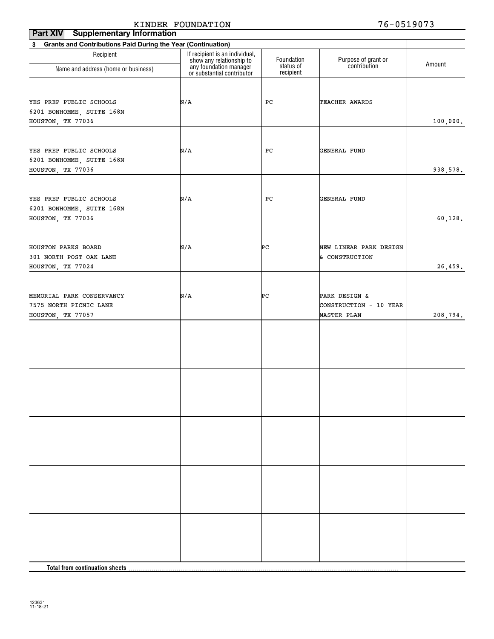| Part XIV<br><b>Supplementary Information</b>                                |                                                            |                         |                                                        |          |
|-----------------------------------------------------------------------------|------------------------------------------------------------|-------------------------|--------------------------------------------------------|----------|
| Grants and Contributions Paid During the Year (Continuation)<br>$3^{\circ}$ |                                                            |                         |                                                        |          |
| Recipient                                                                   | If recipient is an individual,<br>show any relationship to | Foundation<br>status of | Purpose of grant or<br>contribution                    | Amount   |
| Name and address (home or business)                                         | any foundation manager<br>or substantial contributor       | recipient               |                                                        |          |
| YES PREP PUBLIC SCHOOLS<br>6201 BONHOMME, SUITE 168N<br>HOUSTON, TX 77036   | N/A                                                        | PC                      | TEACHER AWARDS                                         | 100,000. |
| YES PREP PUBLIC SCHOOLS<br>6201 BONHOMME, SUITE 168N<br>HOUSTON, TX 77036   | N/A                                                        | PC                      | GENERAL FUND                                           | 938,578. |
| YES PREP PUBLIC SCHOOLS<br>6201 BONHOMME, SUITE 168N<br>HOUSTON, TX 77036   | N/A                                                        | PC                      | GENERAL FUND                                           | 60,128.  |
| HOUSTON PARKS BOARD<br>301 NORTH POST OAK LANE<br>HOUSTON, TX 77024         | N/A                                                        | PС                      | NEW LINEAR PARK DESIGN<br>& CONSTRUCTION               | 26,459.  |
| MEMORIAL PARK CONSERVANCY<br>7575 NORTH PICNIC LANE<br>HOUSTON, TX 77057    | N/A                                                        | PС                      | PARK DESIGN &<br>CONSTRUCTION - 10 YEAR<br>MASTER PLAN | 208,794. |
|                                                                             |                                                            |                         |                                                        |          |
|                                                                             |                                                            |                         |                                                        |          |
|                                                                             |                                                            |                         |                                                        |          |
|                                                                             |                                                            |                         |                                                        |          |
|                                                                             |                                                            |                         |                                                        |          |
|                                                                             |                                                            |                         |                                                        |          |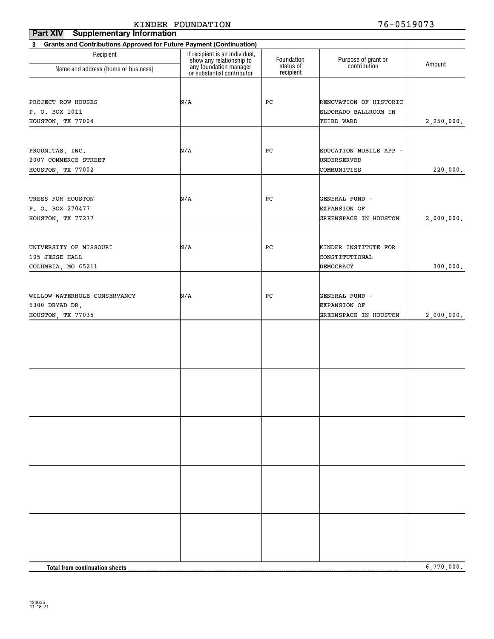| <b>Part XIV</b><br><b>Supplementary Information</b>                      |                                                            |                         |                                     |            |
|--------------------------------------------------------------------------|------------------------------------------------------------|-------------------------|-------------------------------------|------------|
| Grants and Contributions Approved for Future Payment (Continuation)<br>3 |                                                            |                         |                                     |            |
| Recipient                                                                | If recipient is an individual,<br>show any relationship to | Foundation<br>status of | Purpose of grant or<br>contribution | Amount     |
| Name and address (home or business)                                      | any foundation manager<br>or substantial contributor       | recipient               |                                     |            |
|                                                                          |                                                            |                         |                                     |            |
| PROJECT ROW HOUSES                                                       | N/A                                                        | PC                      | RENOVATION OF HISTORIC              |            |
| P. O. BOX 1011                                                           |                                                            |                         | ELDORADO BALLROOM IN                |            |
| HOUSTON, TX 77004                                                        |                                                            |                         | THIRD WARD                          | 2,250,000. |
|                                                                          |                                                            |                         |                                     |            |
| PROUNITAS, INC.                                                          | N/A                                                        | PС                      | EDUCATION MOBILE APP -              |            |
| 2007 COMMERCE STREET                                                     |                                                            |                         | UNDERSERVED                         |            |
| HOUSTON, TX 77002                                                        |                                                            |                         | COMMUNITIES                         | 220,000.   |
|                                                                          |                                                            |                         |                                     |            |
| TREES FOR HOUSTON                                                        | N/A                                                        | PC                      | GENERAL FUND -                      |            |
| P. O. BOX 270477                                                         |                                                            |                         | <b>EXPANSION OF</b>                 |            |
| HOUSTON, TX 77277                                                        |                                                            |                         | GREENSPACE IN HOUSTON               | 2,000,000. |
|                                                                          |                                                            |                         |                                     |            |
| UNIVERSITY OF MISSOURI                                                   | N/A                                                        | PС                      | KINDER INSTITUTE FOR                |            |
| 105 JESSE HALL                                                           |                                                            |                         | CONSTITUTIONAL                      |            |
| COLUMBIA, MO 65211                                                       |                                                            |                         | DEMOCRACY                           | 300,000.   |
|                                                                          |                                                            |                         |                                     |            |
| WILLOW WATERHOLE CONSERVANCY                                             | N/A                                                        | PC                      | GENERAL FUND -                      |            |
| 5300 DRYAD DR.                                                           |                                                            |                         | <b>EXPANSION OF</b>                 |            |
| HOUSTON, TX 77035                                                        |                                                            |                         | GREENSPACE IN HOUSTON               | 2,000,000. |
|                                                                          |                                                            |                         |                                     |            |
|                                                                          |                                                            |                         |                                     |            |
|                                                                          |                                                            |                         |                                     |            |
|                                                                          |                                                            |                         |                                     |            |
|                                                                          |                                                            |                         |                                     |            |
|                                                                          |                                                            |                         |                                     |            |
|                                                                          |                                                            |                         |                                     |            |
|                                                                          |                                                            |                         |                                     |            |
|                                                                          |                                                            |                         |                                     |            |
|                                                                          |                                                            |                         |                                     |            |
|                                                                          |                                                            |                         |                                     |            |
|                                                                          |                                                            |                         |                                     |            |
|                                                                          |                                                            |                         |                                     |            |
|                                                                          |                                                            |                         |                                     |            |
|                                                                          |                                                            |                         |                                     |            |
|                                                                          |                                                            |                         |                                     |            |
|                                                                          |                                                            |                         |                                     |            |
|                                                                          |                                                            |                         |                                     |            |
|                                                                          |                                                            |                         |                                     |            |
| <b>Total from continuation sheets</b>                                    |                                                            |                         |                                     | 6,770,000. |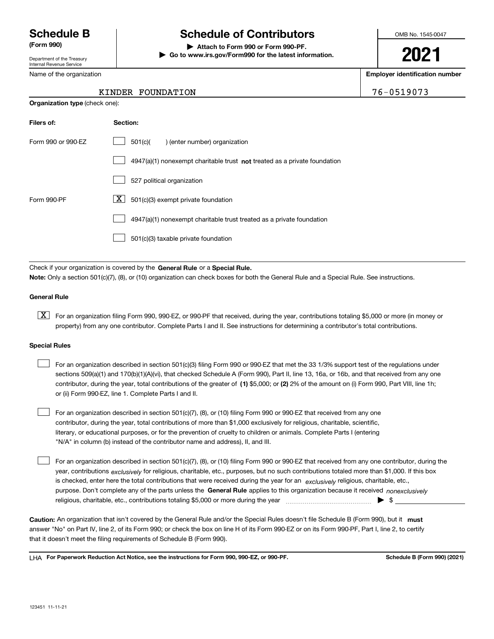Department of the Treasury Internal Revenue Service

Name of the organization

**Organization type** (check one):

# **Schedule B Schedule of Contributors**

**(Form 990) | Attach to Form 990 or Form 990-PF.**

**| Go to www.irs.gov/Form990 for the latest information.**

OMB No. 1545-0047

# **2021**

**Employer identification number**

| KINDER FOUNDATION | 76-0519073 |
|-------------------|------------|
|                   |            |

| Filers of:         | Section:                                                                  |
|--------------------|---------------------------------------------------------------------------|
| Form 990 or 990-EZ | 501(c)(<br>) (enter number) organization                                  |
|                    | 4947(a)(1) nonexempt charitable trust not treated as a private foundation |
|                    | 527 political organization                                                |
| Form 990-PF        | X<br>501(c)(3) exempt private foundation                                  |
|                    | 4947(a)(1) nonexempt charitable trust treated as a private foundation     |
|                    | 501(c)(3) taxable private foundation                                      |

Check if your organization is covered by the **General Rule** or a **Special Rule. Note:**  Only a section 501(c)(7), (8), or (10) organization can check boxes for both the General Rule and a Special Rule. See instructions.

#### **General Rule**

 $\boxed{\textbf{X}}$  For an organization filing Form 990, 990-EZ, or 990-PF that received, during the year, contributions totaling \$5,000 or more (in money or property) from any one contributor. Complete Parts I and II. See instructions for determining a contributor's total contributions.

#### **Special Rules**

 $\mathcal{L}^{\text{max}}$ 

| For an organization described in section 501(c)(3) filing Form 990 or 990-EZ that met the 33 1/3% support test of the regulations under       |
|-----------------------------------------------------------------------------------------------------------------------------------------------|
| sections 509(a)(1) and 170(b)(1)(A)(vi), that checked Schedule A (Form 990), Part II, line 13, 16a, or 16b, and that received from any one    |
| contributor, during the year, total contributions of the greater of (1) \$5,000; or (2) 2% of the amount on (i) Form 990, Part VIII, line 1h; |
| or (ii) Form 990-EZ, line 1. Complete Parts I and II.                                                                                         |

For an organization described in section 501(c)(7), (8), or (10) filing Form 990 or 990-EZ that received from any one contributor, during the year, total contributions of more than \$1,000 exclusively for religious, charitable, scientific, literary, or educational purposes, or for the prevention of cruelty to children or animals. Complete Parts I (entering "N/A" in column (b) instead of the contributor name and address), II, and III.  $\mathcal{L}^{\text{max}}$ 

purpose. Don't complete any of the parts unless the **General Rule** applies to this organization because it received *nonexclusively* year, contributions <sub>exclusively</sub> for religious, charitable, etc., purposes, but no such contributions totaled more than \$1,000. If this box is checked, enter here the total contributions that were received during the year for an  $\;$ exclusively religious, charitable, etc., For an organization described in section 501(c)(7), (8), or (10) filing Form 990 or 990-EZ that received from any one contributor, during the religious, charitable, etc., contributions totaling \$5,000 or more during the year  $\Box$ — $\Box$  =  $\Box$ 

Caution: An organization that isn't covered by the General Rule and/or the Special Rules doesn't file Schedule B (Form 990), but it **must** answer "No" on Part IV, line 2, of its Form 990; or check the box on line H of its Form 990-EZ or on its Form 990-PF, Part I, line 2, to certify that it doesn't meet the filing requirements of Schedule B (Form 990).

LHA For Paperwork Reduction Act Notice, see the instructions for Form 990, 990-EZ, or 990-PF. **In the act and Schedule B** (Form 990) (2021)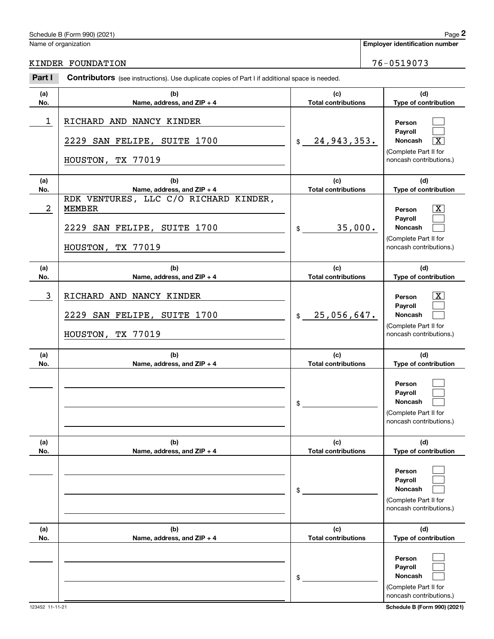# Schedule B (Form 990) (2021) Page 2

|                         | Schedule B (Form 990) (2021)                                                                               |                                   | Page 2                                                                                                    |
|-------------------------|------------------------------------------------------------------------------------------------------------|-----------------------------------|-----------------------------------------------------------------------------------------------------------|
|                         | Name of organization                                                                                       |                                   | <b>Employer identification number</b>                                                                     |
|                         | KINDER FOUNDATION                                                                                          |                                   | 76-0519073                                                                                                |
| Part I                  | Contributors (see instructions). Use duplicate copies of Part I if additional space is needed.             |                                   |                                                                                                           |
| (a)<br>No.              | (b)<br>Name, address, and ZIP + 4                                                                          | (c)<br><b>Total contributions</b> | (d)<br>Type of contribution                                                                               |
| $\mathbf 1$             | RICHARD AND NANCY KINDER<br>2229 SAN FELIPE, SUITE 1700                                                    | 24,943,353.<br>\$                 | Person<br>Payroll<br>Noncash<br>$\overline{\text{X}}$<br>(Complete Part II for                            |
|                         | HOUSTON, TX 77019                                                                                          |                                   | noncash contributions.)                                                                                   |
| (a)<br>No.              | (b)<br>Name, address, and ZIP + 4                                                                          | (c)<br><b>Total contributions</b> | (d)<br>Type of contribution                                                                               |
| $\overline{\mathbf{c}}$ | RDK VENTURES, LLC C/O RICHARD KINDER,<br><b>MEMBER</b><br>2229 SAN FELIPE, SUITE 1700<br>HOUSTON, TX 77019 | 35,000.<br>\$                     | $\overline{\text{X}}$<br>Person<br>Payroll<br>Noncash<br>(Complete Part II for<br>noncash contributions.) |
| (a)<br>No.              | (b)<br>Name, address, and ZIP + 4                                                                          | (c)<br><b>Total contributions</b> | (d)<br>Type of contribution                                                                               |
| 3                       | RICHARD AND NANCY KINDER<br>2229 SAN FELIPE, SUITE 1700<br>HOUSTON, TX 77019                               | 25,056,647.<br>$$\mathbb{S}$$     | $\overline{\text{X}}$<br>Person<br>Payroll<br>Noncash<br>(Complete Part II for<br>noncash contributions.) |
| (a)<br>No.              | (b)<br>Name, address, and ZIP + 4                                                                          | (c)<br><b>Total contributions</b> | (d)<br>Type of contribution                                                                               |
|                         |                                                                                                            | \$                                | Person<br>Payroll<br>Noncash<br>(Complete Part II for<br>noncash contributions.)                          |
| (a)<br>No.              | (b)<br>Name, address, and ZIP + 4                                                                          | (c)<br><b>Total contributions</b> | (d)<br>Type of contribution                                                                               |
|                         |                                                                                                            | \$                                | Person<br>Payroll<br>Noncash<br>(Complete Part II for<br>noncash contributions.)                          |
| (a)<br>No.              | (b)<br>Name, address, and ZIP + 4                                                                          | (c)<br><b>Total contributions</b> | (d)<br>Type of contribution                                                                               |
|                         |                                                                                                            | \$                                | Person<br>Payroll<br>Noncash<br>(Complete Part II for<br>noncash contributions.)                          |

# KINDER FOUNDATION 76-0519073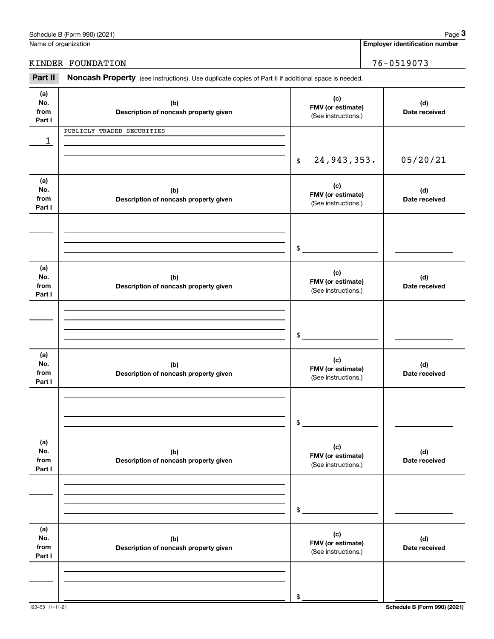|                              | Schedule B (Form 990) (2021)                                                                        |                                                 | Page 3                                |
|------------------------------|-----------------------------------------------------------------------------------------------------|-------------------------------------------------|---------------------------------------|
| Name of organization         |                                                                                                     |                                                 | <b>Employer identification number</b> |
|                              | KINDER FOUNDATION                                                                                   |                                                 | 76-0519073                            |
| Part II                      | Noncash Property (see instructions). Use duplicate copies of Part II if additional space is needed. |                                                 |                                       |
| (a)<br>No.<br>from<br>Part I | (b)<br>Description of noncash property given                                                        | (c)<br>FMV (or estimate)<br>(See instructions.) | (d)<br>Date received                  |
|                              | PUBLICLY TRADED SECURITIES                                                                          |                                                 |                                       |
| 1                            |                                                                                                     | 24, 943, 353.<br>$$\mathbb{S}$$                 | 05/20/21                              |
| (a)<br>No.<br>from<br>Part I | (b)<br>Description of noncash property given                                                        | (c)<br>FMV (or estimate)<br>(See instructions.) | (d)<br>Date received                  |
|                              |                                                                                                     | \$                                              |                                       |
| (a)<br>No.<br>from<br>Part I | (b)<br>Description of noncash property given                                                        | (c)<br>FMV (or estimate)<br>(See instructions.) | (d)<br>Date received                  |
|                              |                                                                                                     | \$                                              |                                       |
| (a)<br>No.<br>from<br>Part I | (b)<br>Description of noncash property given                                                        | (c)<br>FMV (or estimate)<br>(See instructions.) | (d)<br>Date received                  |
|                              |                                                                                                     | \$                                              |                                       |
| (a)<br>No.<br>from<br>Part I | (b)<br>Description of noncash property given                                                        | (c)<br>FMV (or estimate)<br>(See instructions.) | (d)<br>Date received                  |
|                              |                                                                                                     | \$                                              |                                       |
| (a)<br>No.<br>from<br>Part I | (b)<br>Description of noncash property given                                                        | (c)<br>FMV (or estimate)<br>(See instructions.) | (d)<br>Date received                  |
|                              |                                                                                                     |                                                 |                                       |

Schedule B (Form 990) (2021) Page 3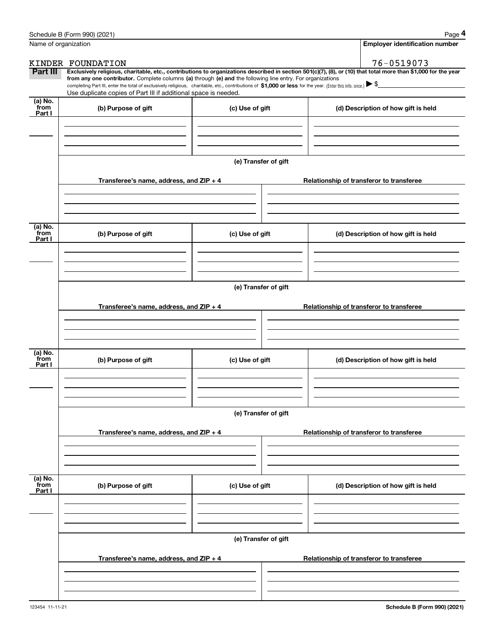|                      | Schedule B (Form 990) (2021)                                                                                                                                                                                                                                                                    |                      | Page 4                                                                                                                                                         |  |  |
|----------------------|-------------------------------------------------------------------------------------------------------------------------------------------------------------------------------------------------------------------------------------------------------------------------------------------------|----------------------|----------------------------------------------------------------------------------------------------------------------------------------------------------------|--|--|
| Name of organization |                                                                                                                                                                                                                                                                                                 |                      | <b>Employer identification number</b>                                                                                                                          |  |  |
|                      | KINDER FOUNDATION                                                                                                                                                                                                                                                                               |                      | 76-0519073                                                                                                                                                     |  |  |
| Part III             |                                                                                                                                                                                                                                                                                                 |                      | Exclusively religious, charitable, etc., contributions to organizations described in section 501(c)(7), (8), or (10) that total more than \$1,000 for the year |  |  |
|                      | from any one contributor. Complete columns (a) through (e) and the following line entry. For organizations<br>completing Part III, enter the total of exclusively religious, charitable, etc., contributions of \$1,000 or less for the year. (Enter this info. once.) $\blacktriangleright$ \$ |                      |                                                                                                                                                                |  |  |
|                      | Use duplicate copies of Part III if additional space is needed.                                                                                                                                                                                                                                 |                      |                                                                                                                                                                |  |  |
| (a) No.<br>from      | (b) Purpose of gift                                                                                                                                                                                                                                                                             | (c) Use of gift      | (d) Description of how gift is held                                                                                                                            |  |  |
| Part I               |                                                                                                                                                                                                                                                                                                 |                      |                                                                                                                                                                |  |  |
|                      |                                                                                                                                                                                                                                                                                                 |                      |                                                                                                                                                                |  |  |
|                      |                                                                                                                                                                                                                                                                                                 |                      |                                                                                                                                                                |  |  |
|                      |                                                                                                                                                                                                                                                                                                 |                      |                                                                                                                                                                |  |  |
|                      |                                                                                                                                                                                                                                                                                                 | (e) Transfer of gift |                                                                                                                                                                |  |  |
|                      | Transferee's name, address, and ZIP + 4                                                                                                                                                                                                                                                         |                      | Relationship of transferor to transferee                                                                                                                       |  |  |
|                      |                                                                                                                                                                                                                                                                                                 |                      |                                                                                                                                                                |  |  |
|                      |                                                                                                                                                                                                                                                                                                 |                      |                                                                                                                                                                |  |  |
|                      |                                                                                                                                                                                                                                                                                                 |                      |                                                                                                                                                                |  |  |
| (a) No.              |                                                                                                                                                                                                                                                                                                 |                      |                                                                                                                                                                |  |  |
| from<br>Part I       | (b) Purpose of gift                                                                                                                                                                                                                                                                             | (c) Use of gift      | (d) Description of how gift is held                                                                                                                            |  |  |
|                      |                                                                                                                                                                                                                                                                                                 |                      |                                                                                                                                                                |  |  |
|                      |                                                                                                                                                                                                                                                                                                 |                      |                                                                                                                                                                |  |  |
|                      |                                                                                                                                                                                                                                                                                                 |                      |                                                                                                                                                                |  |  |
|                      | (e) Transfer of gift                                                                                                                                                                                                                                                                            |                      |                                                                                                                                                                |  |  |
|                      |                                                                                                                                                                                                                                                                                                 |                      |                                                                                                                                                                |  |  |
|                      | Transferee's name, address, and $ZIP + 4$                                                                                                                                                                                                                                                       |                      | Relationship of transferor to transferee                                                                                                                       |  |  |
|                      |                                                                                                                                                                                                                                                                                                 |                      |                                                                                                                                                                |  |  |
|                      |                                                                                                                                                                                                                                                                                                 |                      |                                                                                                                                                                |  |  |
|                      |                                                                                                                                                                                                                                                                                                 |                      |                                                                                                                                                                |  |  |
| (a) No.<br>from      | (b) Purpose of gift                                                                                                                                                                                                                                                                             | (c) Use of gift      | (d) Description of how gift is held                                                                                                                            |  |  |
| Part I               |                                                                                                                                                                                                                                                                                                 |                      |                                                                                                                                                                |  |  |
|                      |                                                                                                                                                                                                                                                                                                 |                      |                                                                                                                                                                |  |  |
|                      |                                                                                                                                                                                                                                                                                                 |                      |                                                                                                                                                                |  |  |
|                      |                                                                                                                                                                                                                                                                                                 |                      |                                                                                                                                                                |  |  |
|                      | (e) Transfer of gift                                                                                                                                                                                                                                                                            |                      |                                                                                                                                                                |  |  |
|                      | Transferee's name, address, and $ZIP + 4$                                                                                                                                                                                                                                                       |                      | Relationship of transferor to transferee                                                                                                                       |  |  |
|                      |                                                                                                                                                                                                                                                                                                 |                      |                                                                                                                                                                |  |  |
|                      |                                                                                                                                                                                                                                                                                                 |                      |                                                                                                                                                                |  |  |
|                      |                                                                                                                                                                                                                                                                                                 |                      |                                                                                                                                                                |  |  |
| (a) No.<br>from      |                                                                                                                                                                                                                                                                                                 |                      |                                                                                                                                                                |  |  |
| Part I               | (b) Purpose of gift                                                                                                                                                                                                                                                                             | (c) Use of gift      | (d) Description of how gift is held                                                                                                                            |  |  |
|                      |                                                                                                                                                                                                                                                                                                 |                      |                                                                                                                                                                |  |  |
|                      |                                                                                                                                                                                                                                                                                                 |                      |                                                                                                                                                                |  |  |
|                      |                                                                                                                                                                                                                                                                                                 |                      |                                                                                                                                                                |  |  |
|                      | (e) Transfer of gift                                                                                                                                                                                                                                                                            |                      |                                                                                                                                                                |  |  |
|                      |                                                                                                                                                                                                                                                                                                 |                      |                                                                                                                                                                |  |  |
|                      | Transferee's name, address, and ZIP + 4                                                                                                                                                                                                                                                         |                      | Relationship of transferor to transferee                                                                                                                       |  |  |
|                      |                                                                                                                                                                                                                                                                                                 |                      |                                                                                                                                                                |  |  |
|                      |                                                                                                                                                                                                                                                                                                 |                      |                                                                                                                                                                |  |  |
|                      |                                                                                                                                                                                                                                                                                                 |                      |                                                                                                                                                                |  |  |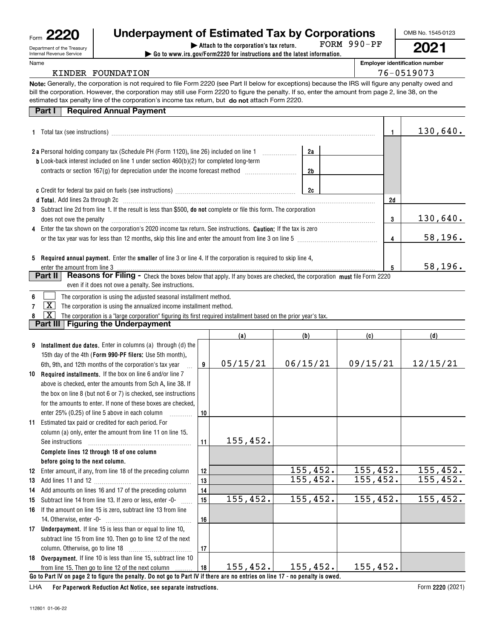| ⊦orm | ממ<br>∩ז |  |
|------|----------|--|
|      |          |  |

Department of the Treasury Internal Revenue Service

#### Name

# **| Attach to the corporation's tax return. Underpayment of Estimated Tax by Corporations**

**| Go to www.irs.gov/Form2220 for instructions and the latest information.** FORM 990-PF OMB No. 1545-0123 **2021**

**Employer identification number**

### KINDER FOUNDATION 76-0519073

**Note:** Generally, the corporation is not required to file Form 2220 (see Part II below for exceptions) because the IRS will figure any penalty owed and estimated tax penalty line of the corporation's income tax return, but **do not** attach Form 2220. bill the corporation. However, the corporation may still use Form 2220 to figure the penalty. If so, enter the amount from page 2, line 38, on the

### **Part I Required Annual Payment**

|                                                                                                                                                         |    | 130,640. |
|---------------------------------------------------------------------------------------------------------------------------------------------------------|----|----------|
| 2a<br><b>2a</b> Personal holding company tax (Schedule PH (Form 1120), line 26) included on line 1                                                      |    |          |
| <b>b</b> Look-back interest included on line 1 under section $460(b)(2)$ for completed long-term                                                        |    |          |
| 2b                                                                                                                                                      |    |          |
| 2c                                                                                                                                                      |    |          |
| d Total. Add lines 2a through 2c [11] Martin Martin Martin Martin Martin Martin Martin Martin Martin Martin Ma                                          | 2d |          |
| 3 Subtract line 2d from line 1. If the result is less than \$500, <b>do not</b> complete or file this form. The corporation<br>does not owe the penalty | 3  | 130,640. |
| 4 Enter the tax shown on the corporation's 2020 income tax return. See instructions. <b>Caution:</b> If the tax is zero                                 |    |          |
| or the tax year was for less than 12 months, skip this line and enter the amount from line 3 on line 5                                                  | 4  | 58, 196. |
| 5 Required annual payment. Enter the smaller of line 3 or line 4. If the corporation is required to skip line 4,                                        |    |          |
| enter the amount from line 3                                                                                                                            | 5  | 58, 196. |
| <b>Reasons for Filing -</b> Check the boxes below that apply. If any boxes are checked, the corporation must file Form 2220<br>Part II                  |    |          |

| even if it does not owe a penalty. See instructions. |
|------------------------------------------------------|
|                                                      |

| 6 <sup>1</sup><br>The corporation is using the adjusted seasonal installment method. |  |
|--------------------------------------------------------------------------------------|--|
|--------------------------------------------------------------------------------------|--|

**7** $\boxed{\mathbf{X}}$  The corporation is using the annualized income installment method.

**8** $\boxed{\textbf{X}}$  The corporation is a "large corporation" figuring its first required installment based on the prior year's tax.

### **Part III Figuring the Underpayment**

|    |                                                                                                                              |    | (a)       | (b)       | (c)      | (d)       |  |  |
|----|------------------------------------------------------------------------------------------------------------------------------|----|-----------|-----------|----------|-----------|--|--|
| 9  | Installment due dates. Enter in columns (a) through (d) the                                                                  |    |           |           |          |           |  |  |
|    | 15th day of the 4th (Form 990-PF filers: Use 5th month),                                                                     |    |           |           |          |           |  |  |
|    | 6th, 9th, and 12th months of the corporation's tax year                                                                      | 9  | 05/15/21  | 06/15/21  | 09/15/21 | 12/15/21  |  |  |
| 10 | Required installments. If the box on line 6 and/or line 7                                                                    |    |           |           |          |           |  |  |
|    | above is checked, enter the amounts from Sch A, line 38. If                                                                  |    |           |           |          |           |  |  |
|    | the box on line 8 (but not 6 or 7) is checked, see instructions                                                              |    |           |           |          |           |  |  |
|    | for the amounts to enter. If none of these boxes are checked.                                                                |    |           |           |          |           |  |  |
|    | enter 25% (0.25) of line 5 above in each column                                                                              | 10 |           |           |          |           |  |  |
| 11 | Estimated tax paid or credited for each period. For                                                                          |    |           |           |          |           |  |  |
|    | column (a) only, enter the amount from line 11 on line 15.                                                                   |    |           |           |          |           |  |  |
|    | See instructions                                                                                                             | 11 | 155,452.  |           |          |           |  |  |
|    | Complete lines 12 through 18 of one column                                                                                   |    |           |           |          |           |  |  |
|    | before going to the next column.                                                                                             |    |           |           |          |           |  |  |
| 12 | Enter amount, if any, from line 18 of the preceding column                                                                   | 12 |           | 155, 452. | 155,452. | 155,452.  |  |  |
| 13 |                                                                                                                              | 13 |           | 155,452.  | 155,452. | 155,452.  |  |  |
| 14 | Add amounts on lines 16 and 17 of the preceding column                                                                       | 14 |           |           |          |           |  |  |
| 15 | Subtract line 14 from line 13. If zero or less, enter -0-                                                                    | 15 | 155,452.  | 155,452.  | 155,452. | 155, 452. |  |  |
| 16 | If the amount on line 15 is zero, subtract line 13 from line                                                                 |    |           |           |          |           |  |  |
|    |                                                                                                                              | 16 |           |           |          |           |  |  |
|    | 17 Underpayment. If line 15 is less than or equal to line 10,                                                                |    |           |           |          |           |  |  |
|    | subtract line 15 from line 10. Then go to line 12 of the next                                                                |    |           |           |          |           |  |  |
|    |                                                                                                                              | 17 |           |           |          |           |  |  |
|    | 18 Overpayment. If line 10 is less than line 15, subtract line 10                                                            |    |           |           |          |           |  |  |
|    | from line 15. Then go to line 12 of the next column                                                                          | 18 | 155, 452. | 155, 452. | 155,452. |           |  |  |
|    | Go to Part IV on page 2 to figure the penalty. Do not go to Part IV if there are no entries on line 17 - no penalty is owed. |    |           |           |          |           |  |  |

**For Paperwork Reduction Act Notice, see separate instructions.** LHA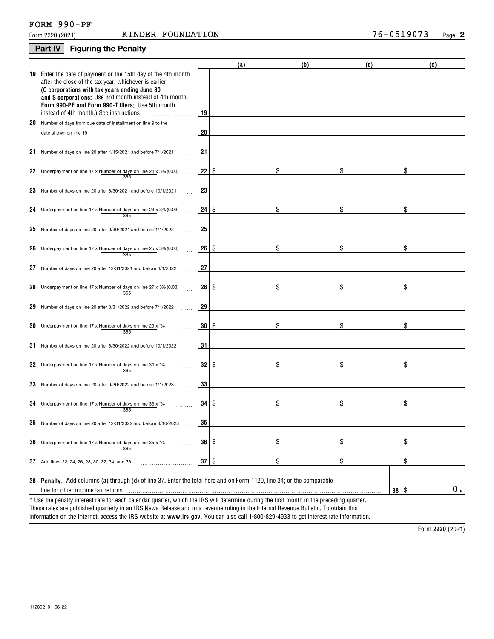# **2**

## **Part IV Figuring the Penalty**

|    |                                                                                                                                                                                                                                                                                                                                 |           | (a) | (b) | (c)        | (d) |  |  |  |
|----|---------------------------------------------------------------------------------------------------------------------------------------------------------------------------------------------------------------------------------------------------------------------------------------------------------------------------------|-----------|-----|-----|------------|-----|--|--|--|
| 19 | Enter the date of payment or the 15th day of the 4th month<br>after the close of the tax year, whichever is earlier.<br>(C corporations with tax years ending June 30<br>and S corporations: Use 3rd month instead of 4th month.<br>Form 990-PF and Form 990-T filers; Use 5th month<br>instead of 4th month.) See instructions | 19        |     |     |            |     |  |  |  |
|    | 20 Number of days from due date of installment on line 9 to the                                                                                                                                                                                                                                                                 |           |     |     |            |     |  |  |  |
|    | date shown on line 19                                                                                                                                                                                                                                                                                                           | 20        |     |     |            |     |  |  |  |
| 21 | Number of days on line 20 after 4/15/2021 and before 7/1/2021                                                                                                                                                                                                                                                                   | 21        |     |     |            |     |  |  |  |
| 22 | Underpayment on line 17 x Number of days on line 21 x 3% (0.03)<br>$\ddotsc$<br>365                                                                                                                                                                                                                                             | $22  $ \$ |     | \$  | \$         | \$  |  |  |  |
| 23 | Number of days on line 20 after 6/30/2021 and before 10/1/2021                                                                                                                                                                                                                                                                  | 23        |     |     |            |     |  |  |  |
| 24 | Underpayment on line 17 x Number of days on line 23 x 3% (0.03)<br>$\cdots$<br>365                                                                                                                                                                                                                                              | 24   \$   |     | \$  | \$         | \$  |  |  |  |
| 25 | Number of days on line 20 after 9/30/2021 and before 1/1/2022                                                                                                                                                                                                                                                                   | 25        |     |     |            |     |  |  |  |
| 26 | Underpayment on line 17 x Number of days on line 25 x 3% (0.03)<br>$\ddotsc$<br>365                                                                                                                                                                                                                                             | 26 S      |     | \$  | \$         | \$  |  |  |  |
| 27 | Number of days on line 20 after 12/31/2021 and before 4/1/2022                                                                                                                                                                                                                                                                  | 27        |     |     |            |     |  |  |  |
| 28 | Underpayment on line 17 x Number of days on line 27 x 3% (0.03)<br>$\ddotsc$<br>365                                                                                                                                                                                                                                             | 28 S      |     | \$  | \$         | \$  |  |  |  |
| 29 | Number of days on line 20 after 3/31/2022 and before 7/1/2022                                                                                                                                                                                                                                                                   | 29        |     |     |            |     |  |  |  |
| 30 | Underpayment on line 17 x Number of days on line 29 x *%<br>365                                                                                                                                                                                                                                                                 | 30   \$   |     | \$  | \$         | \$  |  |  |  |
| 31 | Number of days on line 20 after 6/30/2022 and before 10/1/2022                                                                                                                                                                                                                                                                  | 31        |     |     |            |     |  |  |  |
| 32 | Underpayment on line 17 x Number of days on line 31 x *%<br>365                                                                                                                                                                                                                                                                 | 32   \$   |     | \$  | \$         | \$  |  |  |  |
| 33 | Number of days on line 20 after 9/30/2022 and before 1/1/2023<br>.                                                                                                                                                                                                                                                              | 33        |     |     |            |     |  |  |  |
|    | 34 Underpayment on line 17 x Number of days on line 33 x $*$ %<br>365                                                                                                                                                                                                                                                           | 34   \$   |     | \$  | \$         | \$  |  |  |  |
|    | Number of days on line 20 after 12/31/2022 and before 3/16/2023                                                                                                                                                                                                                                                                 | 35        |     |     |            |     |  |  |  |
| 36 | Underpayment on line 17 x Number of days on line 35 x *%<br>365                                                                                                                                                                                                                                                                 | $36  $ \$ |     | \$  | \$         | \$  |  |  |  |
|    | 37 Add lines 22, 24, 26, 28, 30, 32, 34, and 36                                                                                                                                                                                                                                                                                 | $37$ \ \$ |     | \$  | \$         | \$  |  |  |  |
|    | 38 Penalty. Add columns (a) through (d) of line 37. Enter the total here and on Form 1120, line 34; or the comparable<br>line for other income tax returns                                                                                                                                                                      |           |     |     | $38 \quad$ | 0.  |  |  |  |
|    | * Use the penalty interest rate for each calendar quarter, which the IRS will determine during the first month in the preceding quarter.<br>These rates are published quarterly in an IRS News Release and in a revenue ruling in the Internal Revenue Bulletin. To obtain this                                                 |           |     |     |            |     |  |  |  |

information on the Internet, access the IRS website at **www.irs.gov**. You can also call 1-800-829-4933 to get interest rate information.

**2220**  Form (2021)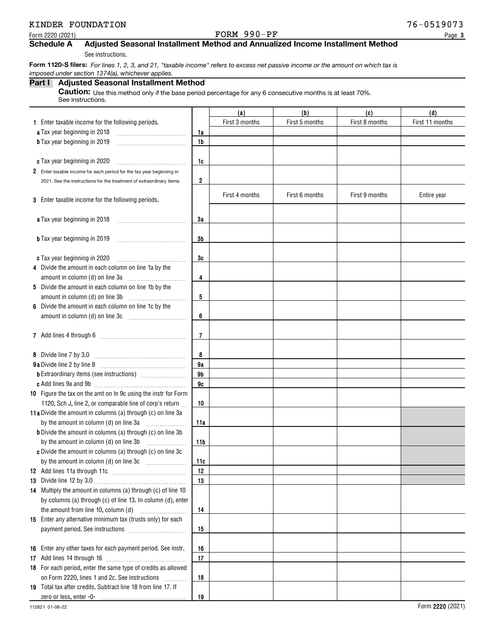### Form 2220 (2021)  $Pose$  Page Property is the Page Property of Page Property  $Pose$

### **Schedule A Adjusted Seasonal Installment Method and Annualized Income Installment Method**

See instructions.

 **Form 1120-S filers:** *For lines 1, 2, 3, and 21, "taxable income" refers to excess net passive income or the amount on which tax is imposed under section 1374(a), whichever applies.*

### **Part I Adjusted Seasonal Installment Method**

**Caution:** Use this method only if the base period percentage for any 6 consecutive months is at least 70%. See instructions.

|                                                                      |                | (a)            | (b)            | (c)            | (d)             |
|----------------------------------------------------------------------|----------------|----------------|----------------|----------------|-----------------|
| 1 Enter taxable income for the following periods.                    |                | First 3 months | First 5 months | First 8 months | First 11 months |
| a Tax year beginning in 2018                                         | 1a             |                |                |                |                 |
| <b>b</b> Tax year beginning in 2019                                  | 1b             |                |                |                |                 |
|                                                                      |                |                |                |                |                 |
| c Tax year beginning in 2020                                         | 1c             |                |                |                |                 |
| 2 Enter taxable income for each period for the tax year beginning in |                |                |                |                |                 |
| 2021. See the instructions for the treatment of extraordinary items  | 2              |                |                |                |                 |
|                                                                      |                |                |                |                |                 |
| 3 Enter taxable income for the following periods.                    |                | First 4 months | First 6 months | First 9 months | Entire year     |
|                                                                      |                |                |                |                |                 |
| a Tax year beginning in 2018                                         | 3a             |                |                |                |                 |
|                                                                      |                |                |                |                |                 |
| <b>b</b> Tax year beginning in 2019                                  | 3b             |                |                |                |                 |
|                                                                      |                |                |                |                |                 |
| c Tax year beginning in 2020                                         | 3c             |                |                |                |                 |
| 4 Divide the amount in each column on line 1a by the                 |                |                |                |                |                 |
| amount in column (d) on line 3a                                      | 4              |                |                |                |                 |
| 5 Divide the amount in each column on line 1b by the                 |                |                |                |                |                 |
| amount in column (d) on line 3b                                      | 5              |                |                |                |                 |
| 6 Divide the amount in each column on line 1c by the                 |                |                |                |                |                 |
|                                                                      | 6              |                |                |                |                 |
|                                                                      |                |                |                |                |                 |
|                                                                      | $\overline{7}$ |                |                |                |                 |
|                                                                      |                |                |                |                |                 |
| 8 Divide line 7 by 3.0                                               | 8              |                |                |                |                 |
|                                                                      | 9a             |                |                |                |                 |
|                                                                      | 9b             |                |                |                |                 |
|                                                                      | 9c             |                |                |                |                 |
| 10 Figure the tax on the amt on In 9c using the instr for Form       |                |                |                |                |                 |
| 1120, Sch J, line 2, or comparable line of corp's return             | 10             |                |                |                |                 |
| 11a Divide the amount in columns (a) through (c) on line 3a          |                |                |                |                |                 |
| by the amount in column (d) on line 3a                               | 11a            |                |                |                |                 |
| <b>b</b> Divide the amount in columns (a) through (c) on line 3b     |                |                |                |                |                 |
| by the amount in column (d) on line 3b                               | 11b            |                |                |                |                 |
| c Divide the amount in columns (a) through (c) on line 3c            |                |                |                |                |                 |
|                                                                      | 11c            |                |                |                |                 |
|                                                                      | 12             |                |                |                |                 |
|                                                                      | 13             |                |                |                |                 |
| 14 Multiply the amount in columns (a) through (c) of line 10         |                |                |                |                |                 |
| by columns (a) through (c) of line 13. In column (d), enter          |                |                |                |                |                 |
| the amount from line 10, column (d)                                  | 14             |                |                |                |                 |
| 15 Enter any alternative minimum tax (trusts only) for each          |                |                |                |                |                 |
|                                                                      | 15             |                |                |                |                 |
|                                                                      |                |                |                |                |                 |
| 16 Enter any other taxes for each payment period. See instr.         | 16             |                |                |                |                 |
|                                                                      | 17             |                |                |                |                 |
| 18 For each period, enter the same type of credits as allowed        |                |                |                |                |                 |
| on Form 2220, lines 1 and 2c. See instructions                       | 18             |                |                |                |                 |
| 19 Total tax after credits. Subtract line 18 from line 17. If        |                |                |                |                |                 |
|                                                                      | 19             |                |                |                |                 |
|                                                                      |                |                |                |                |                 |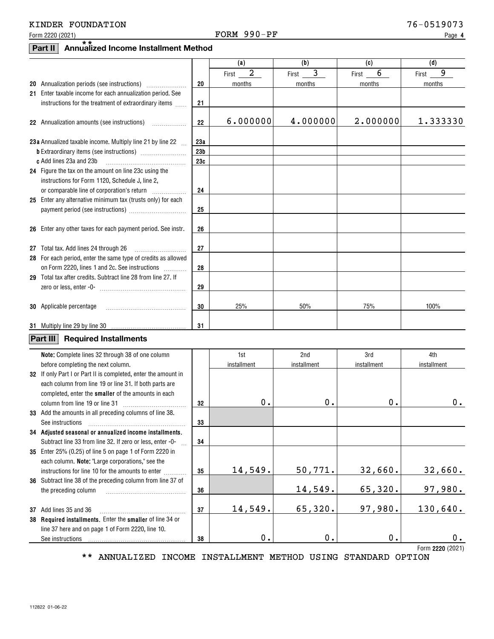### Form 2220 (2021)  $Pose$  Page Property is the Page Property of Page Property  $Pose$

**4**

# **Part II Annualized Income Installment Method** \*\*

|                                                                             |                 | (a)           | (b)           | (c)           | (d)         |
|-----------------------------------------------------------------------------|-----------------|---------------|---------------|---------------|-------------|
|                                                                             |                 | 2<br>First    | 3<br>First    | 6<br>First    | 9<br>First  |
|                                                                             | 20              | months        | months        | months        | months      |
| 21 Enter taxable income for each annualization period. See                  |                 |               |               |               |             |
| instructions for the treatment of extraordinary items                       | 21              |               |               |               |             |
|                                                                             |                 |               |               |               |             |
| 22 Annualization amounts (see instructions)                                 | 22              | 6.000000      | 4.000000      | 2.000000      | 1.333330    |
| 23a Annualized taxable income. Multiply line 21 by line 22                  | 23а             |               |               |               |             |
|                                                                             | 23 <sub>b</sub> |               |               |               |             |
| c Add lines 23a and 23b                                                     | 23c             |               |               |               |             |
| 24 Figure the tax on the amount on line 23c using the                       |                 |               |               |               |             |
| instructions for Form 1120, Schedule J, line 2,                             |                 |               |               |               |             |
|                                                                             | 24              |               |               |               |             |
| 25 Enter any alternative minimum tax (trusts only) for each                 |                 |               |               |               |             |
|                                                                             | 25              |               |               |               |             |
|                                                                             |                 |               |               |               |             |
| 26 Enter any other taxes for each payment period. See instr.                | 26              |               |               |               |             |
| 27 Total tax. Add lines 24 through 26                                       | 27              |               |               |               |             |
| 28 For each period, enter the same type of credits as allowed               |                 |               |               |               |             |
| on Form 2220, lines 1 and 2c. See instructions                              | 28              |               |               |               |             |
| 29 Total tax after credits. Subtract line 28 from line 27. If               |                 |               |               |               |             |
|                                                                             | 29              |               |               |               |             |
|                                                                             |                 |               |               |               |             |
| <b>30</b> Applicable percentage                                             | 30              | 25%           | 50%           | 75%           | 100%        |
|                                                                             |                 |               |               |               |             |
|                                                                             | 31              |               |               |               |             |
| Part III <br><b>Required Installments</b>                                   |                 |               |               |               |             |
| Note: Complete lines 32 through 38 of one column                            |                 | 1st           | 2nd           | 3rd           | 4th         |
| before completing the next column.                                          |                 | installment   | installment   | installment   | installment |
| 32 If only Part I or Part II is completed, enter the amount in              |                 |               |               |               |             |
| each column from line 19 or line 31. If both parts are                      |                 |               |               |               |             |
| completed, enter the smaller of the amounts in each                         |                 |               |               |               |             |
| column from line 19 or line 31                                              | 32              | 0.            | 0.            | $\mathbf 0$ . | $0$ .       |
| 33 Add the amounts in all preceding columns of line 38.<br>See instructions | 33              |               |               |               |             |
| 34 Adjusted seasonal or annualized income installments.                     |                 |               |               |               |             |
| Subtract line 33 from line 32. If zero or less, enter -0-                   | 34              |               |               |               |             |
| 35 Enter 25% (0.25) of line 5 on page 1 of Form 2220 in                     |                 |               |               |               |             |
| each column. Note: "Large corporations," see the                            |                 |               |               |               |             |
| instructions for line 10 for the amounts to enter                           | 35              | 14,549.       | 50,771.       | 32,660.       | 32,660.     |
| 36 Subtract line 38 of the preceding column from line 37 of                 |                 |               |               |               |             |
| the preceding column                                                        | 36              |               | 14,549.       | 65,320.       | 97,980.     |
|                                                                             |                 |               |               |               |             |
| 37 Add lines 35 and 36                                                      | 37              | 14,549.       | 65,320.       | 97,980.       | 130,640.    |
| 38 Required installments. Enter the smaller of line 34 or                   |                 |               |               |               |             |
| line 37 here and on page 1 of Form 2220, line 10.                           |                 | $\mathbf 0$ . | $\mathbf 0$ . | 0.            | 0.          |
| See instructions                                                            | 38              |               |               |               |             |

**2220**  Form (2021)

\*\* ANNUALIZED INCOME INSTALLMENT METHOD USING STANDARD OPTION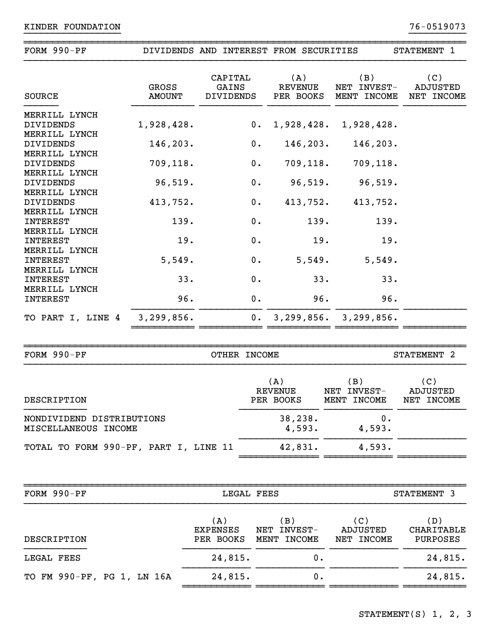| FORM 990-PF                                       |                        |                                      |                    | DIVIDENDS AND INTEREST FROM SECURITIES |                                   | STATEMENT 1                          |
|---------------------------------------------------|------------------------|--------------------------------------|--------------------|----------------------------------------|-----------------------------------|--------------------------------------|
| <b>SOURCE</b>                                     | GROSS<br><b>AMOUNT</b> | CAPITAL<br>GAINS<br><b>DIVIDENDS</b> |                    | (A)<br><b>REVENUE</b><br>PER BOOKS     | (B)<br>NET INVEST-<br>MENT INCOME | (C)<br>ADJUSTED<br>NET INCOME        |
| MERRILL LYNCH<br>DIVIDENDS                        | 1,928,428.             |                                      | $0$ .              | 1,928,428.                             | 1,928,428.                        |                                      |
| MERRILL LYNCH<br>DIVIDENDS                        | 146,203.               |                                      | 0.                 | 146, 203.                              | 146,203.                          |                                      |
| MERRILL LYNCH<br>DIVIDENDS                        | 709,118.               |                                      | 0.                 | 709, 118.                              | 709,118.                          |                                      |
| MERRILL LYNCH<br>DIVIDENDS                        | 96,519.                |                                      | 0.                 | 96,519.                                | 96,519.                           |                                      |
| MERRILL LYNCH<br>DIVIDENDS<br>MERRILL LYNCH       | 413,752.               |                                      | $0$ .              | 413,752.                               | 413,752.                          |                                      |
| <b>INTEREST</b><br>MERRILL LYNCH                  | 139.                   |                                      | 0.                 | 139.                                   | 139.                              |                                      |
| <b>INTEREST</b><br>MERRILL LYNCH                  | 19.                    |                                      | 0.                 | 19.                                    | 19.                               |                                      |
| <b>INTEREST</b><br>MERRILL LYNCH                  | 5,549.                 |                                      | 0.                 | 5,549.                                 | 5,549.                            |                                      |
| <b>INTEREST</b><br>MERRILL LYNCH                  | 33.                    |                                      | 0.                 | 33.                                    | 33.                               |                                      |
| <b>INTEREST</b>                                   | 96.                    |                                      | $\boldsymbol{0}$ . | 96.                                    | 96.                               |                                      |
| TO PART I, LINE 4                                 | 3, 299, 856.           |                                      |                    |                                        | 0.3, 299, 856.3, 299, 856.        |                                      |
|                                                   |                        |                                      |                    |                                        |                                   |                                      |
| FORM 990-PF                                       |                        |                                      | OTHER INCOME       |                                        |                                   | STATEMENT 2                          |
| DESCRIPTION                                       |                        |                                      |                    | (A)<br><b>REVENUE</b><br>PER BOOKS     | (B)<br>NET INVEST-<br>MENT INCOME | (C)<br><b>ADJUSTED</b><br>NET INCOME |
| NONDIVIDEND DISTRIBUTIONS<br>MISCELLANEOUS INCOME |                        |                                      |                    | 38,238.<br>4,593.                      | 0.<br>4,593.                      |                                      |
| TOTAL TO FORM 990-PF, PART I, LINE 11             |                        |                                      |                    | 42,831.                                | 4,593.                            |                                      |
|                                                   |                        |                                      |                    |                                        |                                   |                                      |
| FORM 990-PF                                       |                        |                                      | LEGAL FEES         |                                        |                                   | STATEMENT 3                          |
| DESCRIPTION                                       |                        | (A)<br><b>EXPENSES</b><br>PER BOOKS  |                    | (B)<br>NET INVEST-<br>MENT INCOME      | (C)<br>ADJUSTED<br>NET INCOME     | (D)<br>CHARITABLE<br>PURPOSES        |
| LEGAL FEES                                        |                        | 24,815.                              |                    | 0.                                     |                                   | 24,815.                              |
| TO FM 990-PF, PG 1, LN 16A                        |                        | 24,815.                              |                    | 0.                                     |                                   | 24,815.                              |
|                                                   |                        |                                      |                    |                                        |                                   |                                      |

~~~~~~~~~~~~~~~~~~~~~~~~~~~~~~~~~~~~~~~~~~~~~~~~~~~~~~~~~~~~~~~~~~~~~~~~~~~~~~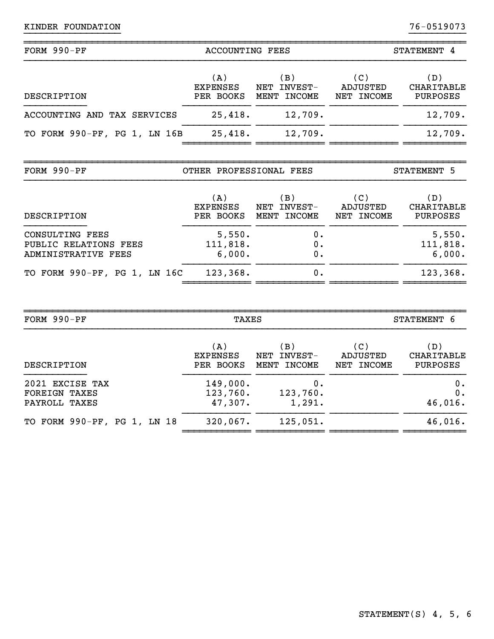|                                        |                                   |                                                 | STATEMENT 4                                 |  |
|----------------------------------------|-----------------------------------|-------------------------------------------------|---------------------------------------------|--|
| (A)<br><b>EXPENSES</b>                 | (B)<br>NET INVEST-                | (C)<br>ADJUSTED<br>NET INCOME                   | (D)<br><b>CHARITABLE</b><br><b>PURPOSES</b> |  |
|                                        | 12,709.                           |                                                 | 12,709.                                     |  |
|                                        | 12,709.                           |                                                 | 12,709.                                     |  |
| FORM 990-PF<br>OTHER PROFESSIONAL FEES |                                   |                                                 |                                             |  |
| (A)<br><b>EXPENSES</b>                 | (B)<br>NET INVEST-<br>MENT INCOME | (C)<br>ADJUSTED<br>NET INCOME                   | (D)<br><b>CHARITABLE</b><br>PURPOSES        |  |
| 5,550.<br>111,818.<br>6,000.           | 0.<br>0.<br>0.                    |                                                 | 5,550.<br>111,818.<br>6,000.                |  |
| 123,368.                               | 0.                                |                                                 | 123,368.                                    |  |
|                                        | 25,418.<br>25,418.<br>PER BOOKS   | <b>ACCOUNTING FEES</b><br>PER BOOKS MENT INCOME | STATEMENT 5                                 |  |

| FORM $990-PF$               | TAXES           |                       |            | STATEMENT 6     |  |  |
|-----------------------------|-----------------|-----------------------|------------|-----------------|--|--|
| DESCRIPTION                 | (A)             | $\langle$ B $\rangle$ | (C)        | (D)             |  |  |
|                             | <b>EXPENSES</b> | NET INVEST-           | ADJUSTED   | CHARITABLE      |  |  |
|                             | PER BOOKS       | MENT INCOME           | NET INCOME | <b>PURPOSES</b> |  |  |
| 2021 EXCISE TAX             | 149,000.        | 0.                    |            | $0$ .           |  |  |
| <b>FOREIGN TAXES</b>        | 123,760.        | 123,760.              |            | 0.              |  |  |
| PAYROLL TAXES               | 47,307.         | 1,291.                |            | 46,016.         |  |  |
| TO FORM 990-PF, PG 1, LN 18 | 320,067.        | 125,051.              |            | 46,016.         |  |  |

~~~~~~~~~~~~~~~~~~~~~~~~~~~~~~~~~~~~~~~~~~~~~~~~~~~~~~~~~~~~~~~~~~~~~~~~~~~~~~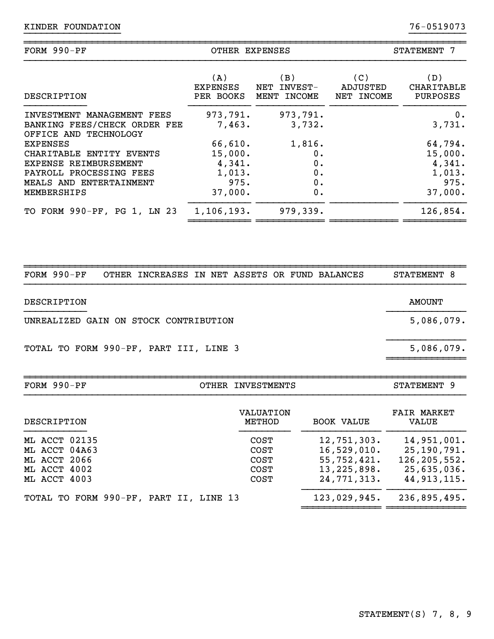| FORM 990-PF                                                                         | OTHER EXPENSES     |                    | STATEMENT 7 |              |  |
|-------------------------------------------------------------------------------------|--------------------|--------------------|-------------|--------------|--|
| DESCRIPTION                                                                         | (A)                | (B)                | (C)         | (D)          |  |
|                                                                                     | EXPENSES           | NET INVEST-        | ADJUSTED    | CHARITABLE   |  |
|                                                                                     | PER BOOKS          | MENT INCOME        | NET INCOME  | PURPOSES     |  |
| INVESTMENT MANAGEMENT FEES<br>BANKING FEES/CHECK ORDER FEE<br>OFFICE AND TECHNOLOGY | 973,791.<br>7,463. | 973,791.<br>3,732. |             | 0.<br>3,731. |  |
| <b>EXPENSES</b>                                                                     | 66,610.            | 1,816.             |             | 64,794.      |  |
| CHARITABLE ENTITY EVENTS                                                            | 15,000.            | 0.                 |             | 15,000.      |  |
| EXPENSE REIMBURSEMENT                                                               | 4,341.             | 0.                 |             | 4,341.       |  |
| PAYROLL PROCESSING FEES                                                             | 1,013.             | 0.                 |             | 1,013.       |  |
| MEALS AND ENTERTAINMENT                                                             | 975.               | 0.                 |             | 975.         |  |
| MEMBERSHIPS                                                                         | 37,000.            | 0.                 |             | 37,000.      |  |
| TO FORM 990-PF, PG 1, LN 23                                                         | 1,106,193.         | 979,339.           |             | 126,854.     |  |
|                                                                                     |                    |                    |             |              |  |

~~~~~~~~~~~~~~~~~~~~~~~~~~~~~~~~~~~~~~~~~~~~~~~~~~~~~~~~~~~~~~~~~~~~~~~~~~~~~~

| FORM $990-PF$                          | OTHER INCREASES IN NET ASSETS OR FUND BALANCES |                            |                   | STATEMENT 8                 |
|----------------------------------------|------------------------------------------------|----------------------------|-------------------|-----------------------------|
| DESCRIPTION                            |                                                |                            |                   | <b>AMOUNT</b>               |
| UNREALIZED GAIN ON STOCK CONTRIBUTION  |                                                |                            |                   | 5,086,079.                  |
| TOTAL TO FORM 990-PF, PART III, LINE 3 |                                                |                            |                   | 5,086,079.                  |
| FORM 990-PF                            |                                                | OTHER INVESTMENTS          |                   | STATEMENT 9                 |
| DESCRIPTION                            |                                                | <b>VALUATION</b><br>METHOD | <b>BOOK VALUE</b> | <b>FAIR MARKET</b><br>VALUE |

~~~~~~~~~~~~~~~~~~~~~~~~~~~~~~~~~~~~~~~~~~~~~~~~~~~~~~~~~~~~~~~~~~~~~~~~~~~~~~

|              | ML ACCT 02135 |                                        |  |  | COST | $12,751,303$ . | 14,951,001.  |
|--------------|---------------|----------------------------------------|--|--|------|----------------|--------------|
|              | ML ACCT 04A63 |                                        |  |  | COST | 16,529,010.    | 25,190,791.  |
| ML ACCT 2066 |               |                                        |  |  | COST | 55,752,421.    | 126,205,552. |
| ML ACCT 4002 |               |                                        |  |  | COST | 13, 225, 898.  | 25,635,036.  |
| ML ACCT 4003 |               |                                        |  |  | COST | 24,771,313.    | 44,913,115.  |
|              |               | TOTAL TO FORM 990-PF, PART II, LINE 13 |  |  |      | 123,029,945.   | 236,895,495. |

~~~~~~~~~~~~~~ ~~~~~~~~~~~~~~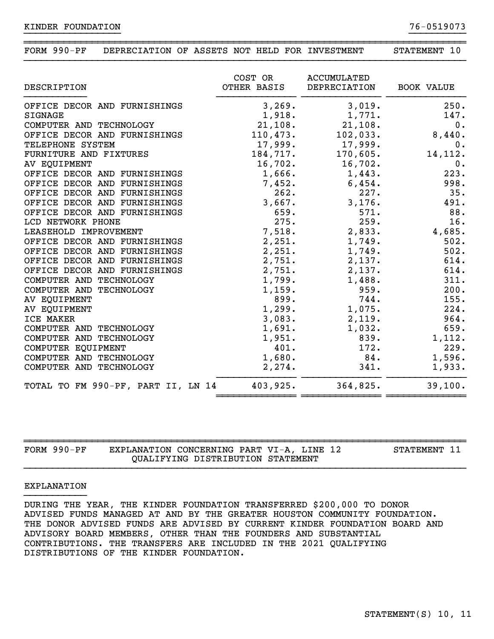| FORM 990-PF | DEPRECIATION OF ASSETS NOT HELD FOR INVESTMENT |  |  |  | STATEMENT |  |
|-------------|------------------------------------------------|--|--|--|-----------|--|

| DESCRIPTION                        | COST OR<br>OTHER BASIS | <b>ACCUMULATED</b><br>DEPRECIATION | <b>BOOK VALUE</b> |
|------------------------------------|------------------------|------------------------------------|-------------------|
| OFFICE DECOR AND FURNISHINGS       | 3,269.                 | 3,019.                             | 250.              |
| <b>SIGNAGE</b>                     | 1,918.                 | 1,771.                             | 147.              |
| COMPUTER AND TECHNOLOGY            | 21,108.                | 21,108.                            | 0.                |
| OFFICE DECOR AND FURNISHINGS       | 110,473.               | 102,033.                           | 8,440.            |
| TELEPHONE SYSTEM                   | 17,999.                | 17,999.                            | 0.                |
| FURNITURE AND FIXTURES             | 184,717.               | 170,605.                           | 14,112.           |
| AV EQUIPMENT                       | 16,702.                | 16,702.                            | 0.                |
| OFFICE DECOR AND FURNISHINGS       | 1,666.                 | 1,443.                             | 223.              |
| OFFICE DECOR AND FURNISHINGS       | 7,452.                 | 6,454.                             | 998.              |
| OFFICE DECOR AND FURNISHINGS       | 262.                   | 227.                               | 35.               |
| OFFICE DECOR AND FURNISHINGS       | 3,667.                 | 3,176.                             | 491.              |
| OFFICE DECOR AND FURNISHINGS       | 659.                   | 571.                               | 88.               |
| LCD NETWORK PHONE                  | 275.                   | 259.                               | 16.               |
| LEASEHOLD IMPROVEMENT              | 7,518.                 | 2,833.                             | 4,685.            |
| OFFICE DECOR AND FURNISHINGS       | 2,251.                 | 1,749.                             | 502.              |
| OFFICE DECOR AND FURNISHINGS       | 2,251.                 | 1,749.                             | 502.              |
| OFFICE DECOR AND FURNISHINGS       | 2,751.                 | 2,137.                             | 614.              |
| OFFICE DECOR AND FURNISHINGS       | 2,751.                 | 2,137.                             | 614.              |
| COMPUTER AND TECHNOLOGY            | 1,799.                 | 1,488.                             | 311.              |
| COMPUTER AND TECHNOLOGY            | 1,159.                 | 959.                               | 200.              |
| AV EQUIPMENT                       | 899.                   | 744.                               | 155.              |
| AV EQUIPMENT                       | 1,299.                 | 1,075.                             | 224.              |
| ICE MAKER                          | 3,083.                 | 2,119.                             | 964.              |
| COMPUTER AND TECHNOLOGY            | 1,691.                 | 1,032.                             | 659.              |
| COMPUTER AND TECHNOLOGY            | 1,951.                 | 839.                               | 1,112.            |
| COMPUTER EQUIPMENT                 | 401.                   | 172.                               | 229.              |
| COMPUTER AND TECHNOLOGY            | 1,680.                 | 84.                                | 1,596.            |
| COMPUTER AND TECHNOLOGY            | 2, 274.                | 341.                               | 1,933.            |
| TOTAL TO FM 990-PF, PART II, LN 14 | 403,925.               | 364,825.                           | 39,100.           |

| $FORM 990-PF$ | EXPLANATION CONCERNING PART VI-A, LINE 12 |                                   |  |  | STATEMENT 11 |
|---------------|-------------------------------------------|-----------------------------------|--|--|--------------|
|               |                                           | OUALIFYING DISTRIBUTION STATEMENT |  |  |              |

#### EXPLANATION

DURING THE YEAR, THE KINDER FOUNDATION TRANSFERRED \$200,000 TO DONOR ADVISED FUNDS MANAGED AT AND BY THE GREATER HOUSTON COMMUNITY FOUNDATION. THE DONOR ADVISED FUNDS ARE ADVISED BY CURRENT KINDER FOUNDATION BOARD AND ADVISORY BOARD MEMBERS, OTHER THAN THE FOUNDERS AND SUBSTANTIAL CONTRIBUTIONS. THE TRANSFERS ARE INCLUDED IN THE 2021 QUALIFYING DISTRIBUTIONS OF THE KINDER FOUNDATION.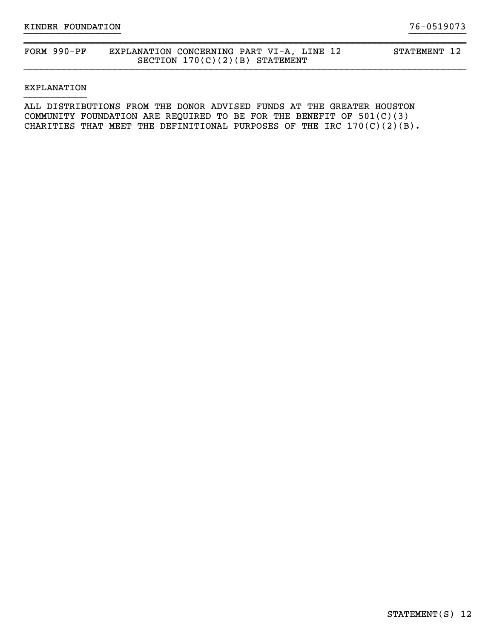### FORM 990-PF EXPLANATION CONCERNING PART VI-A, LINE 12 STATEMENT 12 SECTION 170(C)(2)(B) STATEMENT

#### EXPLANATION

ALL DISTRIBUTIONS FROM THE DONOR ADVISED FUNDS AT THE GREATER HOUSTON COMMUNITY FOUNDATION ARE REQUIRED TO BE FOR THE BENEFIT OF  $501(C)(3)$ CHARITIES THAT MEET THE DEFINITIONAL PURPOSES OF THE IRC  $170(C)(2)(B)$ .

}}}}}}}}}}}}}}}}} }}}}}}}}}}

~~~~~~~~~~~~~~~~~~~~~~~~~~~~~~~~~~~~~~~~~~~~~~~~~~~~~~~~~~~~~~~~~~~~~~~~~~~~~~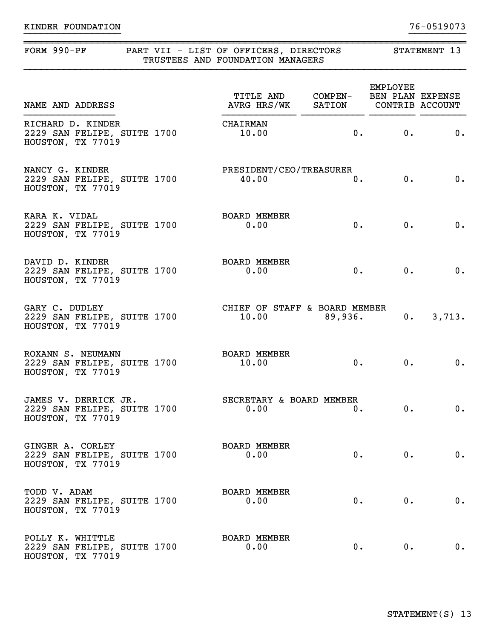| FORM 990-PF                                                              | PART VII - LIST OF OFFICERS, DIRECTORS<br>TRUSTEES AND FOUNDATION MANAGERS |                 | STATEMENT 13                    |          |  |  |
|--------------------------------------------------------------------------|----------------------------------------------------------------------------|-----------------|---------------------------------|----------|--|--|
| NAME AND ADDRESS                                                         | TITLE AND COMPEN- BEN PLAN EXPENSE<br>AVRG HRS/WK SATION CONTRIB ACCOUNT   |                 | EMPLOYEE                        |          |  |  |
| RICHARD D. KINDER<br>2229 SAN FELIPE, SUITE 1700<br>HOUSTON, TX 77019    | CHAIRMAN<br>10.00                                                          |                 | 0. 0.                           | 0.       |  |  |
| NANCY G. KINDER<br>2229 SAN FELIPE, SUITE 1700<br>HOUSTON, TX 77019      | PRESIDENT/CEO/TREASURER<br>40.00                                           | 0.              | 0.                              | 0.       |  |  |
| KARA K. VIDAL<br>2229 SAN FELIPE, SUITE 1700<br>HOUSTON, TX 77019        | <b>BOARD MEMBER</b><br>0.00                                                | 0.              | 0.                              | 0.       |  |  |
| DAVID D. KINDER<br>2229 SAN FELIPE, SUITE 1700<br>HOUSTON, TX 77019      | <b>BOARD MEMBER</b><br>0.00                                                |                 | 0.<br>0.                        | 0.       |  |  |
| GARY C. DUDLEY<br>2229 SAN FELIPE, SUITE 1700<br>HOUSTON, TX 77019       | CHIEF OF STAFF & BOARD MEMBER                                              | $10.00$ 89,936. | 0.                              | 3,713.   |  |  |
| ROXANN S. NEUMANN<br>2229 SAN FELIPE, SUITE 1700<br>HOUSTON, TX 77019    | <b>BOARD MEMBER</b><br>10.00                                               |                 | 0.<br>$\overline{\mathbf{0}}$ . | 0.       |  |  |
| JAMES V. DERRICK JR.<br>2229 SAN FELIPE, SUITE 1700<br>HOUSTON, TX 77019 | SECRETARY & BOARD MEMBER<br>$0.00$ $0.$                                    |                 |                                 | 0.<br>0. |  |  |
| GINGER A. CORLEY<br>2229 SAN FELIPE, SUITE 1700<br>HOUSTON, TX 77019     | <b>BOARD MEMBER</b><br>0.00                                                | 0.              | $0 \cdot$                       | 0.       |  |  |
| TODD V. ADAM<br>2229 SAN FELIPE, SUITE 1700<br>HOUSTON, TX 77019         | <b>BOARD MEMBER</b><br>0.00                                                | 0.              | 0.                              | 0.       |  |  |
| POLLY K. WHITTLE<br>2229 SAN FELIPE, SUITE 1700<br>HOUSTON, TX 77019     | <b>BOARD MEMBER</b><br>0.00                                                | $0$ .           | $0$ .                           | 0.       |  |  |

~~~~~~~~~~~~~~~~~~~~~~~~~~~~~~~~~~~~~~~~~~~~~~~~~~~~~~~~~~~~~~~~~~~~~~~~~~~~~~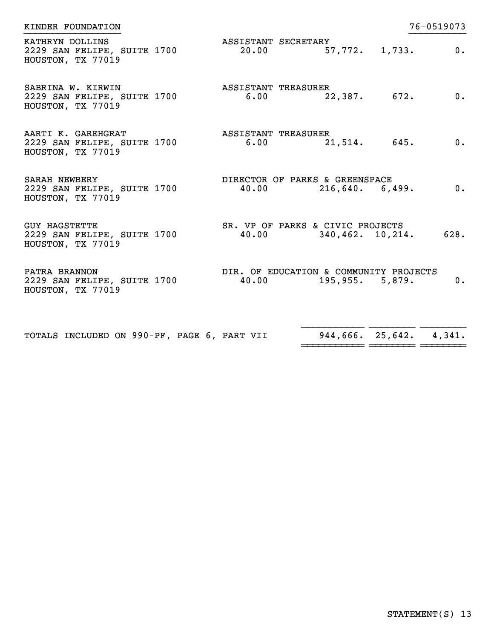| KINDER FOUNDATION                                                        |                                                              |                 |                  | 76-0519073                |
|--------------------------------------------------------------------------|--------------------------------------------------------------|-----------------|------------------|---------------------------|
| KATHRYN DOLLINS<br>2229 SAN FELIPE, SUITE 1700<br>HOUSTON, TX 77019      | ASSISTANT SECRETARY<br>$20.00$ 57,772. 1,733.                |                 |                  | $\overline{\mathbf{0}}$ . |
| SABRINA W. KIRWIN<br>2229 SAN FELIPE, SUITE 1700<br>HOUSTON, TX 77019    | ASSISTANT TREASURER<br>$6.00$ 22,387. 672.                   |                 |                  | 0.                        |
| AARTI K. GAREHGRAT<br>2229 SAN FELIPE, SUITE 1700<br>HOUSTON, TX 77019   | ASSISTANT TREASURER<br>$6.00$ 21,514. 645.                   |                 |                  | 0.                        |
| <b>SARAH NEWBERY</b><br>2229 SAN FELIPE, SUITE 1700<br>HOUSTON, TX 77019 | DIRECTOR OF PARKS & GREENSPACE<br>$40.00$ 216,640. 6,499.    |                 |                  | $0$ .                     |
| <b>GUY HAGSTETTE</b><br>2229 SAN FELIPE, SUITE 1700<br>HOUSTON, TX 77019 | SR. VP OF PARKS & CIVIC PROJECTS<br>$40.00$ 340,462. 10,214. |                 |                  | 628.                      |
| PATRA BRANNON<br>2229 SAN FELIPE, SUITE 1700<br>HOUSTON, TX 77019        | DIR. OF EDUCATION & COMMUNITY PROJECTS<br>40.00              | 195,955. 5,879. |                  | $0$ .                     |
| TOTALS INCLUDED ON 990-PF, PAGE 6, PART VII                              |                                                              |                 | 944,666. 25,642. | 4,341.                    |

~~~~~~~~~~~ ~~~~~~~~ ~~~~~~~~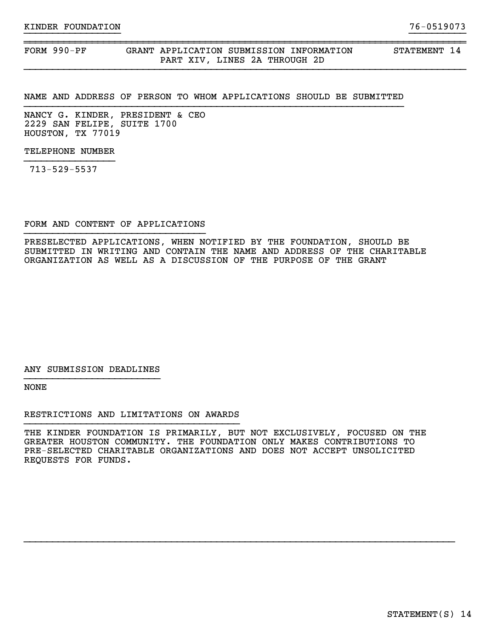FORM 990-PF GRANT APPLICATION SUBMISSION INFORMATION STATEMENT 14 PART XIV, LINES 2A THROUGH 2D

#### NAME AND ADDRESS OF PERSON TO WHOM APPLICATIONS SHOULD BE SUBMITTED

}}}}}}}}}}}}}}}}} }}}}}}}}}}

~~~~~~~~~~~~~~~~~~~~~~~~~~~~~~~~~~~~~~~~~~~~~~~~~~~~~~~~~~~~~~~~~~~~~~~~~~~~~~

NANCY G. KINDER, PRESIDENT & CEO 2229 SAN FELIPE, SUITE 1700 HOUSTON, TX 77019

TELEPHONE NUMBER

713-529-5537

FORM AND CONTENT OF APPLICATIONS }}}}}}}}}}}}}}}}}}}}}}}}}}}}}}}}

PRESELECTED APPLICATIONS, WHEN NOTIFIED BY THE FOUNDATION, SHOULD BE SUBMITTED IN WRITING AND CONTAIN THE NAME AND ADDRESS OF THE CHARITABLE ORGANIZATION AS WELL AS A DISCUSSION OF THE PURPOSE OF THE GRANT

ANY SUBMISSION DEADLINES }}}}}}}}}}}}}}}}}}}}}}}}

NONE

RESTRICTIONS AND LIMITATIONS ON AWARDS

THE KINDER FOUNDATION IS PRIMARILY, BUT NOT EXCLUSIVELY, FOCUSED ON THE GREATER HOUSTON COMMUNITY. THE FOUNDATION ONLY MAKES CONTRIBUTIONS TO PRE-SELECTED CHARITABLE ORGANIZATIONS AND DOES NOT ACCEPT UNSOLICITED REQUESTS FOR FUNDS.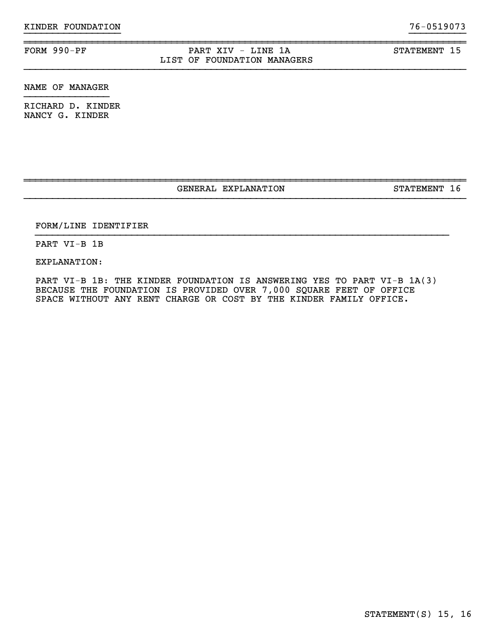### FORM 990-PF PART XIV - LINE 1A STATEMENT 15 LIST OF FOUNDATION MANAGERS

}}}}}}}}}}}}}}}}} }}}}}}}}}}

~~~~~~~~~~~~~~~~~~~~~~~~~~~~~~~~~~~~~~~~~~~~~~~~~~~~~~~~~~~~~~~~~~~~~~~~~~~~~~

NAME OF MANAGER

RICHARD D. KINDER NANCY G. KINDER

GENERAL EXPLANATION STATEMENT 16

~~~~~~~~~~~~~~~~~~~~~~~~~~~~~~~~~~~~~~~~~~~~~~~~~~~~~~~~~~~~~~~~~~~~~~~~~~~~~~

}}}}}}}}}}}}}}}}}}}}}}}}}}}}}}}}}}}}}}}}}}}}}}}}}}}}}}}}}}}}}}}}}}}}}}}}}

### FORM/LINE IDENTIFIER

PART VI-B 1B

EXPLANATION:

PART VI-B 1B: THE KINDER FOUNDATION IS ANSWERING YES TO PART VI-B 1A(3) BECAUSE THE FOUNDATION IS PROVIDED OVER 7,000 SQUARE FEET OF OFFICE SPACE WITHOUT ANY RENT CHARGE OR COST BY THE KINDER FAMILY OFFICE.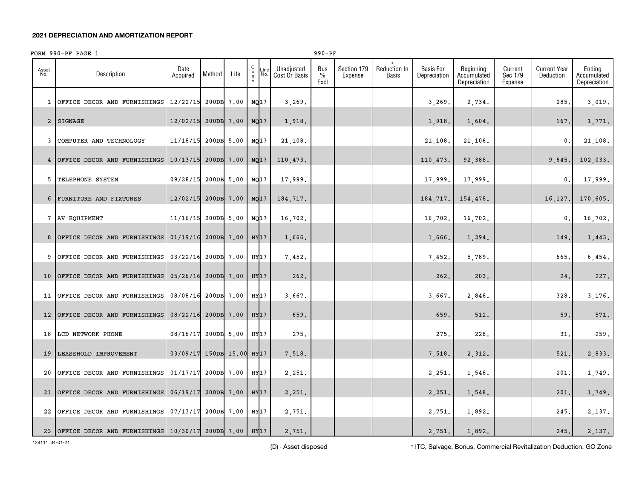#### **2021 DEPRECIATION AND AMORTIZATION REPORT**

|              | FORM 990-PF PAGE 1                                  |                           |            |            |                         |             |                             | $990 - PF$          |                        |                       |                                  |                                          |                               |                                  |                                       |
|--------------|-----------------------------------------------------|---------------------------|------------|------------|-------------------------|-------------|-----------------------------|---------------------|------------------------|-----------------------|----------------------------------|------------------------------------------|-------------------------------|----------------------------------|---------------------------------------|
| Asset<br>No. | Description                                         | Date<br>Acquired          | Method     | Life       | С<br>$_{\rm n}^{\rm o}$ | Line<br>No. | Unadjusted<br>Cost Or Basis | Bus<br>$\%$<br>Excl | Section 179<br>Expense | Reduction In<br>Basis | <b>Basis For</b><br>Depreciation | Beginning<br>Accumulated<br>Depreciation | Current<br>Sec 179<br>Expense | <b>Current Year</b><br>Deduction | Ending<br>Accumulated<br>Depreciation |
|              | 1 OFFICE DECOR AND FURNISHINGS                      | 12/22/15                  | 200DB 7.00 |            | MQ17                    |             | 3,269.                      |                     |                        |                       | 3,269.                           | 2,734.                                   |                               | 285.                             | 3,019.                                |
|              | 2 SIGNAGE                                           | 12/02/15                  |            | 200DB 7.00 | MQ17                    |             | 1,918.                      |                     |                        |                       | 1,918.                           | 1,604.                                   |                               | 167.                             | 1,771.                                |
|              | 3 COMPUTER AND TECHNOLOGY                           | 11/18/15                  |            | 200DB 5.00 | MQ17                    |             | 21,108.                     |                     |                        |                       | 21,108.                          | 21,108.                                  |                               | 0.                               | 21,108.                               |
|              | 4 OFFICE DECOR AND FURNISHINGS                      | 10/13/15                  |            | 200DB 7.00 | MQ17                    |             | 110,473.                    |                     |                        |                       | 110,473.                         | 92,388.                                  |                               | 9,645.                           | 102,033.                              |
|              | 5 TELEPHONE SYSTEM                                  | 09/28/15                  |            | 200DB 5.00 | MQ17                    |             | 17,999.                     |                     |                        |                       | 17,999.                          | 17,999.                                  |                               | 0.                               | 17,999.                               |
|              | 6 FURNITURE AND FIXTURES                            | 12/02/15                  |            | 200DB 7.00 | MQ17                    |             | 184,717.                    |                     |                        |                       | 184,717.                         | 154,478.                                 |                               | 16,127.                          | 170,605.                              |
|              | 7 AV EQUIPMENT                                      | 11/16/15                  |            | 200DB 5.00 | MQ17                    |             | 16,702.                     |                     |                        |                       | 16,702.                          | 16,702.                                  |                               | 0                                | 16,702.                               |
|              | 8 OFFICE DECOR AND FURNISHINGS                      | 01/19/16                  | 200DB 7.00 |            | HY <sub>17</sub>        |             | 1,666.                      |                     |                        |                       | 1,666.                           | 1,294.                                   |                               | 149.                             | 1,443.                                |
|              | 9 OFFICE DECOR AND FURNISHINGS                      | 03/22/16                  | 200DB 7.00 |            | HY17                    |             | 7,452.                      |                     |                        |                       | 7,452.                           | 5,789.                                   |                               | 665.                             | 6,454.                                |
|              | 10 OFFICE DECOR AND FURNISHINGS                     | 05/26/16                  | 200DB 7.00 |            | HY17                    |             | 262.                        |                     |                        |                       | 262.                             | 203.                                     |                               | 24,                              | 227.                                  |
|              | 11 OFFICE DECOR AND FURNISHINGS                     | 08/08/16                  | 200DB 7.00 |            | HY17                    |             | 3,667.                      |                     |                        |                       | 3,667.                           | 2,848.                                   |                               | 328.                             | 3,176.                                |
|              | 12 OFFICE DECOR AND FURNISHINGS                     | 08/22/16                  |            | 200DB 7.00 | HY <sub>17</sub>        |             | 659.                        |                     |                        |                       | 659.                             | 512.                                     |                               | 59.                              | 571.                                  |
|              | 18 LCD NETWORK PHONE                                | 08/16/17                  |            | 200DB 5.00 | HY17                    |             | 275.                        |                     |                        |                       | 275.                             | 228.                                     |                               | 31.                              | 259.                                  |
|              | 19 LEASEHOLD IMPROVEMENT                            | 03/09/17 150DB 15.00 HY17 |            |            |                         |             | 7,518.                      |                     |                        |                       | 7,518.                           | 2,312.                                   |                               | 521.                             | 2,833.                                |
| 20           | OFFICE DECOR AND FURNISHINGS                        | 01/17/17                  | 200DB 7.00 |            | HY17                    |             | 2,251.                      |                     |                        |                       | 2,251.                           | 1,548.                                   |                               | 201.                             | 1,749.                                |
|              | 21 OFFICE DECOR AND FURNISHINGS                     | 06/19/17                  |            | 200DB 7.00 |                         | HY17        | 2,251.                      |                     |                        |                       | 2,251.                           | 1,548.                                   |                               | 201.                             | 1,749.                                |
|              | 22 OFFICE DECOR AND FURNISHINGS                     | 07/13/17                  | 200DB 7.00 |            | HY17                    |             | 2,751.                      |                     |                        |                       | 2,751.                           | 1,892.                                   |                               | 245.                             | 2,137.                                |
|              | 23 OFFICE DECOR AND FURNISHINGS 10/30/17 200DB 7.00 |                           |            |            | HY17                    |             | 2,751.                      |                     |                        |                       | 2,751.                           | 1,892.                                   |                               | 245.                             | 2,137.                                |

128111 04-01-21

(D) - Asset disposed \* ITC, Salvage, Bonus, Commercial Revitalization Deduction, GO Zone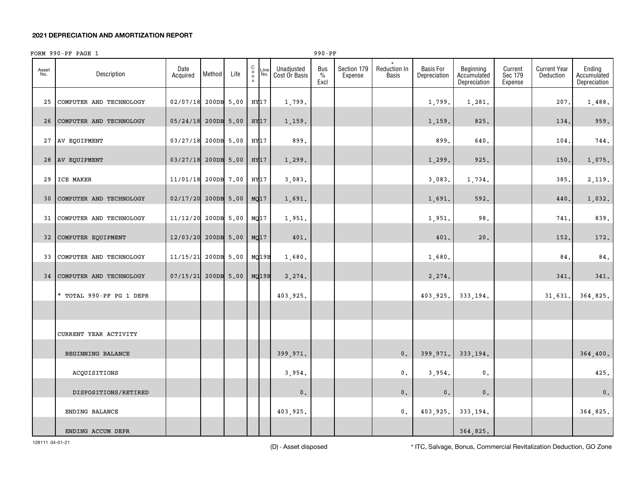#### **2021 DEPRECIATION AND AMORTIZATION REPORT**

#### C o n vAsset No.Line No.Dateon **Acquired Method** Life Unadjusted Cost Or Basis Bus % ExclSection 179 ExpenseReduction In Basis Basis For DepreciationBeginning Accumulated DepreciationCurrent Sec 179 ExpenseCurrent Year DeductionEnding Accumulated DepreciationDescription\*25 COMPUTER AND TECHNOLOGY 02/07/18 200DB 5.00 HY17 1,799. FORM 990-PF PAGE 1 990-PF 1,799. 1,281. 207. 1,488. 26COMPUTER AND TECHNOLOGY | 05/24/18 200DB 5.00 |HY17 | 1,159. | | | | | 1,159. | 825. | | 134. | 959. 27 AV EQUIPMENT 03/27/18 200DB 5.00 HY17 899. 899. 640. 104. 744. 28AV EQUIPMENT |03/27/18|200DB|5.00 |HY17 |1,299. | | | 1,299. | 925. | | 150. | 1,075. 29ICE MAKER | 11/01/18 200DB 7.00 | HY17 | 3,083. | | | 3,083. | 1,734. | 385. | 2,119 30 COMPUTER AND TECHNOLOGY 02/17/20 200DB 5.00 MQ17 1,691. 1,691. 592. 440. 1,032. 31 COMPUTER AND TECHNOLOGY 11/12/20 200DB 5.00 MQ17 1,951. 1,951. 98. 741. 839. 32COMPUTER EQUIPMENT (12/03/20 200DB 5.00 MQ17 401. | | | | 401. 401. 20. | 152. 172. 33COMPUTER AND TECHNOLOGY | 11/15/21 200DB 5.00 MQ19B 1,680. | | | | | | | | 1,680. | | | | | | | | | | | | | | | 34COMPUTER AND TECHNOLOGY | 07/15/21 200DB 5.00 | MQ19B 2,274. | 2,274. | 2,274. | 2,274. | 341. | 341. | 341. \* TOTAL 990-PF PG 1 DEPR 403,925. 403,925. 333,194. 31,631. 364,825. CURRENT YEAR ACTIVITY BEGINNING BALANCE | | | | 399,971. | | 0. 399,971. 333,194. | | 364,400. ACQUISITIONS 3 , 954. 0 . 3 , 954. 0 . 425. DISPOSITIONS/RETIRED **1** 1 1 0. 0. 0. 0. 0. 0. 0. 0. 0. ENDING BALANCE 403,925. 0. 403,925. 333,194. 364,825. ENDING ACCUM DEPR
<sub>1964</sub>,825.

128111 04-01-21

(D) - Asset disposed \* ITC, Salvage, Bonus, Commercial Revitalization Deduction, GO Zone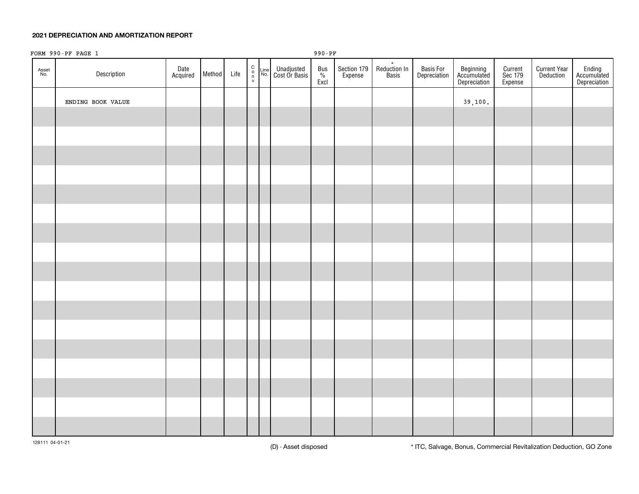#### **2021 DEPRECIATION AND AMORTIZATION REPORT**

|              | FORM 990-PF PAGE 1 |                  |        |      |  |                                                                                                                                                   | 990-PF           |                        |                                  |                           |                                          |                               |                                  |                                       |
|--------------|--------------------|------------------|--------|------|--|---------------------------------------------------------------------------------------------------------------------------------------------------|------------------|------------------------|----------------------------------|---------------------------|------------------------------------------|-------------------------------|----------------------------------|---------------------------------------|
| Asset<br>No. | Description        | Date<br>Acquired | Method | Life |  | $\begin{array}{cc} C \\ O \\ n \\ V \end{array}$ Line Unadjusted<br>$\begin{array}{cc} \text{Unadjusted} \\ \text{No.} \end{array}$ Cost Or Basis | Bus<br>%<br>Excl | Section 179<br>Expense | $\star$<br>Reduction In<br>Basis | Basis For<br>Depreciation | Beginning<br>Accumulated<br>Depreciation | Current<br>Sec 179<br>Expense | <b>Current Year</b><br>Deduction | Ending<br>Accumulated<br>Depreciation |
|              | ENDING BOOK VALUE  |                  |        |      |  |                                                                                                                                                   |                  |                        |                                  |                           | 39,100.                                  |                               |                                  |                                       |
|              |                    |                  |        |      |  |                                                                                                                                                   |                  |                        |                                  |                           |                                          |                               |                                  |                                       |
|              |                    |                  |        |      |  |                                                                                                                                                   |                  |                        |                                  |                           |                                          |                               |                                  |                                       |
|              |                    |                  |        |      |  |                                                                                                                                                   |                  |                        |                                  |                           |                                          |                               |                                  |                                       |
|              |                    |                  |        |      |  |                                                                                                                                                   |                  |                        |                                  |                           |                                          |                               |                                  |                                       |
|              |                    |                  |        |      |  |                                                                                                                                                   |                  |                        |                                  |                           |                                          |                               |                                  |                                       |
|              |                    |                  |        |      |  |                                                                                                                                                   |                  |                        |                                  |                           |                                          |                               |                                  |                                       |
|              |                    |                  |        |      |  |                                                                                                                                                   |                  |                        |                                  |                           |                                          |                               |                                  |                                       |
|              |                    |                  |        |      |  |                                                                                                                                                   |                  |                        |                                  |                           |                                          |                               |                                  |                                       |
|              |                    |                  |        |      |  |                                                                                                                                                   |                  |                        |                                  |                           |                                          |                               |                                  |                                       |
|              |                    |                  |        |      |  |                                                                                                                                                   |                  |                        |                                  |                           |                                          |                               |                                  |                                       |
|              |                    |                  |        |      |  |                                                                                                                                                   |                  |                        |                                  |                           |                                          |                               |                                  |                                       |
|              |                    |                  |        |      |  |                                                                                                                                                   |                  |                        |                                  |                           |                                          |                               |                                  |                                       |
|              |                    |                  |        |      |  |                                                                                                                                                   |                  |                        |                                  |                           |                                          |                               |                                  |                                       |
|              |                    |                  |        |      |  |                                                                                                                                                   |                  |                        |                                  |                           |                                          |                               |                                  |                                       |
|              |                    |                  |        |      |  |                                                                                                                                                   |                  |                        |                                  |                           |                                          |                               |                                  |                                       |
|              |                    |                  |        |      |  |                                                                                                                                                   |                  |                        |                                  |                           |                                          |                               |                                  |                                       |
|              |                    |                  |        |      |  |                                                                                                                                                   |                  |                        |                                  |                           |                                          |                               |                                  |                                       |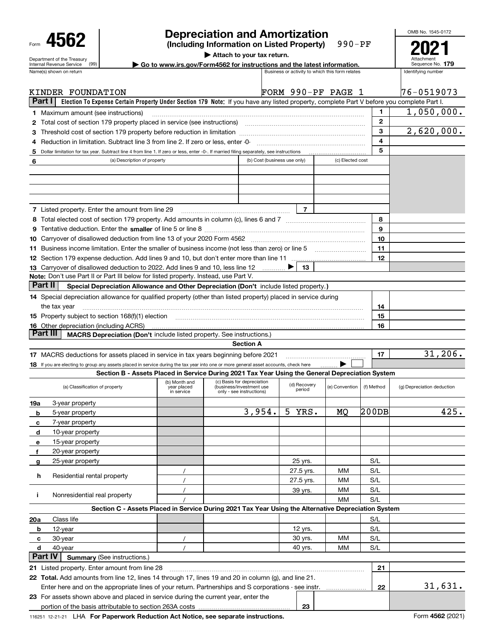| Form |                                                               |  |
|------|---------------------------------------------------------------|--|
|      | Department of the Treasury<br><b>Internal Revenue Service</b> |  |
|      | and the same                                                  |  |

# **Depreciation and Amortization**

**(Including Information on Listed Property)** 990-PF

**| Attach to your tax return. | Go to www.irs.gov/Form4562 for instructions and the latest information. <sup>179</sup>** Attachment Sequence No. **2021**

OMB No. 1545-0172

|         | Name(s) shown on return                                                                                                                                                                                                        |                                            |                                                                                    | Business or activity to which this form relates |                  | Identifying number |                            |
|---------|--------------------------------------------------------------------------------------------------------------------------------------------------------------------------------------------------------------------------------|--------------------------------------------|------------------------------------------------------------------------------------|-------------------------------------------------|------------------|--------------------|----------------------------|
|         | KINDER FOUNDATION                                                                                                                                                                                                              |                                            |                                                                                    | FORM 990-PF PAGE 1                              |                  |                    | 176-0519073                |
| Part I  | Election To Expense Certain Property Under Section 179 Note: If you have any listed property, complete Part V before you complete Part I.                                                                                      |                                            |                                                                                    |                                                 |                  |                    |                            |
|         | <b>1</b> Maximum amount (see instructions)                                                                                                                                                                                     |                                            |                                                                                    |                                                 |                  | 1                  | 1,050,000.                 |
|         |                                                                                                                                                                                                                                |                                            |                                                                                    |                                                 |                  | $\mathbf{2}$       |                            |
|         |                                                                                                                                                                                                                                |                                            |                                                                                    |                                                 |                  | 3                  | 2,620,000.                 |
| 4       | Reduction in limitation. Subtract line 3 from line 2. If zero or less, enter -0-                                                                                                                                               |                                            |                                                                                    |                                                 |                  | 4                  |                            |
| 5       | Dollar limitation for tax year. Subtract line 4 from line 1. If zero or less, enter -0-. If married filing separately, see instructions                                                                                        |                                            |                                                                                    |                                                 |                  | 5                  |                            |
| 6       | (a) Description of property                                                                                                                                                                                                    |                                            | (b) Cost (business use only)                                                       |                                                 | (c) Elected cost |                    |                            |
|         |                                                                                                                                                                                                                                |                                            |                                                                                    |                                                 |                  |                    |                            |
|         |                                                                                                                                                                                                                                |                                            |                                                                                    |                                                 |                  |                    |                            |
|         |                                                                                                                                                                                                                                |                                            |                                                                                    |                                                 |                  |                    |                            |
|         |                                                                                                                                                                                                                                |                                            |                                                                                    |                                                 |                  |                    |                            |
|         | 7 Listed property. Enter the amount from line 29                                                                                                                                                                               |                                            |                                                                                    | 7                                               |                  |                    |                            |
|         |                                                                                                                                                                                                                                |                                            |                                                                                    |                                                 |                  | 8                  |                            |
|         |                                                                                                                                                                                                                                |                                            |                                                                                    |                                                 |                  | 9                  |                            |
|         |                                                                                                                                                                                                                                | 10                                         |                                                                                    |                                                 |                  |                    |                            |
|         | 11 Business income limitation. Enter the smaller of business income (not less than zero) or line 5                                                                                                                             |                                            |                                                                                    |                                                 |                  | 11                 |                            |
|         |                                                                                                                                                                                                                                |                                            |                                                                                    |                                                 |                  | 12                 |                            |
|         | 13 Carryover of disallowed deduction to 2022. Add lines 9 and 10, less line 12                                                                                                                                                 |                                            |                                                                                    | 13                                              |                  |                    |                            |
|         | Note: Don't use Part II or Part III below for listed property. Instead, use Part V.                                                                                                                                            |                                            |                                                                                    |                                                 |                  |                    |                            |
| Part II | Special Depreciation Allowance and Other Depreciation (Don't include listed property.)                                                                                                                                         |                                            |                                                                                    |                                                 |                  |                    |                            |
|         | 14 Special depreciation allowance for qualified property (other than listed property) placed in service during                                                                                                                 |                                            |                                                                                    |                                                 |                  |                    |                            |
|         | the tax year                                                                                                                                                                                                                   | 14                                         |                                                                                    |                                                 |                  |                    |                            |
|         | 15 Property subject to section 168(f)(1) election material content content and a section 168(f)(1) election material content content content and a section 168(f)(1) election material content content content and content and | 15                                         |                                                                                    |                                                 |                  |                    |                            |
|         | <b>16</b> Other depreciation (including ACRS)                                                                                                                                                                                  | 16                                         |                                                                                    |                                                 |                  |                    |                            |
|         | Part III<br><b>MACRS Depreciation (Don't include listed property. See instructions.)</b>                                                                                                                                       |                                            |                                                                                    |                                                 |                  |                    |                            |
|         |                                                                                                                                                                                                                                |                                            | <b>Section A</b>                                                                   |                                                 |                  |                    |                            |
|         | 17 MACRS deductions for assets placed in service in tax years beginning before 2021                                                                                                                                            |                                            |                                                                                    |                                                 |                  | 17                 | 31, 206.                   |
|         | 18 If you are electing to group any assets placed in service during the tax year into one or more general asset accounts, check here                                                                                           |                                            |                                                                                    |                                                 |                  |                    |                            |
|         | Section B - Assets Placed in Service During 2021 Tax Year Using the General Depreciation System                                                                                                                                |                                            |                                                                                    |                                                 |                  |                    |                            |
|         | (a) Classification of property                                                                                                                                                                                                 | (b) Month and<br>year placed<br>in service | (c) Basis for depreciation<br>(business/investment use<br>only - see instructions) | (d) Recovery<br>period                          | (e) Convention   | (f) Method         | (g) Depreciation deduction |
| 19a     | 3-year property                                                                                                                                                                                                                |                                            |                                                                                    |                                                 |                  |                    |                            |
| b       | 5-year property                                                                                                                                                                                                                |                                            | 3,954.                                                                             | 5 YRS.                                          | МQ               | 200DB              | 425.                       |
| с       | 7-year property                                                                                                                                                                                                                |                                            |                                                                                    |                                                 |                  |                    |                            |
| d       | 10-year property                                                                                                                                                                                                               |                                            |                                                                                    |                                                 |                  |                    |                            |
| е       | 15-year property                                                                                                                                                                                                               |                                            |                                                                                    |                                                 |                  |                    |                            |
| f       | 20-year property                                                                                                                                                                                                               |                                            |                                                                                    |                                                 |                  |                    |                            |
| g       | 25-year property                                                                                                                                                                                                               |                                            |                                                                                    | 25 yrs.                                         |                  | S/L                |                            |
|         |                                                                                                                                                                                                                                |                                            |                                                                                    | 27.5 yrs.                                       | МM               | S/L                |                            |
| h       | Residential rental property                                                                                                                                                                                                    |                                            |                                                                                    | 27.5 yrs.                                       | мм               | S/L                |                            |
|         |                                                                                                                                                                                                                                |                                            |                                                                                    | 39 yrs.                                         | мм               | S/L                |                            |
| Ĩ.      | Nonresidential real property                                                                                                                                                                                                   |                                            |                                                                                    |                                                 | MМ               | S/L                |                            |
|         | Section C - Assets Placed in Service During 2021 Tax Year Using the Alternative Depreciation System                                                                                                                            |                                            |                                                                                    |                                                 |                  |                    |                            |
| 20a     | Class life                                                                                                                                                                                                                     |                                            |                                                                                    |                                                 |                  | S/L                |                            |
| b       | 12-year                                                                                                                                                                                                                        |                                            |                                                                                    | 12 yrs.                                         |                  | S/L                |                            |
| c       | 30-year                                                                                                                                                                                                                        | $\prime$                                   |                                                                                    | 30 yrs.                                         | мм               | S/L                |                            |
| d       | 40-year                                                                                                                                                                                                                        |                                            |                                                                                    | 40 yrs.                                         | мм               | S/L                |                            |
|         | <b>Part IV</b><br><b>Summary (See instructions.)</b>                                                                                                                                                                           |                                            |                                                                                    |                                                 |                  |                    |                            |
|         | 21 Listed property. Enter amount from line 28                                                                                                                                                                                  |                                            |                                                                                    |                                                 |                  | 21                 |                            |
|         | 22 Total. Add amounts from line 12, lines 14 through 17, lines 19 and 20 in column (g), and line 21.                                                                                                                           |                                            |                                                                                    |                                                 |                  |                    |                            |
|         | Enter here and on the appropriate lines of your return. Partnerships and S corporations - see instr.                                                                                                                           |                                            |                                                                                    |                                                 |                  | 22                 | 31,631.                    |
|         | 23 For assets shown above and placed in service during the current year, enter the                                                                                                                                             |                                            |                                                                                    |                                                 |                  |                    |                            |

 $\vert$  23

portion of the basis attributable to section 263A costs